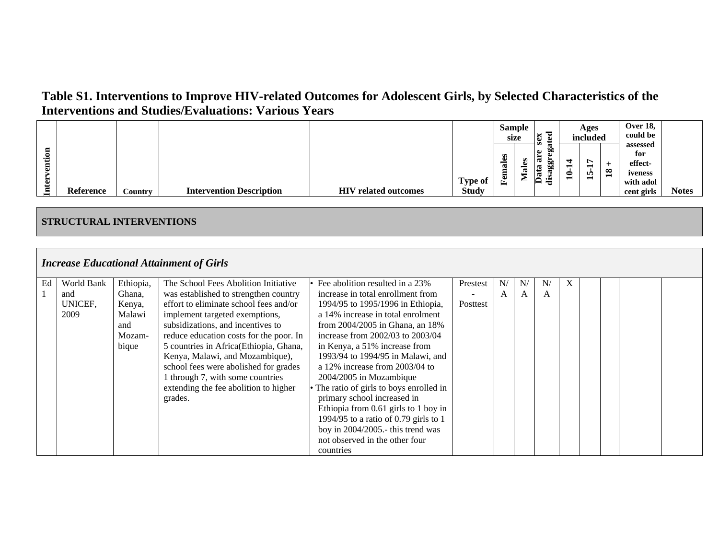|               |           |         |                                 |                                           |                                | size              | Sample | ಕ<br>₩                                      |        | Ages<br>included                      |                 | <b>Over 18,</b><br>could be                                      |              |
|---------------|-----------|---------|---------------------------------|-------------------------------------------|--------------------------------|-------------------|--------|---------------------------------------------|--------|---------------------------------------|-----------------|------------------------------------------------------------------|--------------|
| .≅<br>نە<br>⊷ | Reference | Country | <b>Intervention Description</b> | HIV<br>$\sigma$ related outcomes $\sigma$ | <b>Type of</b><br><b>Study</b> | 6S<br>ಡ<br>Ë<br>區 | −<br>ఆ | Ø<br>$\omega$<br>ou<br>O.O<br>ದ<br>. .<br>ರ | ↽<br>⊂ | $\overline{ }$<br>−<br><b>In</b><br>− | $\overline{18}$ | assessed<br>for<br>effect-<br>iveness<br>with adol<br>cent girls | <b>Notes</b> |

#### **STRUCTURAL INTERVENTIONS**

|    |            |           | <b>Increase Educational Attainment of Girls</b> |                                        |          |              |    |              |   |  |  |
|----|------------|-----------|-------------------------------------------------|----------------------------------------|----------|--------------|----|--------------|---|--|--|
| Ed | World Bank | Ethiopia, | The School Fees Abolition Initiative            | Fee abolition resulted in a 23%        | Prestest | N/           | N, | N/           | X |  |  |
|    | and        | Ghana,    | was established to strengthen country           | increase in total enrollment from      |          | $\mathsf{A}$ | A  | $\mathsf{A}$ |   |  |  |
|    | UNICEF,    | Kenya,    | effort to eliminate school fees and/or          | 1994/95 to 1995/1996 in Ethiopia,      | Posttest |              |    |              |   |  |  |
|    | 2009       | Malawi    | implement targeted exemptions,                  | a 14% increase in total enrolment      |          |              |    |              |   |  |  |
|    |            | and       | subsidizations, and incentives to               | from $2004/2005$ in Ghana, an 18%      |          |              |    |              |   |  |  |
|    |            | Mozam-    | reduce education costs for the poor. In         | increase from $2002/03$ to $2003/04$   |          |              |    |              |   |  |  |
|    |            | bique     | 5 countries in Africa(Ethiopia, Ghana,          | in Kenya, a 51% increase from          |          |              |    |              |   |  |  |
|    |            |           | Kenya, Malawi, and Mozambique),                 | 1993/94 to 1994/95 in Malawi, and      |          |              |    |              |   |  |  |
|    |            |           | school fees were abolished for grades           | a $12\%$ increase from $2003/04$ to    |          |              |    |              |   |  |  |
|    |            |           | 1 through 7, with some countries                | 2004/2005 in Mozambique                |          |              |    |              |   |  |  |
|    |            |           | extending the fee abolition to higher           | The ratio of girls to boys enrolled in |          |              |    |              |   |  |  |
|    |            |           | grades.                                         | primary school increased in            |          |              |    |              |   |  |  |
|    |            |           |                                                 | Ethiopia from 0.61 girls to 1 boy in   |          |              |    |              |   |  |  |
|    |            |           |                                                 | 1994/95 to a ratio of 0.79 girls to 1  |          |              |    |              |   |  |  |
|    |            |           |                                                 | boy in 2004/2005.- this trend was      |          |              |    |              |   |  |  |
|    |            |           |                                                 | not observed in the other four         |          |              |    |              |   |  |  |
|    |            |           |                                                 | countries                              |          |              |    |              |   |  |  |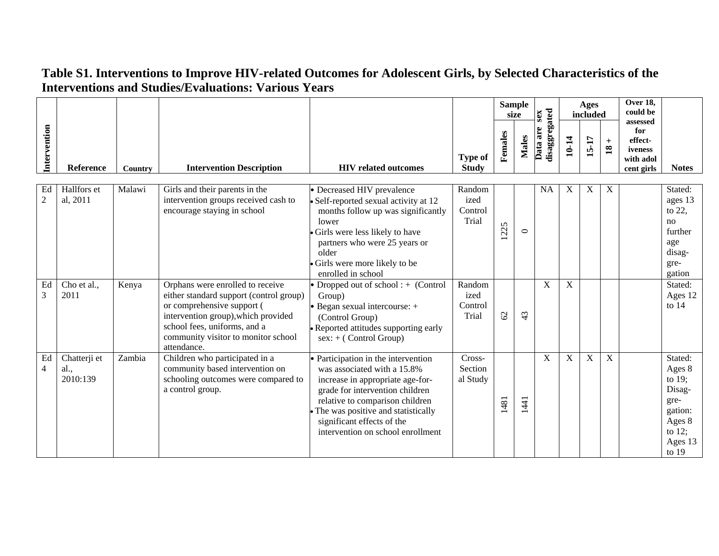|                      |                                  |         |                                                                                                                                                                                                                                        |                                                                                                                                                                                                                                                                                       |                                    |               | <b>Sample</b><br>size | sex                       |       | Ages<br>included |                                      | Over 18,<br>could be                                             |                                                                                                          |
|----------------------|----------------------------------|---------|----------------------------------------------------------------------------------------------------------------------------------------------------------------------------------------------------------------------------------------|---------------------------------------------------------------------------------------------------------------------------------------------------------------------------------------------------------------------------------------------------------------------------------------|------------------------------------|---------------|-----------------------|---------------------------|-------|------------------|--------------------------------------|------------------------------------------------------------------|----------------------------------------------------------------------------------------------------------|
| Intervention         | Reference                        | Country | <b>Intervention Description</b>                                                                                                                                                                                                        | <b>HIV</b> related outcomes                                                                                                                                                                                                                                                           | <b>Type of</b><br><b>Study</b>     | Females       | <b>Males</b>          | disaggregated<br>Data are | 10-14 | 15-17            | $\qquad \qquad +$<br>$\overline{18}$ | assessed<br>for<br>effect-<br>iveness<br>with adol<br>cent girls | <b>Notes</b>                                                                                             |
| Ed<br>$\overline{2}$ | Hallfors et<br>al, 2011          | Malawi  | Girls and their parents in the<br>intervention groups received cash to<br>encourage staying in school                                                                                                                                  | • Decreased HIV prevalence<br>· Self-reported sexual activity at 12<br>months follow up was significantly<br>lower<br>Girls were less likely to have<br>partners who were 25 years or<br>older<br>Girls were more likely to be<br>enrolled in school                                  | Random<br>ized<br>Control<br>Trial | 1225          | $\circ$               | <b>NA</b>                 | X     | X                | X                                    |                                                                  | Stated:<br>ages 13<br>to 22,<br>no<br>further<br>age<br>disag-<br>gre-<br>gation                         |
| Ed<br>3              | Cho et al.,<br>2011              | Kenya   | Orphans were enrolled to receive<br>either standard support (control group)<br>or comprehensive support (<br>intervention group), which provided<br>school fees, uniforms, and a<br>community visitor to monitor school<br>attendance. | • Dropped out of school : $+$ (Control<br>Group)<br>$\bullet$ Began sexual intercourse: $+$<br>(Control Group)<br>· Reported attitudes supporting early<br>$sex: + (Control Group)$                                                                                                   | Random<br>ized<br>Control<br>Trial | $\mathcal{O}$ | $\ddot{a}$            | X                         | X     |                  |                                      |                                                                  | Stated:<br>Ages 12<br>to $14$                                                                            |
| Ed<br>4              | Chatterji et<br>al.,<br>2010:139 | Zambia  | Children who participated in a<br>community based intervention on<br>schooling outcomes were compared to<br>a control group.                                                                                                           | • Participation in the intervention<br>was associated with a 15.8%<br>increase in appropriate age-for-<br>grade for intervention children<br>relative to comparison children<br>The was positive and statistically<br>significant effects of the<br>intervention on school enrollment | Cross-<br>Section<br>al Study      | 1481          | 141                   | X                         | X     | $\boldsymbol{X}$ | X                                    |                                                                  | Stated:<br>Ages 8<br>to $19$ ;<br>Disag-<br>gre-<br>gation:<br>Ages 8<br>to $12$ ;<br>Ages 13<br>to $19$ |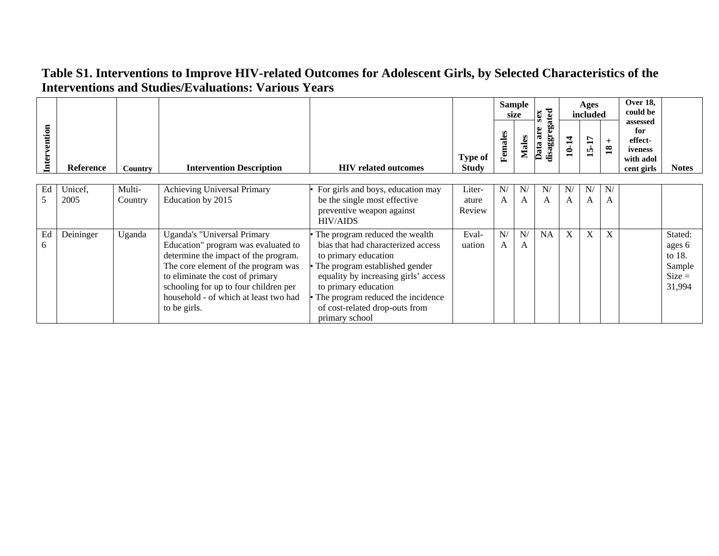|              |                  |                   |                                                                                                                                                                                                                                                                                         |                                                                                                                                                                                                                                                                                         |                                |         | <b>Sample</b><br>size | ated<br>sex               |         | Ages<br>included |                        | <b>Over 18,</b><br>could be                                      |                                                             |
|--------------|------------------|-------------------|-----------------------------------------------------------------------------------------------------------------------------------------------------------------------------------------------------------------------------------------------------------------------------------------|-----------------------------------------------------------------------------------------------------------------------------------------------------------------------------------------------------------------------------------------------------------------------------------------|--------------------------------|---------|-----------------------|---------------------------|---------|------------------|------------------------|------------------------------------------------------------------|-------------------------------------------------------------|
| Intervention | <b>Reference</b> | Country           | <b>Intervention Description</b>                                                                                                                                                                                                                                                         | <b>HIV</b> related outcomes                                                                                                                                                                                                                                                             | <b>Type of</b><br><b>Study</b> | Females | <b>Males</b>          | disaggrega<br>are<br>Data | 10-14   | 15-17            | $+$<br>$\overline{18}$ | assessed<br>for<br>effect-<br>iveness<br>with adol<br>cent girls | <b>Notes</b>                                                |
| Ed<br>5      | Unicef,<br>2005  | Multi-<br>Country | <b>Achieving Universal Primary</b><br>Education by 2015                                                                                                                                                                                                                                 | For girls and boys, education may<br>be the single most effective<br>preventive weapon against<br><b>HIV/AIDS</b>                                                                                                                                                                       | Liter-<br>ature<br>Review      | N/<br>A | $N_{\ell}$<br>A       | N/<br>A                   | N/<br>A | N/<br>A          | N/<br>A                |                                                                  |                                                             |
| Ed<br>6      | Deininger        | Uganda            | Uganda's "Universal Primary<br>Education" program was evaluated to<br>determine the impact of the program.<br>The core element of the program was<br>to eliminate the cost of primary<br>schooling for up to four children per<br>household - of which at least two had<br>to be girls. | The program reduced the wealth<br>bias that had characterized access<br>to primary education<br>The program established gender<br>equality by increasing girls' access<br>to primary education<br>The program reduced the incidence<br>of cost-related drop-outs from<br>primary school | Eval-<br>uation                | N/<br>A | N/<br>A               | <b>NA</b>                 | $X_{-}$ | X                | X                      |                                                                  | Stated:<br>ages 6<br>to 18.<br>Sample<br>$Size =$<br>31,994 |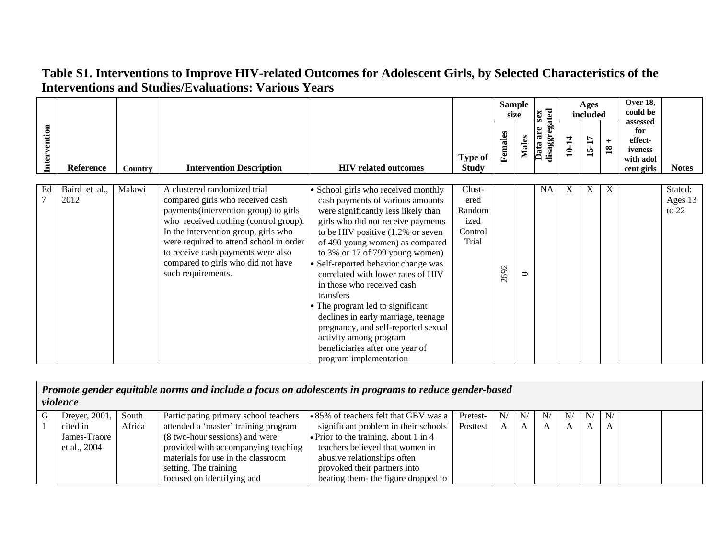|              |                       |         |                                                                                                                                                                                                                                                                                                                                         |                                                                                                                                                                                                                                                                                                                                                                                                                                                                                                                                                                                                            |                                                      |         | <b>Sample</b><br>size | sex                       |       | Ages<br>included |                                      | Over 18,<br>could be                                             |                               |
|--------------|-----------------------|---------|-----------------------------------------------------------------------------------------------------------------------------------------------------------------------------------------------------------------------------------------------------------------------------------------------------------------------------------------|------------------------------------------------------------------------------------------------------------------------------------------------------------------------------------------------------------------------------------------------------------------------------------------------------------------------------------------------------------------------------------------------------------------------------------------------------------------------------------------------------------------------------------------------------------------------------------------------------------|------------------------------------------------------|---------|-----------------------|---------------------------|-------|------------------|--------------------------------------|------------------------------------------------------------------|-------------------------------|
| Intervention | Reference             | Country | <b>Intervention Description</b>                                                                                                                                                                                                                                                                                                         | <b>HIV related outcomes</b>                                                                                                                                                                                                                                                                                                                                                                                                                                                                                                                                                                                | <b>Type of</b><br><b>Study</b>                       | Females | Males                 | disaggregated<br>Data are | 10-14 | 15-17            | $\qquad \qquad +$<br>$\overline{18}$ | assessed<br>for<br>effect-<br>iveness<br>with adol<br>cent girls | <b>Notes</b>                  |
| Ed           | Baird et al.,<br>2012 | Malawi  | A clustered randomized trial<br>compared girls who received cash<br>payments(intervention group) to girls<br>who received nothing (control group).<br>In the intervention group, girls who<br>were required to attend school in order<br>to receive cash payments were also<br>compared to girls who did not have<br>such requirements. | • School girls who received monthly<br>cash payments of various amounts<br>were significantly less likely than<br>girls who did not receive payments<br>to be HIV positive $(1.2\% \text{ or seven})$<br>of 490 young women) as compared<br>to 3% or 17 of 799 young women)<br>· Self-reported behavior change was<br>correlated with lower rates of HIV<br>in those who received cash<br>transfers<br>The program led to significant<br>declines in early marriage, teenage<br>pregnancy, and self-reported sexual<br>activity among program<br>beneficiaries after one year of<br>program implementation | Clust-<br>ered<br>Random<br>ized<br>Control<br>Trial | 2692    | $\circ$               | NA.                       | X     | X                | X                                    |                                                                  | Stated:<br>Ages 13<br>to $22$ |

|   | violence      |        | Promote gender equitable norms and include a focus on adolescents in programs to reduce gender-based |                                       |          |    |    |    |    |    |    |  |
|---|---------------|--------|------------------------------------------------------------------------------------------------------|---------------------------------------|----------|----|----|----|----|----|----|--|
| G | Dreyer, 2001, | South  | Participating primary school teachers                                                                | • 85% of teachers felt that GBV was a | Pretest- | N/ | N/ | N/ | N/ | N/ | N/ |  |
|   | cited in      | Africa | attended a 'master' training program                                                                 | significant problem in their schools  | Posttest |    |    | A  | A  | A  | A  |  |
|   | James-Traore  |        | (8 two-hour sessions) and were                                                                       | • Prior to the training, about 1 in 4 |          |    |    |    |    |    |    |  |
|   | et al., 2004  |        | provided with accompanying teaching                                                                  | teachers believed that women in       |          |    |    |    |    |    |    |  |
|   |               |        | materials for use in the classroom                                                                   | abusive relationships often           |          |    |    |    |    |    |    |  |
|   |               |        | setting. The training                                                                                | provoked their partners into          |          |    |    |    |    |    |    |  |
|   |               |        | focused on identifying and                                                                           | beating them- the figure dropped to   |          |    |    |    |    |    |    |  |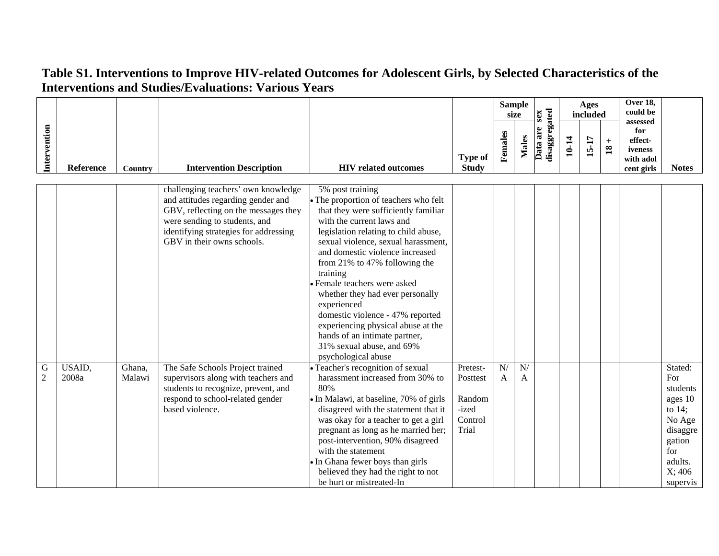|                     |                 |                  |                                                                                                                                                                                                                           |                                                                                                                                                                                                                                                                                                                                                                                                                                                                                                                                               |                                                             |         | <b>Sample</b><br>size | sex                       |       | Ages<br>included |                        | Over 18,<br>could be<br>assessed                     |                                                                                                                           |
|---------------------|-----------------|------------------|---------------------------------------------------------------------------------------------------------------------------------------------------------------------------------------------------------------------------|-----------------------------------------------------------------------------------------------------------------------------------------------------------------------------------------------------------------------------------------------------------------------------------------------------------------------------------------------------------------------------------------------------------------------------------------------------------------------------------------------------------------------------------------------|-------------------------------------------------------------|---------|-----------------------|---------------------------|-------|------------------|------------------------|------------------------------------------------------|---------------------------------------------------------------------------------------------------------------------------|
| Intervention        | Reference       | <b>Country</b>   | <b>Intervention Description</b>                                                                                                                                                                                           | <b>HIV</b> related outcomes                                                                                                                                                                                                                                                                                                                                                                                                                                                                                                                   | <b>Type of</b><br><b>Study</b>                              | Females | <b>Males</b>          | disaggregated<br>Data are | 10-14 | 15-17            | $+$<br>$\overline{18}$ | for<br>effect-<br>iveness<br>with adol<br>cent girls | <b>Notes</b>                                                                                                              |
|                     |                 |                  | challenging teachers' own knowledge<br>and attitudes regarding gender and<br>GBV, reflecting on the messages they<br>were sending to students, and<br>identifying strategies for addressing<br>GBV in their owns schools. | 5% post training<br>• The proportion of teachers who felt<br>that they were sufficiently familiar<br>with the current laws and<br>legislation relating to child abuse,<br>sexual violence, sexual harassment,<br>and domestic violence increased<br>from 21% to 47% following the<br>training<br>Female teachers were asked<br>whether they had ever personally<br>experienced<br>domestic violence - 47% reported<br>experiencing physical abuse at the<br>hands of an intimate partner,<br>31% sexual abuse, and 69%<br>psychological abuse |                                                             |         |                       |                           |       |                  |                        |                                                      |                                                                                                                           |
| G<br>$\overline{2}$ | USAID,<br>2008a | Ghana,<br>Malawi | The Safe Schools Project trained<br>supervisors along with teachers and<br>students to recognize, prevent, and<br>respond to school-related gender<br>based violence.                                                     | • Teacher's recognition of sexual<br>harassment increased from 30% to<br>80%<br>• In Malawi, at baseline, 70% of girls<br>disagreed with the statement that it<br>was okay for a teacher to get a girl<br>pregnant as long as he married her;<br>post-intervention, 90% disagreed<br>with the statement<br>• In Ghana fewer boys than girls<br>believed they had the right to not<br>be hurt or mistreated-In                                                                                                                                 | Pretest-<br>Posttest<br>Random<br>-ized<br>Control<br>Trial | N/<br>A | N/<br>A               |                           |       |                  |                        |                                                      | Stated:<br>For<br>students<br>ages 10<br>to $14$ ;<br>No Age<br>disaggre<br>gation<br>for<br>adults.<br>X:406<br>supervis |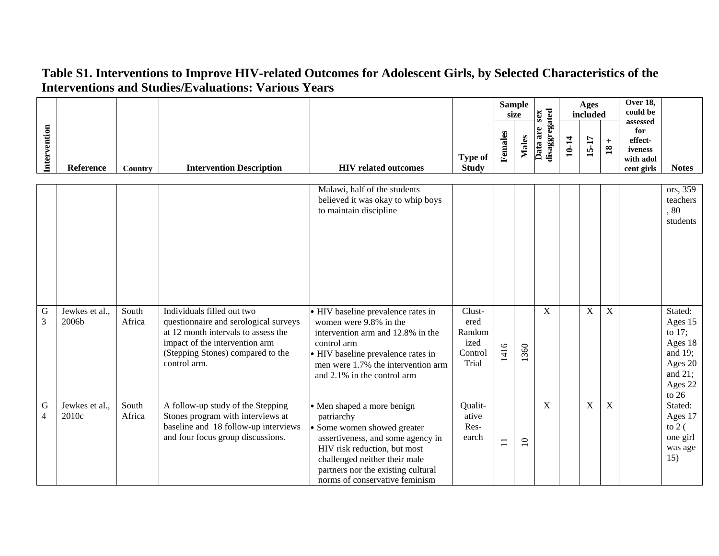|                               |                         |                                     |                                                                                                                                                                                                   |                                                                                                                                                                                                                                                       |                                                      |                | <b>Sample</b><br>size | sex                       |       | Ages<br>included |                                      | Over 18,<br>could be<br>assessed                     |                                                                                                      |
|-------------------------------|-------------------------|-------------------------------------|---------------------------------------------------------------------------------------------------------------------------------------------------------------------------------------------------|-------------------------------------------------------------------------------------------------------------------------------------------------------------------------------------------------------------------------------------------------------|------------------------------------------------------|----------------|-----------------------|---------------------------|-------|------------------|--------------------------------------|------------------------------------------------------|------------------------------------------------------------------------------------------------------|
| Intervention                  | Reference               | Country                             | <b>Intervention Description</b>                                                                                                                                                                   | <b>HIV</b> related outcomes                                                                                                                                                                                                                           | <b>Type of</b><br><b>Study</b>                       | Females        | Males                 | disaggregated<br>Data are | 10-14 | 15-17            | $\qquad \qquad +$<br>$\overline{18}$ | for<br>effect-<br>iveness<br>with adol<br>cent girls | <b>Notes</b>                                                                                         |
|                               |                         |                                     |                                                                                                                                                                                                   | Malawi, half of the students<br>believed it was okay to whip boys<br>to maintain discipline                                                                                                                                                           |                                                      |                |                       |                           |       |                  |                                      |                                                      | ors, 359<br>teachers<br>.80<br>students                                                              |
| ${\bf G}$<br>$\overline{3}$   | Jewkes et al.,<br>2006b | $\overline{\text{South}}$<br>Africa | Individuals filled out two<br>questionnaire and serological surveys<br>at 12 month intervals to assess the<br>impact of the intervention arm<br>(Stepping Stones) compared to the<br>control arm. | • HIV baseline prevalence rates in<br>women were 9.8% in the<br>intervention arm and 12.8% in the<br>control arm<br>• HIV baseline prevalence rates in<br>men were 1.7% the intervention arm<br>and 2.1% in the control arm                           | Clust-<br>ered<br>Random<br>ized<br>Control<br>Trial | 1416           | 1360                  | $\mathbf X$               |       | $\mathbf X$      | $\mathbf X$                          |                                                      | Stated:<br>Ages 15<br>to $17$ ;<br>Ages 18<br>and 19;<br>Ages 20<br>and $21$ ;<br>Ages 22<br>to $26$ |
| $\mathbf G$<br>$\overline{4}$ | Jewkes et al.,<br>2010c | South<br>Africa                     | A follow-up study of the Stepping<br>Stones program with interviews at<br>baseline and 18 follow-up interviews<br>and four focus group discussions.                                               | • Men shaped a more benign<br>patriarchy<br>• Some women showed greater<br>assertiveness, and some agency in<br>HIV risk reduction, but most<br>challenged neither their male<br>partners nor the existing cultural<br>norms of conservative feminism | Qualit-<br>ative<br>Res-<br>earch                    | $\overline{1}$ | $\overline{10}$       | $\mathbf X$               |       | $\mathbf X$      | $\mathbf X$                          |                                                      | Stated:<br>Ages 17<br>to $2($<br>one girl<br>was age<br>15)                                          |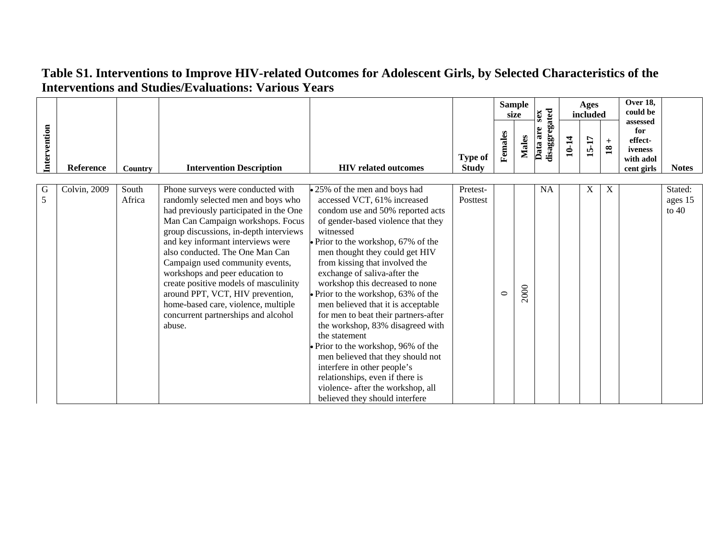|              |                  |                 |                                                                                                                                                                                                                                                                                                                                                                                                                                                                                                                     |                                                                                                                                                                                                                                                                                                                                                                                                                                                                                                         |                                |         | <b>Sample</b><br>size | sex                       |       | Ages<br>included |                                 | <b>Over 18,</b><br>could be<br>assessed              |                               |
|--------------|------------------|-----------------|---------------------------------------------------------------------------------------------------------------------------------------------------------------------------------------------------------------------------------------------------------------------------------------------------------------------------------------------------------------------------------------------------------------------------------------------------------------------------------------------------------------------|---------------------------------------------------------------------------------------------------------------------------------------------------------------------------------------------------------------------------------------------------------------------------------------------------------------------------------------------------------------------------------------------------------------------------------------------------------------------------------------------------------|--------------------------------|---------|-----------------------|---------------------------|-------|------------------|---------------------------------|------------------------------------------------------|-------------------------------|
| Intervention | <b>Reference</b> | Country         | <b>Intervention Description</b>                                                                                                                                                                                                                                                                                                                                                                                                                                                                                     | <b>HIV</b> related outcomes                                                                                                                                                                                                                                                                                                                                                                                                                                                                             | <b>Type of</b><br><b>Study</b> | Females | <b>Males</b>          | disaggregated<br>Data are | 10-14 | <b>15-17</b>     | $+$<br>$\overline{\mathbf{18}}$ | for<br>effect-<br>iveness<br>with adol<br>cent girls | <b>Notes</b>                  |
| G<br>5       | Colvin, 2009     | South<br>Africa | Phone surveys were conducted with<br>randomly selected men and boys who<br>had previously participated in the One<br>Man Can Campaign workshops. Focus<br>group discussions, in-depth interviews<br>and key informant interviews were<br>also conducted. The One Man Can<br>Campaign used community events,<br>workshops and peer education to<br>create positive models of masculinity<br>around PPT, VCT, HIV prevention,<br>home-based care, violence, multiple<br>concurrent partnerships and alcohol<br>abuse. | • 25% of the men and boys had<br>accessed VCT, 61% increased<br>condom use and 50% reported acts<br>of gender-based violence that they<br>witnessed<br>Prior to the workshop, 67% of the<br>men thought they could get HIV<br>from kissing that involved the<br>exchange of saliva-after the<br>workshop this decreased to none<br>Prior to the workshop, 63% of the<br>men believed that it is acceptable<br>for men to beat their partners-after<br>the workshop, 83% disagreed with<br>the statement | Pretest-<br>Posttest           | $\circ$ | 2000                  | <b>NA</b>                 |       | $\mathbf X$      | X                               |                                                      | Stated:<br>ages 15<br>to $40$ |
|              |                  |                 |                                                                                                                                                                                                                                                                                                                                                                                                                                                                                                                     | Prior to the workshop, 96% of the<br>men believed that they should not<br>interfere in other people's<br>relationships, even if there is<br>violence- after the workshop, all<br>believed they should interfere                                                                                                                                                                                                                                                                                         |                                |         |                       |                           |       |                  |                                 |                                                      |                               |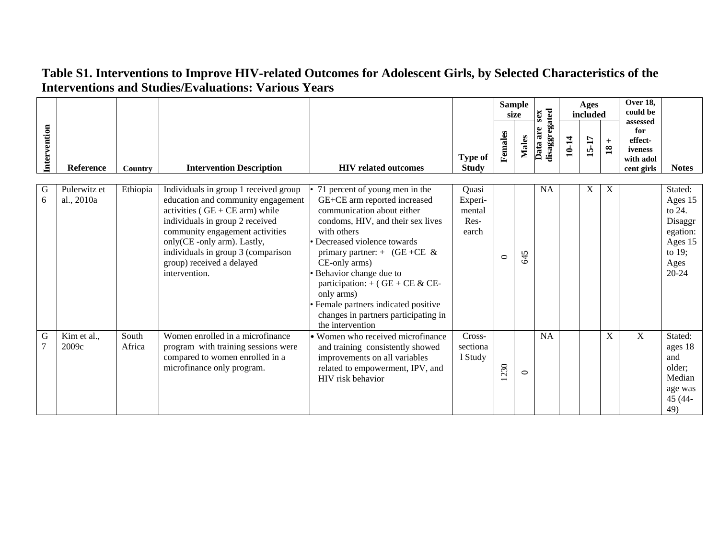|              |                            |                 |                                                                                                                                                                                                                                                                                                          |                                                                                                                                                                                                                                                                                                                                                                                                                  |                                             |         | <b>Sample</b><br>size |                                       |       | Ages<br>included |                                      | Over 18,<br>could be                                             |                                                                                                  |
|--------------|----------------------------|-----------------|----------------------------------------------------------------------------------------------------------------------------------------------------------------------------------------------------------------------------------------------------------------------------------------------------------|------------------------------------------------------------------------------------------------------------------------------------------------------------------------------------------------------------------------------------------------------------------------------------------------------------------------------------------------------------------------------------------------------------------|---------------------------------------------|---------|-----------------------|---------------------------------------|-------|------------------|--------------------------------------|------------------------------------------------------------------|--------------------------------------------------------------------------------------------------|
| Intervention | Reference                  | <b>Country</b>  | <b>Intervention Description</b>                                                                                                                                                                                                                                                                          | <b>HIV</b> related outcomes                                                                                                                                                                                                                                                                                                                                                                                      | <b>Type of</b><br><b>Study</b>              | Females | <b>Males</b>          | <b>Land are sex<br/>disaggregated</b> | 10-14 | 15-17            | $\qquad \qquad +$<br>$\overline{18}$ | assessed<br>for<br>effect-<br>iveness<br>with adol<br>cent girls | <b>Notes</b>                                                                                     |
| G<br>6       | Pulerwitz et<br>al., 2010a | Ethiopia        | Individuals in group 1 received group<br>education and community engagement<br>activities ( $GE + CE$ arm) while<br>individuals in group 2 received<br>community engagement activities<br>only(CE-only arm). Lastly,<br>individuals in group 3 (comparison<br>group) received a delayed<br>intervention. | 71 percent of young men in the<br>GE+CE arm reported increased<br>communication about either<br>condoms, HIV, and their sex lives<br>with others<br>Decreased violence towards<br>primary partner: $+$ (GE +CE &<br>CE-only arms)<br>Behavior change due to<br>participation: $+$ (GE + CE & CE-<br>only arms)<br>Female partners indicated positive<br>changes in partners participating in<br>the intervention | Quasi<br>Experi-<br>mental<br>Res-<br>earch | $\circ$ | 645                   | <b>NA</b>                             |       | X                | X                                    |                                                                  | Stated:<br>Ages 15<br>to 24.<br>Disaggr<br>egation:<br>Ages 15<br>to $19$ ;<br>Ages<br>$20 - 24$ |
| G            | Kim et al.,<br>2009c       | South<br>Africa | Women enrolled in a microfinance<br>program with training sessions were<br>compared to women enrolled in a<br>microfinance only program.                                                                                                                                                                 | • Women who received microfinance<br>and training consistently showed<br>improvements on all variables<br>related to empowerment, IPV, and<br>HIV risk behavior                                                                                                                                                                                                                                                  | Cross-<br>sectiona<br>1 Study               | 230     | $\circ$               | <b>NA</b>                             |       |                  | X                                    | $\mathbf{X}$                                                     | Stated:<br>ages 18<br>and<br>older:<br>Median<br>age was<br>45 (44-<br>49)                       |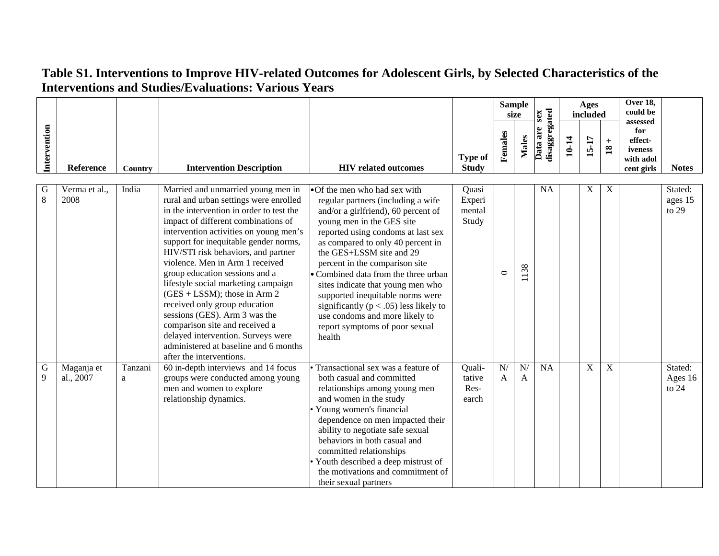|                  |                         |              |                                                                                                                                                                                                                                                                                                                                                                                                                                                                                                                                                                                                                                                         |                                                                                                                                                                                                                                                                                                                                                                                                                                                                                                                              |                                    |         | <b>Sample</b><br>size | sex                       |       | Ages<br>included |                        | <b>Over 18,</b><br>could be<br>assessed              |                               |
|------------------|-------------------------|--------------|---------------------------------------------------------------------------------------------------------------------------------------------------------------------------------------------------------------------------------------------------------------------------------------------------------------------------------------------------------------------------------------------------------------------------------------------------------------------------------------------------------------------------------------------------------------------------------------------------------------------------------------------------------|------------------------------------------------------------------------------------------------------------------------------------------------------------------------------------------------------------------------------------------------------------------------------------------------------------------------------------------------------------------------------------------------------------------------------------------------------------------------------------------------------------------------------|------------------------------------|---------|-----------------------|---------------------------|-------|------------------|------------------------|------------------------------------------------------|-------------------------------|
| Intervention     | Reference               | Country      | <b>Intervention Description</b>                                                                                                                                                                                                                                                                                                                                                                                                                                                                                                                                                                                                                         | <b>HIV</b> related outcomes                                                                                                                                                                                                                                                                                                                                                                                                                                                                                                  | <b>Type of</b><br><b>Study</b>     | Females | <b>Males</b>          | disaggregated<br>Data are | 10-14 | $15 - 17$        | $+$<br>$\overline{18}$ | for<br>effect-<br>iveness<br>with adol<br>cent girls | <b>Notes</b>                  |
| G<br>8           | Verma et al.,<br>2008   | India        | Married and unmarried young men in<br>rural and urban settings were enrolled<br>in the intervention in order to test the<br>impact of different combinations of<br>intervention activities on young men's<br>support for inequitable gender norms,<br>HIV/STI risk behaviors, and partner<br>violence. Men in Arm 1 received<br>group education sessions and a<br>lifestyle social marketing campaign<br>$(GES + LSSM)$ ; those in Arm 2<br>received only group education<br>sessions (GES). Arm 3 was the<br>comparison site and received a<br>delayed intervention. Surveys were<br>administered at baseline and 6 months<br>after the interventions. | •Of the men who had sex with<br>regular partners (including a wife<br>and/or a girlfriend), 60 percent of<br>young men in the GES site<br>reported using condoms at last sex<br>as compared to only 40 percent in<br>the GES+LSSM site and 29<br>percent in the comparison site<br>• Combined data from the three urban<br>sites indicate that young men who<br>supported inequitable norms were<br>significantly ( $p < .05$ ) less likely to<br>use condoms and more likely to<br>report symptoms of poor sexual<br>health | Quasi<br>Experi<br>mental<br>Study | $\circ$ | 1138                  | <b>NA</b>                 |       | $\mathbf X$      | X                      |                                                      | Stated:<br>ages 15<br>to $29$ |
| $\mathbf G$<br>9 | Maganja et<br>al., 2007 | Tanzani<br>a | 60 in-depth interviews and 14 focus<br>groups were conducted among young<br>men and women to explore<br>relationship dynamics.                                                                                                                                                                                                                                                                                                                                                                                                                                                                                                                          | Transactional sex was a feature of<br>both casual and committed<br>relationships among young men<br>and women in the study<br>Young women's financial<br>dependence on men impacted their<br>ability to negotiate safe sexual<br>behaviors in both casual and<br>committed relationships<br>Youth described a deep mistrust of<br>the motivations and commitment of<br>their sexual partners                                                                                                                                 | Quali-<br>tative<br>Res-<br>earch  | N/<br>A | N/<br>$\mathbf{A}$    | <b>NA</b>                 |       | $\mathbf X$      | $\mathbf X$            |                                                      | Stated:<br>Ages 16<br>to $24$ |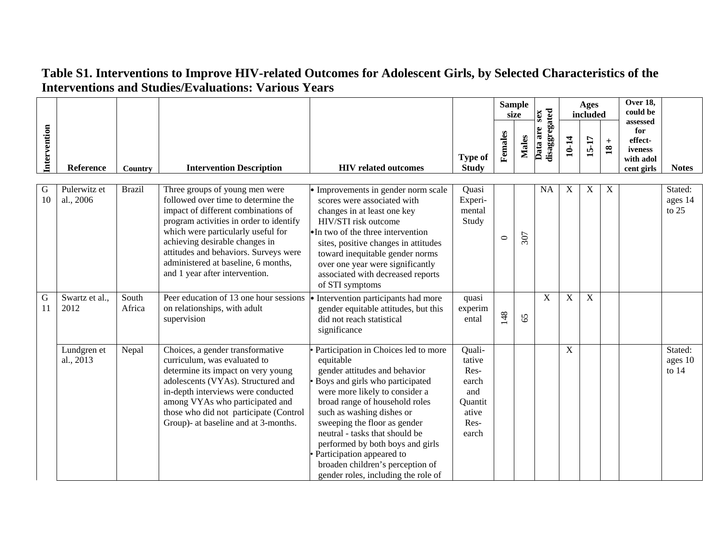|                   |                           |                 | Interventions and Studies/Evaluations: various Years                                                                                                                                                                                                                                                                                              |                                                                                                                                                                                                                                                                                                                                                                                                                                      |                                                                               |         |                       |                           |             |                  |                           |                                                                  |                               |
|-------------------|---------------------------|-----------------|---------------------------------------------------------------------------------------------------------------------------------------------------------------------------------------------------------------------------------------------------------------------------------------------------------------------------------------------------|--------------------------------------------------------------------------------------------------------------------------------------------------------------------------------------------------------------------------------------------------------------------------------------------------------------------------------------------------------------------------------------------------------------------------------------|-------------------------------------------------------------------------------|---------|-----------------------|---------------------------|-------------|------------------|---------------------------|------------------------------------------------------------------|-------------------------------|
|                   |                           |                 |                                                                                                                                                                                                                                                                                                                                                   |                                                                                                                                                                                                                                                                                                                                                                                                                                      |                                                                               |         | <b>Sample</b><br>size | sex                       |             | Ages<br>included |                           | Over 18,<br>could be                                             |                               |
| Intervention      | Reference                 | Country         | <b>Intervention Description</b>                                                                                                                                                                                                                                                                                                                   | <b>HIV</b> related outcomes                                                                                                                                                                                                                                                                                                                                                                                                          | <b>Type of</b><br><b>Study</b>                                                | Females | <b>Males</b>          | disaggregated<br>Data are | 10-14       | 15-17            | $^{+}$<br>$\overline{18}$ | assessed<br>for<br>effect-<br>iveness<br>with adol<br>cent girls | <b>Notes</b>                  |
| G<br>10           | Pulerwitz et<br>al., 2006 | <b>Brazil</b>   | Three groups of young men were<br>followed over time to determine the<br>impact of different combinations of<br>program activities in order to identify<br>which were particularly useful for<br>achieving desirable changes in<br>attitudes and behaviors. Surveys were<br>administered at baseline, 6 months,<br>and 1 year after intervention. | • Improvements in gender norm scale<br>scores were associated with<br>changes in at least one key<br>HIV/STI risk outcome<br>•In two of the three intervention<br>sites, positive changes in attitudes<br>toward inequitable gender norms<br>over one year were significantly<br>associated with decreased reports<br>of STI symptoms                                                                                                | Quasi<br>Experi-<br>mental<br>Study                                           | $\circ$ | 307                   | <b>NA</b>                 | $\mathbf X$ | X                | X                         |                                                                  | Stated:<br>ages 14<br>to $25$ |
| $\mathbf G$<br>11 | Swartz et al.,<br>2012    | South<br>Africa | Peer education of 13 one hour sessions<br>on relationships, with adult<br>supervision                                                                                                                                                                                                                                                             | Intervention participants had more<br>gender equitable attitudes, but this<br>did not reach statistical<br>significance                                                                                                                                                                                                                                                                                                              | quasi<br>experim<br>ental                                                     | 148     | 65                    | $\mathbf X$               | $\mathbf X$ | $\overline{X}$   |                           |                                                                  |                               |
|                   | Lundgren et<br>al., 2013  | Nepal           | Choices, a gender transformative<br>curriculum, was evaluated to<br>determine its impact on very young<br>adolescents (VYAs). Structured and<br>in-depth interviews were conducted<br>among VYAs who participated and<br>those who did not participate (Control<br>Group)- at baseline and at 3-months.                                           | Participation in Choices led to more<br>equitable<br>gender attitudes and behavior<br>Boys and girls who participated<br>were more likely to consider a<br>broad range of household roles<br>such as washing dishes or<br>sweeping the floor as gender<br>neutral - tasks that should be<br>performed by both boys and girls<br>Participation appeared to<br>broaden children's perception of<br>gender roles, including the role of | Quali-<br>tative<br>Res-<br>earch<br>and<br>Ouantit<br>ative<br>Res-<br>earch |         |                       |                           | $\mathbf X$ |                  |                           |                                                                  | Stated:<br>ages 10<br>to $14$ |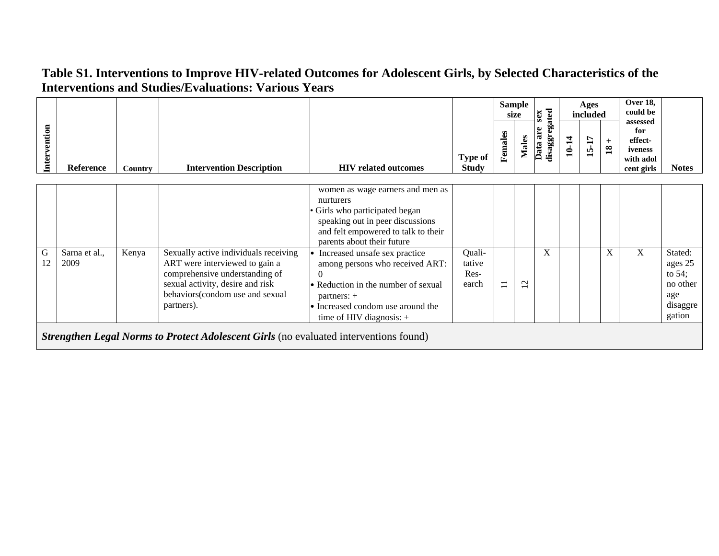|              |                       |         |                                                                                                                                                                                                |                                                                                                                                                                                                         |                                   |                | <b>Sample</b><br>size | xas                       |       | Ages<br>included |                      | Over 18,<br>could be                                             |                                                                          |
|--------------|-----------------------|---------|------------------------------------------------------------------------------------------------------------------------------------------------------------------------------------------------|---------------------------------------------------------------------------------------------------------------------------------------------------------------------------------------------------------|-----------------------------------|----------------|-----------------------|---------------------------|-------|------------------|----------------------|------------------------------------------------------------------|--------------------------------------------------------------------------|
| Intervention | Reference             | Country | <b>Intervention Description</b>                                                                                                                                                                | <b>HIV</b> related outcomes                                                                                                                                                                             | <b>Type of</b><br><b>Study</b>    | Females        | <b>Males</b>          | disaggregated<br>Data are | 10-14 | 15-17            | $+$<br>$\mathbf{18}$ | assessed<br>for<br>effect-<br>iveness<br>with adol<br>cent girls | <b>Notes</b>                                                             |
|              |                       |         |                                                                                                                                                                                                | women as wage earners and men as<br>nurturers<br>Girls who participated began<br>speaking out in peer discussions<br>and felt empowered to talk to their<br>parents about their future                  |                                   |                |                       |                           |       |                  |                      |                                                                  |                                                                          |
| G<br>12      | Sarna et al.,<br>2009 | Kenya   | Sexually active individuals receiving<br>ART were interviewed to gain a<br>comprehensive understanding of<br>sexual activity, desire and risk<br>behaviors(condom use and sexual<br>partners). | Increased unsafe sex practice<br>among persons who received ART:<br>$\Omega$<br>• Reduction in the number of sexual<br>partners: $+$<br>• Increased condom use around the<br>time of HIV diagnosis: $+$ | Quali-<br>tative<br>Res-<br>earch | $\overline{1}$ | $\mathbf{\Omega}$     | X                         |       |                  | X                    | X                                                                | Stated:<br>ages 25<br>to $54$ ;<br>no other<br>age<br>disaggre<br>gation |
|              |                       |         | <b>Strengthen Legal Norms to Protect Adolescent Girls</b> (no evaluated interventions found)                                                                                                   |                                                                                                                                                                                                         |                                   |                |                       |                           |       |                  |                      |                                                                  |                                                                          |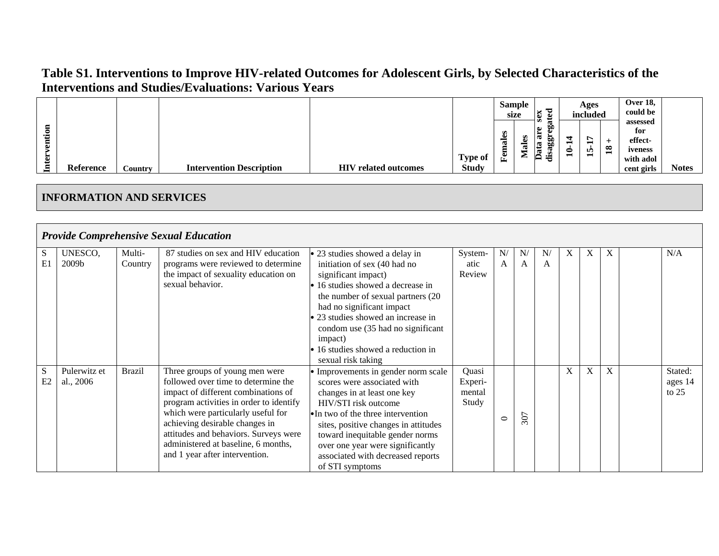|                   |           |         |                                 |                                  |                                | size                              | <b>Sample</b> | ರ<br>se:                                                         |   | Ages<br>included   |        | <b>Over 18.</b><br>could be                                      |              |
|-------------------|-----------|---------|---------------------------------|----------------------------------|--------------------------------|-----------------------------------|---------------|------------------------------------------------------------------|---|--------------------|--------|------------------------------------------------------------------|--------------|
| ention<br>ð<br>ਥਿ | Reference | Country | <b>Intervention Description</b> | <b>HIV</b><br>/ related outcomes | <b>Type of</b><br><b>Study</b> | s<br>تە<br>-<br>ಡ<br>┍<br>Е<br>۴e | ÷<br>w<br>−   | $\bullet$<br>w<br>. 62<br>르<br>ວມ<br>$\overline{\mathbf{a}}$<br> | ⊂ | ∼<br>-<br>In.<br>- | ∞<br>ت | assessed<br>for<br>effect-<br>iveness<br>with adol<br>cent girls | <b>Notes</b> |

#### **INFORMATION AND SERVICES**

|         |                           |                   | <b>Provide Comprehensive Sexual Education</b>                                                                                                                                                                                                                                                                                                     |                                                                                                                                                                                                                                                                                                                                          |                                     |                    |         |                    |   |   |              |                               |
|---------|---------------------------|-------------------|---------------------------------------------------------------------------------------------------------------------------------------------------------------------------------------------------------------------------------------------------------------------------------------------------------------------------------------------------|------------------------------------------------------------------------------------------------------------------------------------------------------------------------------------------------------------------------------------------------------------------------------------------------------------------------------------------|-------------------------------------|--------------------|---------|--------------------|---|---|--------------|-------------------------------|
| S<br>E1 | UNESCO,<br>2009b          | Multi-<br>Country | 87 studies on sex and HIV education<br>programs were reviewed to determine<br>the impact of sexuality education on<br>sexual behavior.                                                                                                                                                                                                            | • 23 studies showed a delay in<br>initiation of sex (40 had no<br>significant impact)<br>16 studies showed a decrease in<br>the number of sexual partners (20<br>had no significant impact<br>23 studies showed an increase in<br>condom use (35 had no significant<br>impact)<br>16 studies showed a reduction in<br>sexual risk taking | System-<br>atic<br>Review           | N/<br>$\mathsf{A}$ | N/<br>A | N/<br>$\mathsf{A}$ | X | X | $\mathbf{X}$ | N/A                           |
| S<br>E2 | Pulerwitz et<br>al., 2006 | <b>Brazil</b>     | Three groups of young men were<br>followed over time to determine the<br>impact of different combinations of<br>program activities in order to identify<br>which were particularly useful for<br>achieving desirable changes in<br>attitudes and behaviors. Surveys were<br>administered at baseline, 6 months,<br>and 1 year after intervention. | Improvements in gender norm scale<br>scores were associated with<br>changes in at least one key<br>HIV/STI risk outcome<br>• In two of the three intervention<br>sites, positive changes in attitudes<br>toward inequitable gender norms<br>over one year were significantly<br>associated with decreased reports<br>of STI symptoms     | Quasi<br>Experi-<br>mental<br>Study | $\circ$            | 307     |                    | X | X | X            | Stated:<br>ages 14<br>to $25$ |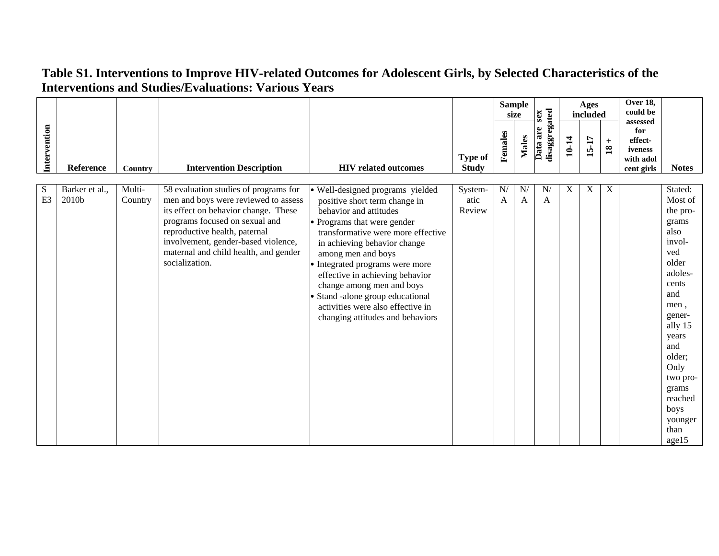|                     |                         |                   |                                                                                                                                                                                                                                                                                            |                                                                                                                                                                                                                                                                                                                                                                                                                                |                                |         | <b>Sample</b><br>size | sex                       |       | Ages<br>included |                                      | <b>Over 18,</b><br>could be                                      |                                                                                                                                                                                                                                         |
|---------------------|-------------------------|-------------------|--------------------------------------------------------------------------------------------------------------------------------------------------------------------------------------------------------------------------------------------------------------------------------------------|--------------------------------------------------------------------------------------------------------------------------------------------------------------------------------------------------------------------------------------------------------------------------------------------------------------------------------------------------------------------------------------------------------------------------------|--------------------------------|---------|-----------------------|---------------------------|-------|------------------|--------------------------------------|------------------------------------------------------------------|-----------------------------------------------------------------------------------------------------------------------------------------------------------------------------------------------------------------------------------------|
| Intervention        | Reference               | Country           | <b>Intervention Description</b>                                                                                                                                                                                                                                                            | <b>HIV</b> related outcomes                                                                                                                                                                                                                                                                                                                                                                                                    | <b>Type of</b><br><b>Study</b> | Females | <b>Males</b>          | disaggregated<br>Data are | 10-14 | 15-17            | $\qquad \qquad +$<br>$\overline{18}$ | assessed<br>for<br>effect-<br>iveness<br>with adol<br>cent girls | <b>Notes</b>                                                                                                                                                                                                                            |
| S<br>E <sub>3</sub> | Barker et al.,<br>2010b | Multi-<br>Country | 58 evaluation studies of programs for<br>men and boys were reviewed to assess<br>its effect on behavior change. These<br>programs focused on sexual and<br>reproductive health, paternal<br>involvement, gender-based violence,<br>maternal and child health, and gender<br>socialization. | Well-designed programs yielded<br>positive short term change in<br>behavior and attitudes<br>Programs that were gender<br>transformative were more effective<br>in achieving behavior change<br>among men and boys<br>Integrated programs were more<br>effective in achieving behavior<br>change among men and boys<br>Stand -alone group educational<br>activities were also effective in<br>changing attitudes and behaviors | System-<br>atic<br>Review      | N/<br>A | N/<br>$\mathbf{A}$    | N/<br>$\mathbf{A}$        | X     | X                | X                                    |                                                                  | Stated:<br>Most of<br>the pro-<br>grams<br>also<br>invol-<br>ved<br>older<br>adoles-<br>cents<br>and<br>men,<br>gener-<br>ally 15<br>years<br>and<br>older;<br>Only<br>two pro-<br>grams<br>reached<br>boys<br>younger<br>than<br>age15 |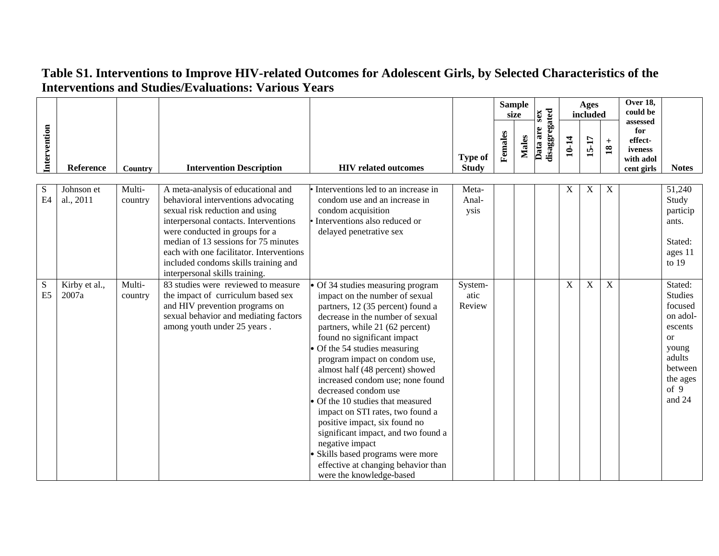|                 |                         |                   |                                                                                                                                                                                                                                                                                                                                                       |                                                                                                                                                                                                                                                                                                                                                                                                                                                                                                                                                                                                                                                     |                                |         | <b>Sample</b><br>size | sex                       |       | Ages<br>included |                              | <b>Over 18,</b><br>could be<br>assessed              |                                                                                                                                          |
|-----------------|-------------------------|-------------------|-------------------------------------------------------------------------------------------------------------------------------------------------------------------------------------------------------------------------------------------------------------------------------------------------------------------------------------------------------|-----------------------------------------------------------------------------------------------------------------------------------------------------------------------------------------------------------------------------------------------------------------------------------------------------------------------------------------------------------------------------------------------------------------------------------------------------------------------------------------------------------------------------------------------------------------------------------------------------------------------------------------------------|--------------------------------|---------|-----------------------|---------------------------|-------|------------------|------------------------------|------------------------------------------------------|------------------------------------------------------------------------------------------------------------------------------------------|
| Intervention    | Reference               | Country           | <b>Intervention Description</b>                                                                                                                                                                                                                                                                                                                       | <b>HIV</b> related outcomes                                                                                                                                                                                                                                                                                                                                                                                                                                                                                                                                                                                                                         | <b>Type of</b><br><b>Study</b> | Females | <b>Males</b>          | disaggregated<br>Data are | 10-14 | 15-17            | $\ddot{}$<br>$\overline{18}$ | for<br>effect-<br>iveness<br>with adol<br>cent girls | <b>Notes</b>                                                                                                                             |
| S<br>E4         | Johnson et<br>al., 2011 | Multi-<br>country | A meta-analysis of educational and<br>behavioral interventions advocating<br>sexual risk reduction and using<br>interpersonal contacts. Interventions<br>were conducted in groups for a<br>median of 13 sessions for 75 minutes<br>each with one facilitator. Interventions<br>included condoms skills training and<br>interpersonal skills training. | Interventions led to an increase in<br>condom use and an increase in<br>condom acquisition<br>Interventions also reduced or<br>delayed penetrative sex                                                                                                                                                                                                                                                                                                                                                                                                                                                                                              | Meta-<br>Anal-<br>ysis         |         |                       |                           | X     | X                | $\boldsymbol{\mathrm{X}}$    |                                                      | 51,240<br>Study<br>particip<br>ants.<br>Stated:<br>ages 11<br>to $19$                                                                    |
| ${\bf S}$<br>E5 | Kirby et al.,<br>2007a  | Multi-<br>country | 83 studies were reviewed to measure<br>the impact of curriculum based sex<br>and HIV prevention programs on<br>sexual behavior and mediating factors<br>among youth under 25 years.                                                                                                                                                                   | Of 34 studies measuring program<br>impact on the number of sexual<br>partners, 12 (35 percent) found a<br>decrease in the number of sexual<br>partners, while 21 (62 percent)<br>found no significant impact<br>Of the 54 studies measuring<br>program impact on condom use,<br>almost half (48 percent) showed<br>increased condom use; none found<br>decreased condom use<br>Of the 10 studies that measured<br>impact on STI rates, two found a<br>positive impact, six found no<br>significant impact, and two found a<br>negative impact<br>Skills based programs were more<br>effective at changing behavior than<br>were the knowledge-based | System-<br>atic<br>Review      |         |                       |                           | X     | $\mathbf X$      | $\mathbf X$                  |                                                      | Stated:<br><b>Studies</b><br>focused<br>on adol-<br>escents<br><sub>or</sub><br>young<br>adults<br>between<br>the ages<br>of 9<br>and 24 |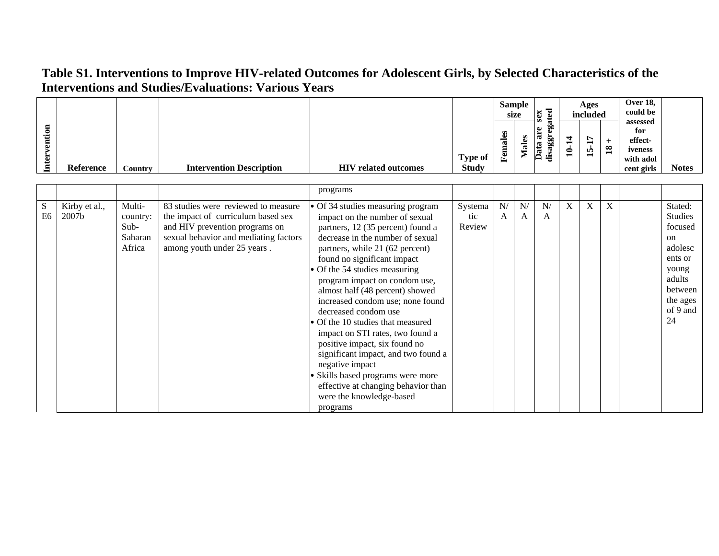|   |                  |         |                                 |                             |                |                    | Sample<br>size | ≂<br>sex                                                                                        |        | Ages<br>included   |   | <b>Over 18,</b><br>could be                        |       |
|---|------------------|---------|---------------------------------|-----------------------------|----------------|--------------------|----------------|-------------------------------------------------------------------------------------------------|--------|--------------------|---|----------------------------------------------------|-------|
| 0 |                  |         |                                 |                             | <b>Type of</b> | S<br>ω<br>ಡ<br>Fem |                | œ<br>$\bullet$<br>÷.<br>ಡ<br>٥О<br>60<br>ದ<br>↩<br>$\overline{\mathbf{a}}$<br>$\cdot$ $\,$<br>ு | 0<br>− | ∼<br>−<br>IÒ.<br>− | ∞ | assessed<br>for<br>effect-<br>iveness<br>with adol |       |
|   | <b>Reference</b> | Country | <b>Intervention Description</b> | <b>HIV</b> related outcomes | <b>Study</b>   |                    |                |                                                                                                 |        |                    |   | cent girls                                         | Notes |

|                |               |          |                                       | programs                            |         |    |    |    |   |   |   |                |
|----------------|---------------|----------|---------------------------------------|-------------------------------------|---------|----|----|----|---|---|---|----------------|
|                |               |          |                                       |                                     |         |    |    |    |   |   |   |                |
| S              | Kirby et al., | Multi-   | 83 studies were reviewed to measure   | · Of 34 studies measuring program   | Systema | N/ | N/ | N/ | X | X | X | Stated:        |
| E <sub>6</sub> | 2007b         | country: | the impact of curriculum based sex    | impact on the number of sexual      | tic     | A  | A  | A  |   |   |   | <b>Studies</b> |
|                |               | $Sub-$   | and HIV prevention programs on        | partners, 12 (35 percent) found a   | Review  |    |    |    |   |   |   | focused        |
|                |               | Saharan  | sexual behavior and mediating factors | decrease in the number of sexual    |         |    |    |    |   |   |   | <sub>on</sub>  |
|                |               | Africa   | among youth under 25 years.           | partners, while 21 (62 percent)     |         |    |    |    |   |   |   | adolesc        |
|                |               |          |                                       | found no significant impact         |         |    |    |    |   |   |   | ents or        |
|                |               |          |                                       | Of the 54 studies measuring         |         |    |    |    |   |   |   | young          |
|                |               |          |                                       | program impact on condom use,       |         |    |    |    |   |   |   | adults         |
|                |               |          |                                       | almost half (48 percent) showed     |         |    |    |    |   |   |   | between        |
|                |               |          |                                       | increased condom use; none found    |         |    |    |    |   |   |   | the ages       |
|                |               |          |                                       | decreased condom use                |         |    |    |    |   |   |   | of 9 and       |
|                |               |          |                                       | Of the 10 studies that measured     |         |    |    |    |   |   |   | 24             |
|                |               |          |                                       | impact on STI rates, two found a    |         |    |    |    |   |   |   |                |
|                |               |          |                                       | positive impact, six found no       |         |    |    |    |   |   |   |                |
|                |               |          |                                       | significant impact, and two found a |         |    |    |    |   |   |   |                |
|                |               |          |                                       | negative impact                     |         |    |    |    |   |   |   |                |
|                |               |          |                                       | Skills based programs were more     |         |    |    |    |   |   |   |                |
|                |               |          |                                       | effective at changing behavior than |         |    |    |    |   |   |   |                |
|                |               |          |                                       | were the knowledge-based            |         |    |    |    |   |   |   |                |
|                |               |          |                                       | programs                            |         |    |    |    |   |   |   |                |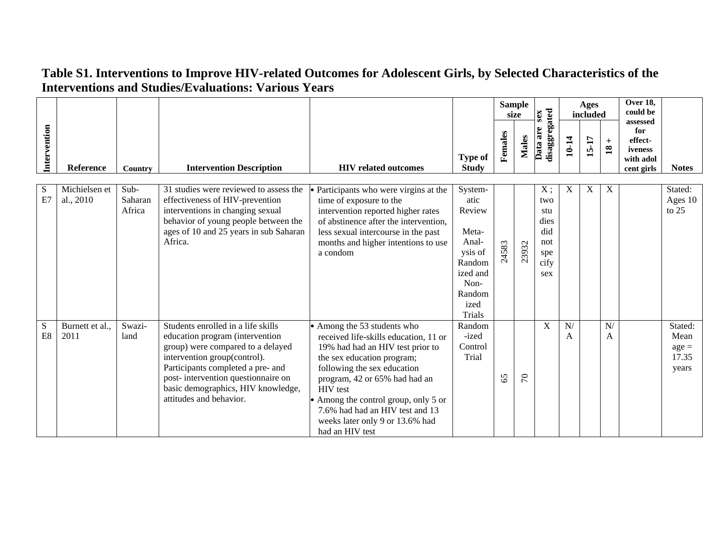|              |                            |                           |                                                                                                                                                                                                                                                                                        |                                                                                                                                                                                                                                                                                                                                                            |                                                                                                                  |         | <b>Sample</b><br>size | sex                                                             |         | Ages<br>included |                        | Over 18,<br>could be                                             |                                              |
|--------------|----------------------------|---------------------------|----------------------------------------------------------------------------------------------------------------------------------------------------------------------------------------------------------------------------------------------------------------------------------------|------------------------------------------------------------------------------------------------------------------------------------------------------------------------------------------------------------------------------------------------------------------------------------------------------------------------------------------------------------|------------------------------------------------------------------------------------------------------------------|---------|-----------------------|-----------------------------------------------------------------|---------|------------------|------------------------|------------------------------------------------------------------|----------------------------------------------|
| Intervention | <b>Reference</b>           | Country                   | <b>Intervention Description</b>                                                                                                                                                                                                                                                        | <b>HIV</b> related outcomes                                                                                                                                                                                                                                                                                                                                | <b>Type of</b><br><b>Study</b>                                                                                   | Females | <b>Males</b>          | disaggregated<br>Data are                                       | 10-14   | 15-17            | $+$<br>$\overline{18}$ | assessed<br>for<br>effect-<br>iveness<br>with adol<br>cent girls | <b>Notes</b>                                 |
| S<br>E7      | Michielsen et<br>al., 2010 | Sub-<br>Saharan<br>Africa | 31 studies were reviewed to assess the<br>effectiveness of HIV-prevention<br>interventions in changing sexual<br>behavior of young people between the<br>ages of 10 and 25 years in sub Saharan<br>Africa.                                                                             | Participants who were virgins at the<br>time of exposure to the<br>intervention reported higher rates<br>of abstinence after the intervention,<br>less sexual intercourse in the past<br>months and higher intentions to use<br>a condom                                                                                                                   | System-<br>atic<br>Review<br>Meta-<br>Anal-<br>ysis of<br>Random<br>ized and<br>Non-<br>Random<br>ized<br>Trials | 24583   | 23932                 | $X$ ;<br>two<br>stu<br>dies<br>did<br>not<br>spe<br>cify<br>sex | X       | X                | X                      |                                                                  | Stated:<br>Ages 10<br>to $25$                |
| S<br>E8      | Burnett et al.,<br>2011    | Swazi-<br>land            | Students enrolled in a life skills<br>education program (intervention<br>group) were compared to a delayed<br>intervention group(control).<br>Participants completed a pre- and<br>post-intervention questionnaire on<br>basic demographics, HIV knowledge,<br>attitudes and behavior. | • Among the 53 students who<br>received life-skills education, 11 or<br>19% had had an HIV test prior to<br>the sex education program;<br>following the sex education<br>program, 42 or 65% had had an<br><b>HIV</b> test<br>• Among the control group, only 5 or<br>7.6% had had an HIV test and 13<br>weeks later only 9 or 13.6% had<br>had an HIV test | Random<br>-ized<br>Control<br>Trial                                                                              | 65      | $\mathcal{L}$         | X                                                               | N/<br>A |                  | N/<br>A                |                                                                  | Stated:<br>Mean<br>$age =$<br>17.35<br>years |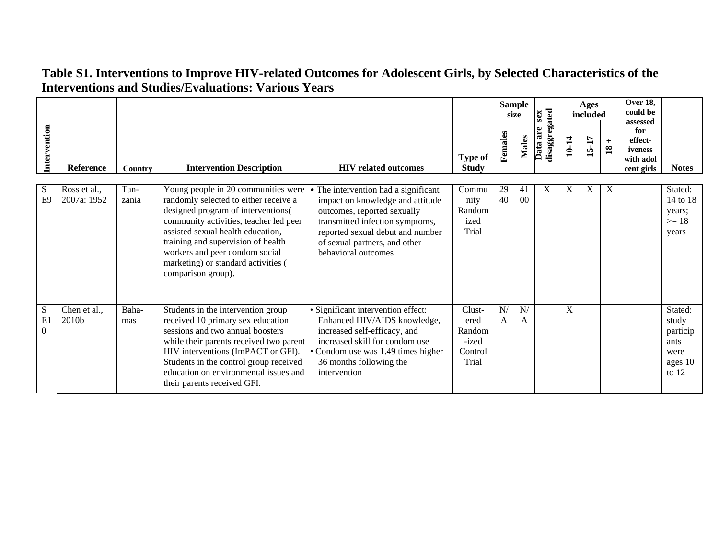|                     |                             |               |                                                                                                                                                                                                                                                        |                                                                                                                                                                                                   |                                                       |          | <b>Sample</b><br>size | sex                       |       | <b>Ages</b><br>included |                          | Over 18,<br>could be<br>assessed                     |                                              |
|---------------------|-----------------------------|---------------|--------------------------------------------------------------------------------------------------------------------------------------------------------------------------------------------------------------------------------------------------------|---------------------------------------------------------------------------------------------------------------------------------------------------------------------------------------------------|-------------------------------------------------------|----------|-----------------------|---------------------------|-------|-------------------------|--------------------------|------------------------------------------------------|----------------------------------------------|
| Intervention        | Reference                   | Country       | <b>Intervention Description</b>                                                                                                                                                                                                                        | <b>HIV</b> related outcomes                                                                                                                                                                       | <b>Type of</b><br><b>Study</b>                        | Females  | <b>Males</b>          | disaggregated<br>Data are | 10-14 | 15-17                   | $\pm$<br>$\overline{18}$ | for<br>effect-<br>iveness<br>with adol<br>cent girls | <b>Notes</b>                                 |
| S<br>E <sub>9</sub> | Ross et al.,<br>2007a: 1952 | Tan-<br>zania | Young people in 20 communities were<br>randomly selected to either receive a                                                                                                                                                                           | The intervention had a significant<br>impact on knowledge and attitude                                                                                                                            | Commu<br>nity                                         | 29<br>40 | 41<br>00              | X                         | X     | X                       | X                        |                                                      | Stated:<br>14 to 18                          |
|                     |                             |               | designed program of interventions(<br>community activities, teacher led peer<br>assisted sexual health education,<br>training and supervision of health<br>workers and peer condom social<br>marketing) or standard activities (<br>comparison group). | outcomes, reported sexually<br>transmitted infection symptoms,<br>reported sexual debut and number<br>of sexual partners, and other<br>behavioral outcomes                                        | Random<br>ized<br>Trial                               |          |                       |                           |       |                         |                          |                                                      | years;<br>$>= 18$<br>years                   |
| S<br>E1<br>$\Omega$ | Chen et al.,<br>2010b       | Baha-<br>mas  | Students in the intervention group<br>received 10 primary sex education<br>sessions and two annual boosters<br>while their parents received two parent<br>HIV interventions (ImPACT or GFI).<br>Students in the control group received                 | Significant intervention effect:<br>Enhanced HIV/AIDS knowledge,<br>increased self-efficacy, and<br>increased skill for condom use<br>Condom use was 1.49 times higher<br>36 months following the | Clust-<br>ered<br>Random<br>-ized<br>Control<br>Trial | N/<br>A  | N/<br>A               |                           | X     |                         |                          |                                                      | Stated:<br>study<br>particip<br>ants<br>were |
|                     |                             |               | education on environmental issues and<br>their parents received GFI.                                                                                                                                                                                   | intervention                                                                                                                                                                                      |                                                       |          |                       |                           |       |                         |                          |                                                      | ages 10<br>to $12$                           |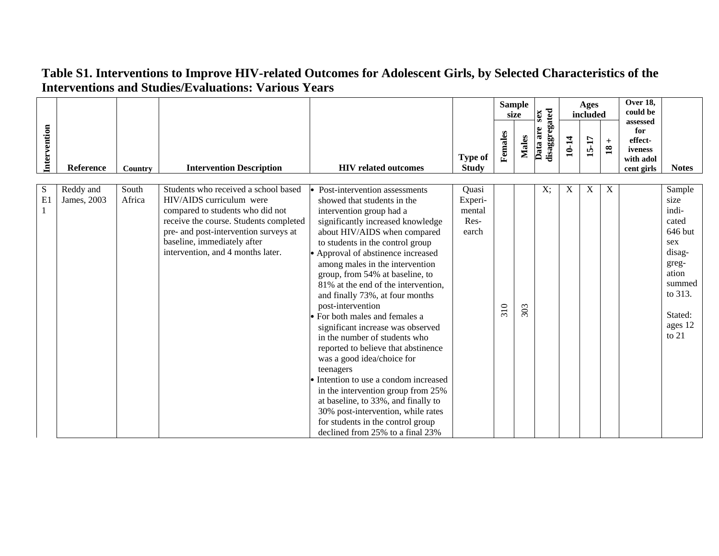|              |                          |                 |                                                                                                                                                                                                                                                             |                                                                                                                                                                                                                                                                                                                                                                                                                                                                                                                                                                                                                                                                                                                                                                                                                                           |                                             |         | <b>Sample</b><br>size | <b>Sex</b>                |       | Ages<br>included |                                 | Over 18,<br>could be<br>assessed                     |                                                                                                                                      |
|--------------|--------------------------|-----------------|-------------------------------------------------------------------------------------------------------------------------------------------------------------------------------------------------------------------------------------------------------------|-------------------------------------------------------------------------------------------------------------------------------------------------------------------------------------------------------------------------------------------------------------------------------------------------------------------------------------------------------------------------------------------------------------------------------------------------------------------------------------------------------------------------------------------------------------------------------------------------------------------------------------------------------------------------------------------------------------------------------------------------------------------------------------------------------------------------------------------|---------------------------------------------|---------|-----------------------|---------------------------|-------|------------------|---------------------------------|------------------------------------------------------|--------------------------------------------------------------------------------------------------------------------------------------|
| Intervention | Reference                | Country         | <b>Intervention Description</b>                                                                                                                                                                                                                             | <b>HIV</b> related outcomes                                                                                                                                                                                                                                                                                                                                                                                                                                                                                                                                                                                                                                                                                                                                                                                                               | <b>Type of</b><br><b>Study</b>              | Females | <b>Males</b>          | disaggregated<br>Data are | 10-14 | 15-17            | $+$<br>$\overline{\mathbf{18}}$ | for<br>effect-<br>iveness<br>with adol<br>cent girls | <b>Notes</b>                                                                                                                         |
| S<br>E1<br>1 | Reddy and<br>James, 2003 | South<br>Africa | Students who received a school based<br>HIV/AIDS curriculum were<br>compared to students who did not<br>receive the course. Students completed<br>pre- and post-intervention surveys at<br>baseline, immediately after<br>intervention, and 4 months later. | Post-intervention assessments<br>showed that students in the<br>intervention group had a<br>significantly increased knowledge<br>about HIV/AIDS when compared<br>to students in the control group<br>• Approval of abstinence increased<br>among males in the intervention<br>group, from 54% at baseline, to<br>81% at the end of the intervention,<br>and finally 73%, at four months<br>post-intervention<br>• For both males and females a<br>significant increase was observed<br>in the number of students who<br>reported to believe that abstinence<br>was a good idea/choice for<br>teenagers<br>Intention to use a condom increased<br>in the intervention group from 25%<br>at baseline, to 33%, and finally to<br>30% post-intervention, while rates<br>for students in the control group<br>declined from 25% to a final 23% | Quasi<br>Experi-<br>mental<br>Res-<br>earch | 310     | 303                   | $X$ ;                     | X     | X                | $\boldsymbol{\mathrm{X}}$       |                                                      | Sample<br>size<br>indi-<br>cated<br>646 but<br>sex<br>disag-<br>greg-<br>ation<br>summed<br>to 313.<br>Stated:<br>ages 12<br>to $21$ |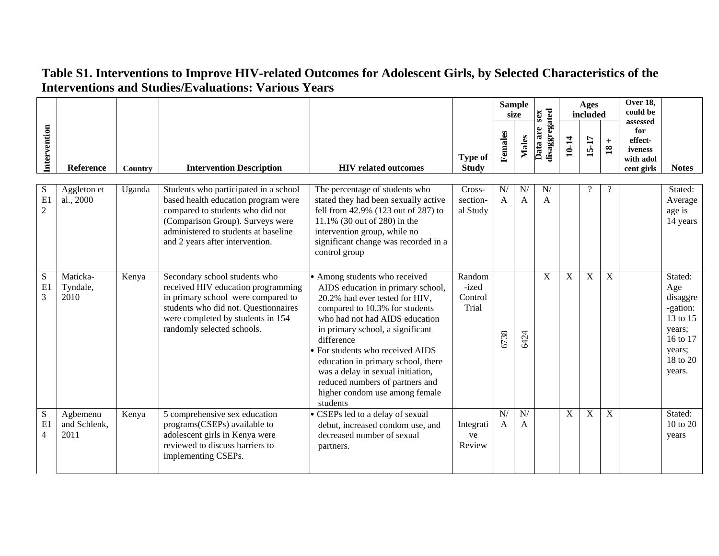|                           |                                  |         |                                                                                                                                                                                                                                 |                                                                                                                                                                                                                                                                                                                                                                                                                          |                                     |                    | <b>Sample</b><br>size | sex                       |       | <b>Ages</b><br>included |                        | <b>Over 18,</b><br>could be<br>assessed              |                                                                                                          |
|---------------------------|----------------------------------|---------|---------------------------------------------------------------------------------------------------------------------------------------------------------------------------------------------------------------------------------|--------------------------------------------------------------------------------------------------------------------------------------------------------------------------------------------------------------------------------------------------------------------------------------------------------------------------------------------------------------------------------------------------------------------------|-------------------------------------|--------------------|-----------------------|---------------------------|-------|-------------------------|------------------------|------------------------------------------------------|----------------------------------------------------------------------------------------------------------|
| Intervention              | Reference                        | Country | <b>Intervention Description</b>                                                                                                                                                                                                 | <b>HIV</b> related outcomes                                                                                                                                                                                                                                                                                                                                                                                              | <b>Type of</b><br><b>Study</b>      | Females            | Males                 | disaggregated<br>Data are | 10-14 | 15-17                   | $+$<br>$\overline{18}$ | for<br>effect-<br>iveness<br>with adol<br>cent girls | <b>Notes</b>                                                                                             |
| S<br>E1<br>$\overline{2}$ | Aggleton et<br>al., 2000         | Uganda  | Students who participated in a school<br>based health education program were<br>compared to students who did not<br>(Comparison Group). Surveys were<br>administered to students at baseline<br>and 2 years after intervention. | The percentage of students who<br>stated they had been sexually active<br>fell from 42.9% (123 out of 287) to<br>11.1% (30 out of 280) in the<br>intervention group, while no<br>significant change was recorded in a<br>control group                                                                                                                                                                                   | Cross-<br>section-<br>al Study      | N/<br>$\mathbf{A}$ | N/<br>A               | N/<br>A                   |       |                         | $\gamma$               |                                                      | Stated:<br>Average<br>age is<br>14 years                                                                 |
| S<br>E1<br>3              | Maticka-<br>Tyndale,<br>2010     | Kenya   | Secondary school students who<br>received HIV education programming<br>in primary school were compared to<br>students who did not. Questionnaires<br>were completed by students in 154<br>randomly selected schools.            | • Among students who received<br>AIDS education in primary school,<br>20.2% had ever tested for HIV,<br>compared to 10.3% for students<br>who had not had AIDS education<br>in primary school, a significant<br>difference<br>For students who received AIDS<br>education in primary school, there<br>was a delay in sexual initiation,<br>reduced numbers of partners and<br>higher condom use among female<br>students | Random<br>-ized<br>Control<br>Trial | 6738               | 6424                  | X                         | X     | $\mathbf X$             | X                      |                                                      | Stated:<br>Age<br>disaggre<br>-gation:<br>13 to 15<br>years;<br>16 to 17<br>years;<br>18 to 20<br>years. |
| S<br>E1<br>$\overline{4}$ | Agbemenu<br>and Schlenk,<br>2011 | Kenya   | 5 comprehensive sex education<br>programs(CSEPs) available to<br>adolescent girls in Kenya were<br>reviewed to discuss barriers to<br>implementing CSEPs.                                                                       | CSEPs led to a delay of sexual<br>debut, increased condom use, and<br>decreased number of sexual<br>partners.                                                                                                                                                                                                                                                                                                            | Integrati<br>ve<br>Review           | N/<br>$\mathbf{A}$ | N/<br>A               |                           | X     | $\overline{X}$          | X                      |                                                      | Stated:<br>$10 \text{ to } 20$<br>years                                                                  |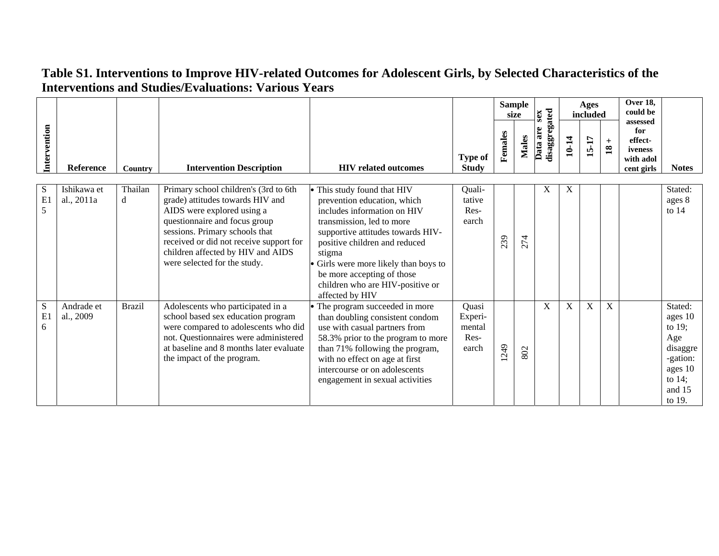|              |                           |               |                                                                                                                                                                                                                                                                                            |                                                                                                                                                                                                                                                                                                                                  |                                             |         | <b>Sample</b><br>size | sex                       |             | Ages<br>included |                              | Over 18,<br>could be                                             |                                                                                                            |
|--------------|---------------------------|---------------|--------------------------------------------------------------------------------------------------------------------------------------------------------------------------------------------------------------------------------------------------------------------------------------------|----------------------------------------------------------------------------------------------------------------------------------------------------------------------------------------------------------------------------------------------------------------------------------------------------------------------------------|---------------------------------------------|---------|-----------------------|---------------------------|-------------|------------------|------------------------------|------------------------------------------------------------------|------------------------------------------------------------------------------------------------------------|
| Intervention | <b>Reference</b>          | Country       | <b>Intervention Description</b>                                                                                                                                                                                                                                                            | <b>HIV</b> related outcomes                                                                                                                                                                                                                                                                                                      | <b>Type of</b><br><b>Study</b>              | Females | <b>Males</b>          | disaggregated<br>Data are | 10-14       | 15-17            | $\ddot{}$<br>$\overline{18}$ | assessed<br>for<br>effect-<br>iveness<br>with adol<br>cent girls | <b>Notes</b>                                                                                               |
| S<br>E1<br>5 | Ishikawa et<br>al., 2011a | Thailan<br>d  | Primary school children's (3rd to 6th<br>grade) attitudes towards HIV and<br>AIDS were explored using a<br>questionnaire and focus group<br>sessions. Primary schools that<br>received or did not receive support for<br>children affected by HIV and AIDS<br>were selected for the study. | This study found that HIV<br>prevention education, which<br>includes information on HIV<br>transmission, led to more<br>supportive attitudes towards HIV-<br>positive children and reduced<br>stigma<br>Girls were more likely than boys to<br>be more accepting of those<br>children who are HIV-positive or<br>affected by HIV | Quali-<br>tative<br>Res-<br>earch           | 239     | 274                   | X                         | $\mathbf X$ |                  |                              |                                                                  | Stated:<br>ages 8<br>to $14$                                                                               |
| S<br>E1<br>6 | Andrade et<br>al., 2009   | <b>Brazil</b> | Adolescents who participated in a<br>school based sex education program<br>were compared to adolescents who did<br>not. Questionnaires were administered<br>at baseline and 8 months later evaluate<br>the impact of the program.                                                          | The program succeeded in more<br>than doubling consistent condom<br>use with casual partners from<br>58.3% prior to the program to more<br>than 71% following the program,<br>with no effect on age at first<br>intercourse or on adolescents<br>engagement in sexual activities                                                 | Quasi<br>Experi-<br>mental<br>Res-<br>earch | 249     | 802                   | X                         | $\mathbf X$ | X                | $\mathbf X$                  |                                                                  | Stated:<br>ages 10<br>to $19$ ;<br>Age<br>disaggre<br>-gation:<br>ages 10<br>to $14$ ;<br>and 15<br>to 19. |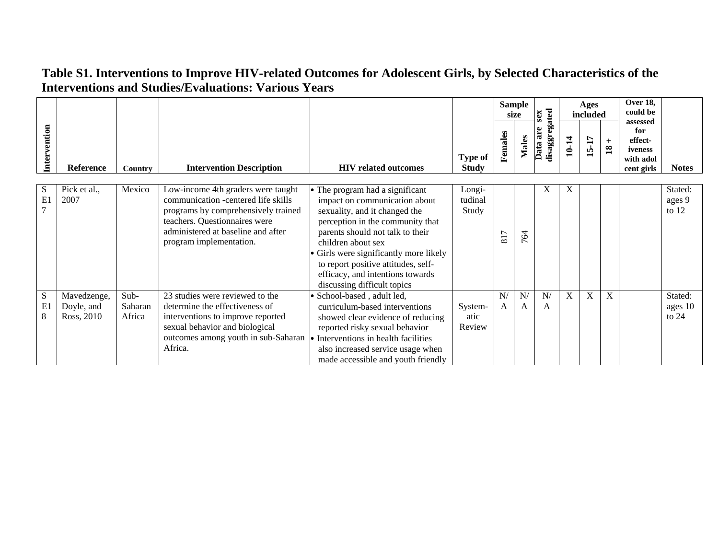|              |                                         |                           |                                                                                                                                                                                                                    |                                                                                                                                                                                                                                                                                                                                                   |                                |                                   | <b>Sample</b><br>size | sex                       |       | Ages<br>included |                      | Over 18,<br>could be                                             |                               |
|--------------|-----------------------------------------|---------------------------|--------------------------------------------------------------------------------------------------------------------------------------------------------------------------------------------------------------------|---------------------------------------------------------------------------------------------------------------------------------------------------------------------------------------------------------------------------------------------------------------------------------------------------------------------------------------------------|--------------------------------|-----------------------------------|-----------------------|---------------------------|-------|------------------|----------------------|------------------------------------------------------------------|-------------------------------|
| Intervention | <b>Reference</b>                        | Country                   | <b>Intervention Description</b>                                                                                                                                                                                    | <b>HIV</b> related outcomes                                                                                                                                                                                                                                                                                                                       | <b>Type of</b><br><b>Study</b> | Females                           | <b>Males</b>          | disaggregated<br>Data are | 10-14 | 15-17            | $+$<br>$\mathbf{18}$ | assessed<br>for<br>effect-<br>iveness<br>with adol<br>cent girls | <b>Notes</b>                  |
| S<br>E1<br>7 | Pick et al.,<br>2007                    | Mexico                    | Low-income 4th graders were taught<br>communication -centered life skills<br>programs by comprehensively trained<br>teachers. Questionnaires were<br>administered at baseline and after<br>program implementation. | • The program had a significant<br>impact on communication about<br>sexuality, and it changed the<br>perception in the community that<br>parents should not talk to their<br>children about sex<br>Girls were significantly more likely<br>to report positive attitudes, self-<br>efficacy, and intentions towards<br>discussing difficult topics | Longi-<br>tudinal<br>Study     | $\overline{ }$<br>$\overline{81}$ | 2<br>$\overline{ }$   | X                         | X     |                  |                      |                                                                  | Stated:<br>ages 9<br>to $12$  |
| S<br>E1<br>8 | Mavedzenge,<br>Doyle, and<br>Ross, 2010 | Sub-<br>Saharan<br>Africa | 23 studies were reviewed to the<br>determine the effectiveness of<br>interventions to improve reported<br>sexual behavior and biological<br>outcomes among youth in sub-Saharan<br>Africa.                         | School-based, adult led,<br>curriculum-based interventions<br>showed clear evidence of reducing<br>reported risky sexual behavior<br>• Interventions in health facilities<br>also increased service usage when<br>made accessible and youth friendly                                                                                              | System-<br>atic<br>Review      | N/<br>A                           | N/<br>A               | N/<br>A                   | X     | X                | $\mathbf X$          |                                                                  | Stated:<br>ages 10<br>to $24$ |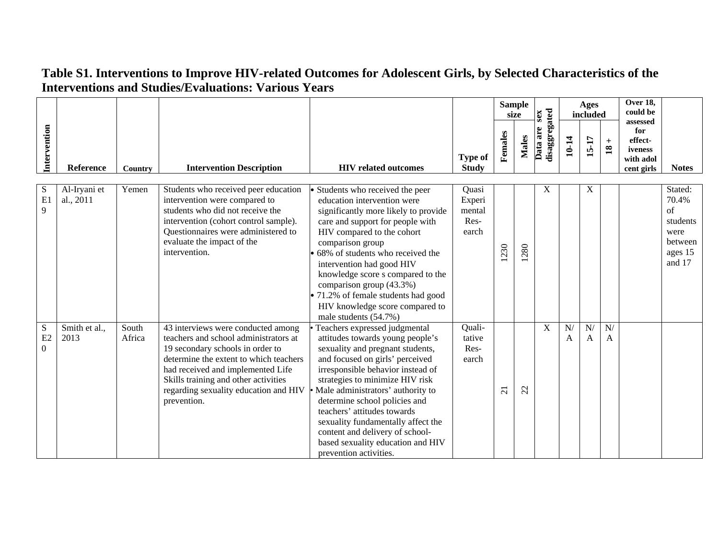|                           |                           |                 |                                                                                                                                                                                                                                                                                                |                                                                                                                                                                                                                                                                                                                                                                                                                                                               |                                            |                | <b>Sample</b><br>size | sex                       |         | Ages<br>included |                                              | Over 18,<br>could be<br>assessed                     |                                                                            |
|---------------------------|---------------------------|-----------------|------------------------------------------------------------------------------------------------------------------------------------------------------------------------------------------------------------------------------------------------------------------------------------------------|---------------------------------------------------------------------------------------------------------------------------------------------------------------------------------------------------------------------------------------------------------------------------------------------------------------------------------------------------------------------------------------------------------------------------------------------------------------|--------------------------------------------|----------------|-----------------------|---------------------------|---------|------------------|----------------------------------------------|------------------------------------------------------|----------------------------------------------------------------------------|
| Intervention              | <b>Reference</b>          | <b>Country</b>  | <b>Intervention Description</b>                                                                                                                                                                                                                                                                | <b>HIV</b> related outcomes                                                                                                                                                                                                                                                                                                                                                                                                                                   | <b>Type of</b><br><b>Study</b>             | Females        | <b>Males</b>          | disaggregated<br>Data are | 10-14   | 15-17            | $\boldsymbol{+}$<br>$\overline{\mathbf{18}}$ | for<br>effect-<br>iveness<br>with adol<br>cent girls | <b>Notes</b>                                                               |
| S<br>E1<br>9              | Al-Iryani et<br>al., 2011 | Yemen           | Students who received peer education<br>intervention were compared to<br>students who did not receive the<br>intervention (cohort control sample).<br>Questionnaires were administered to<br>evaluate the impact of the<br>intervention.                                                       | • Students who received the peer<br>education intervention were<br>significantly more likely to provide<br>care and support for people with<br>HIV compared to the cohort<br>comparison group<br>68% of students who received the<br>intervention had good HIV<br>knowledge score s compared to the<br>comparison group (43.3%)<br>• 71.2% of female students had good<br>HIV knowledge score compared to<br>male students (54.7%)                            | Quasi<br>Experi<br>mental<br>Res-<br>earch | 230            | 280                   | X                         |         | X                |                                              |                                                      | Stated:<br>70.4%<br>of<br>students<br>were<br>between<br>ages 15<br>and 17 |
| S<br>E2<br>$\overline{0}$ | Smith et al.,<br>2013     | South<br>Africa | 43 interviews were conducted among<br>teachers and school administrators at<br>19 secondary schools in order to<br>determine the extent to which teachers<br>had received and implemented Life<br>Skills training and other activities<br>regarding sexuality education and HIV<br>prevention. | Teachers expressed judgmental<br>attitudes towards young people's<br>sexuality and pregnant students,<br>and focused on girls' perceived<br>irresponsible behavior instead of<br>strategies to minimize HIV risk<br>Male administrators' authority to<br>determine school policies and<br>teachers' attitudes towards<br>sexuality fundamentally affect the<br>content and delivery of school-<br>based sexuality education and HIV<br>prevention activities. | Quali-<br>tative<br>Res-<br>earch          | $\overline{c}$ | 22                    | X                         | N/<br>A | ${\bf N} /$<br>A | N/<br>A                                      |                                                      |                                                                            |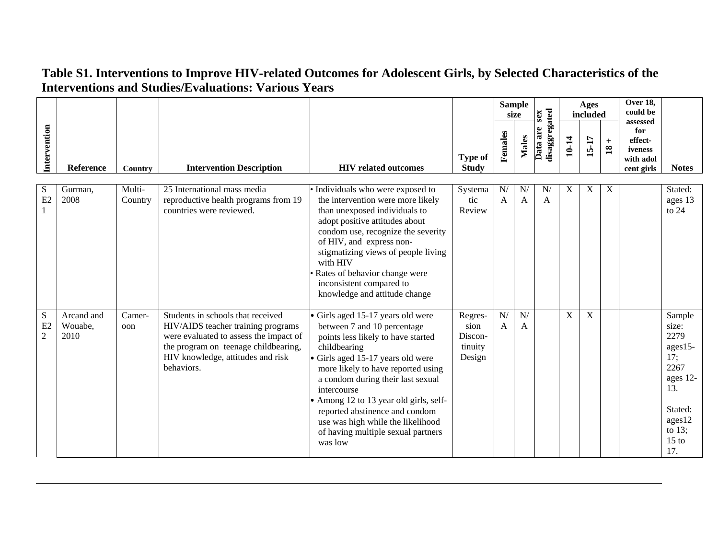|                                   |                               |                   |                                                                                                                                                                                                              |                                                                                                                                                                                                                                                                                                                                                                                                                   |                                                 |                      | <b>Sample</b><br>size | sex                       |                           | Ages<br>included |                        | Over 18,<br>could be<br>assessed                     |                                                                                                                          |
|-----------------------------------|-------------------------------|-------------------|--------------------------------------------------------------------------------------------------------------------------------------------------------------------------------------------------------------|-------------------------------------------------------------------------------------------------------------------------------------------------------------------------------------------------------------------------------------------------------------------------------------------------------------------------------------------------------------------------------------------------------------------|-------------------------------------------------|----------------------|-----------------------|---------------------------|---------------------------|------------------|------------------------|------------------------------------------------------|--------------------------------------------------------------------------------------------------------------------------|
| Intervention                      | Reference                     | Country           | <b>Intervention Description</b>                                                                                                                                                                              | <b>HIV</b> related outcomes                                                                                                                                                                                                                                                                                                                                                                                       | <b>Type of</b><br><b>Study</b>                  | Females              | <b>Males</b>          | disaggregated<br>Data are | 10-14                     | 15-17            | $+$<br>$\overline{18}$ | for<br>effect-<br>iveness<br>with adol<br>cent girls | <b>Notes</b>                                                                                                             |
| S<br>E2                           | Gurman,<br>2008               | Multi-<br>Country | 25 International mass media<br>reproductive health programs from 19<br>countries were reviewed.                                                                                                              | Individuals who were exposed to<br>the intervention were more likely<br>than unexposed individuals to<br>adopt positive attitudes about<br>condom use, recognize the severity<br>of HIV, and express non-<br>stigmatizing views of people living<br>with HIV<br>Rates of behavior change were<br>inconsistent compared to<br>knowledge and attitude change                                                        | Systema<br>tic<br>Review                        | N/<br>$\overline{A}$ | N<br>A                | N/<br>$\overline{A}$      | $\boldsymbol{\mathrm{X}}$ | X                | X                      |                                                      | Stated:<br>ages 13<br>to $24$                                                                                            |
| ${\bf S}$<br>E2<br>$\overline{c}$ | Arcand and<br>Wouabe,<br>2010 | Camer-<br>oon     | Students in schools that received<br>HIV/AIDS teacher training programs<br>were evaluated to assess the impact of<br>the program on teenage childbearing,<br>HIV knowledge, attitudes and risk<br>behaviors. | Girls aged 15-17 years old were<br>between 7 and 10 percentage<br>points less likely to have started<br>childbearing<br>Girls aged 15-17 years old were<br>more likely to have reported using<br>a condom during their last sexual<br>intercourse<br>Among 12 to 13 year old girls, self-<br>reported abstinence and condom<br>use was high while the likelihood<br>of having multiple sexual partners<br>was low | Regres-<br>sion<br>Discon-<br>tinuity<br>Design | N/<br>$\overline{A}$ | N/<br>A               |                           | $\boldsymbol{\mathrm{X}}$ | $\overline{X}$   |                        |                                                      | Sample<br>size:<br>2279<br>ages15-<br>17;<br>2267<br>ages 12-<br>13.<br>Stated:<br>ages12<br>to $13$ ;<br>$15$ to<br>17. |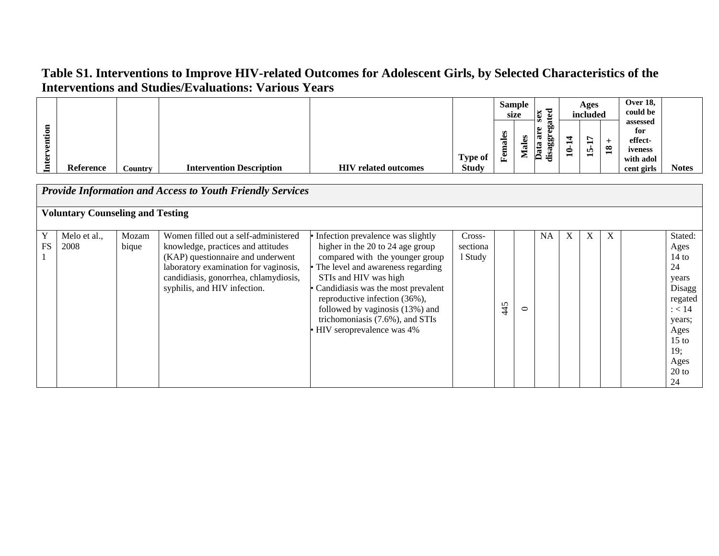|              |                                         |                |                                                                                                                                                                                                                                   |                                                                                                                                                                                                                                                                                                                                                  |                               |         | <b>Sample</b><br>size | sex                       |       | Ages<br>included |                        | Over 18,<br>could be<br>assessed       |                                                                                                                                       |
|--------------|-----------------------------------------|----------------|-----------------------------------------------------------------------------------------------------------------------------------------------------------------------------------------------------------------------------------|--------------------------------------------------------------------------------------------------------------------------------------------------------------------------------------------------------------------------------------------------------------------------------------------------------------------------------------------------|-------------------------------|---------|-----------------------|---------------------------|-------|------------------|------------------------|----------------------------------------|---------------------------------------------------------------------------------------------------------------------------------------|
| Intervention |                                         |                |                                                                                                                                                                                                                                   |                                                                                                                                                                                                                                                                                                                                                  | <b>Type of</b>                | Females | <b>Males</b>          | disaggregated<br>Data are | 10-14 | 15-17            | $+$<br>$\overline{18}$ | for<br>effect-<br>iveness<br>with adol |                                                                                                                                       |
|              | <b>Reference</b>                        | <b>Country</b> | <b>Intervention Description</b>                                                                                                                                                                                                   | <b>HIV</b> related outcomes                                                                                                                                                                                                                                                                                                                      | <b>Study</b>                  |         |                       |                           |       |                  |                        | cent girls                             | <b>Notes</b>                                                                                                                          |
|              |                                         |                | <b>Provide Information and Access to Youth Friendly Services</b>                                                                                                                                                                  |                                                                                                                                                                                                                                                                                                                                                  |                               |         |                       |                           |       |                  |                        |                                        |                                                                                                                                       |
|              | <b>Voluntary Counseling and Testing</b> |                |                                                                                                                                                                                                                                   |                                                                                                                                                                                                                                                                                                                                                  |                               |         |                       |                           |       |                  |                        |                                        |                                                                                                                                       |
| Y<br>FS      | Melo et al.,<br>2008                    | Mozam<br>bique | Women filled out a self-administered<br>knowledge, practices and attitudes<br>(KAP) questionnaire and underwent<br>laboratory examination for vaginosis,<br>candidiasis, gonorrhea, chlamydiosis,<br>syphilis, and HIV infection. | Infection prevalence was slightly<br>higher in the 20 to 24 age group<br>compared with the younger group<br>The level and awareness regarding<br>STIs and HIV was high<br>Candidiasis was the most prevalent<br>reproductive infection (36%),<br>followed by vaginosis (13%) and<br>trichomoniasis (7.6%), and STIs<br>HIV seroprevalence was 4% | Cross-<br>sectiona<br>1 Study | 445     | $\circ$               | <b>NA</b>                 | X     | X                | X                      |                                        | Stated:<br>Ages<br>$14$ to<br>24<br>years<br>Disagg<br>regated<br>: < 14<br>years;<br>Ages<br>$15$ to<br>19;<br>Ages<br>$20$ to<br>24 |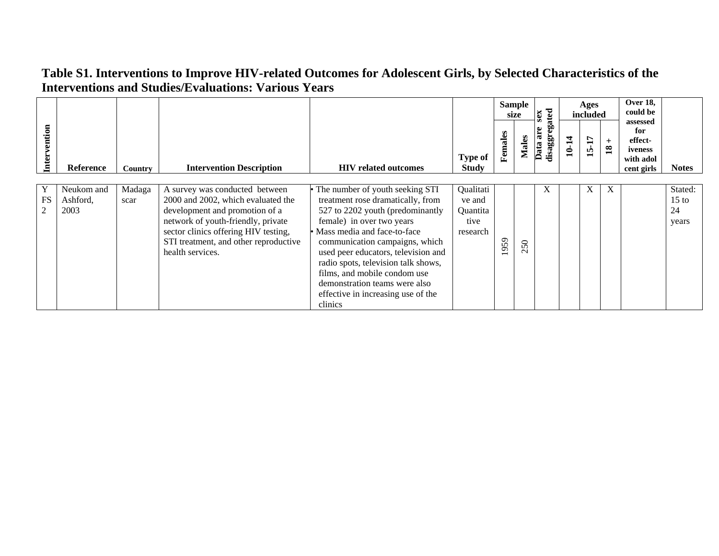|                                  |                                |                |                                                                                                                                                                                                                                                   |                                                                                                                                                                                                                                                                                                                                                                                                        |                                                     |         | <b>Sample</b><br>size | ated<br>sex              |       | Ages<br>included |                        | <b>Over 18,</b><br>could be                                      |                                   |
|----------------------------------|--------------------------------|----------------|---------------------------------------------------------------------------------------------------------------------------------------------------------------------------------------------------------------------------------------------------|--------------------------------------------------------------------------------------------------------------------------------------------------------------------------------------------------------------------------------------------------------------------------------------------------------------------------------------------------------------------------------------------------------|-----------------------------------------------------|---------|-----------------------|--------------------------|-------|------------------|------------------------|------------------------------------------------------------------|-----------------------------------|
| Intervention                     | Reference                      | Country        | <b>Intervention Description</b>                                                                                                                                                                                                                   | <b>HIV</b> related outcomes                                                                                                                                                                                                                                                                                                                                                                            | <b>Type of</b><br><b>Study</b>                      | Females | <b>Males</b>          | are<br>disaggreg<br>Data | 10-14 | 15-17            | $+$<br>$\overline{18}$ | assessed<br>for<br>effect-<br>iveness<br>with adol<br>cent girls | <b>Notes</b>                      |
|                                  |                                |                |                                                                                                                                                                                                                                                   |                                                                                                                                                                                                                                                                                                                                                                                                        |                                                     |         |                       |                          |       |                  |                        |                                                                  |                                   |
| Y<br><b>FS</b><br>$\overline{2}$ | Neukom and<br>Ashford,<br>2003 | Madaga<br>scar | A survey was conducted between<br>2000 and 2002, which evaluated the<br>development and promotion of a<br>network of youth-friendly, private<br>sector clinics offering HIV testing,<br>STI treatment, and other reproductive<br>health services. | The number of youth seeking STI<br>treatment rose dramatically, from<br>527 to 2202 youth (predominantly<br>female) in over two years<br>Mass media and face-to-face<br>communication campaigns, which<br>used peer educators, television and<br>radio spots, television talk shows,<br>films, and mobile condom use<br>demonstration teams were also<br>effective in increasing use of the<br>clinics | Qualitati<br>ve and<br>Quantita<br>tive<br>research | 959     | 250                   | X                        |       | X                | X                      |                                                                  | Stated:<br>$15$ to<br>24<br>years |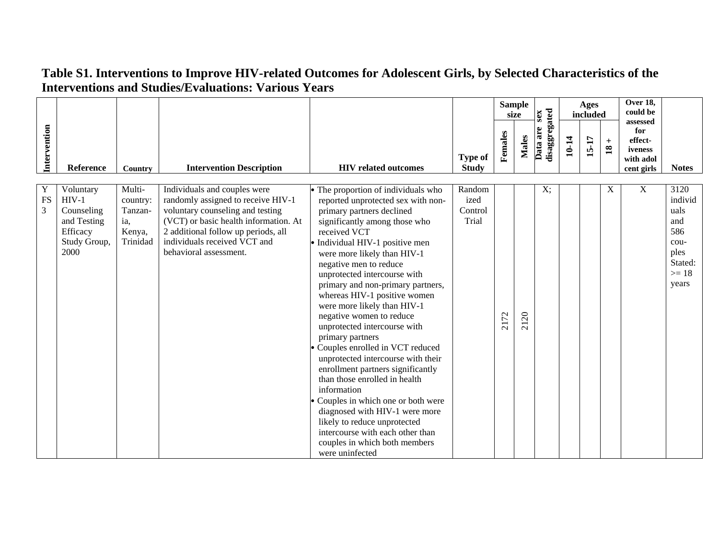|                                  |                                                                                       |                                                            |                                                                                                                                                                                                                                                  |                                                                                                                                                                                                                                                                                                                                                                                                                                                                                                                                                                                                                                                                                                                                                                                                                                  |                                    |         | <b>Sample</b><br>size | sex                       |       | Ages<br>included |                        | Over 18,<br>could be<br>assessed                     |                                                                                      |
|----------------------------------|---------------------------------------------------------------------------------------|------------------------------------------------------------|--------------------------------------------------------------------------------------------------------------------------------------------------------------------------------------------------------------------------------------------------|----------------------------------------------------------------------------------------------------------------------------------------------------------------------------------------------------------------------------------------------------------------------------------------------------------------------------------------------------------------------------------------------------------------------------------------------------------------------------------------------------------------------------------------------------------------------------------------------------------------------------------------------------------------------------------------------------------------------------------------------------------------------------------------------------------------------------------|------------------------------------|---------|-----------------------|---------------------------|-------|------------------|------------------------|------------------------------------------------------|--------------------------------------------------------------------------------------|
| Intervention                     | <b>Reference</b>                                                                      | Country                                                    | <b>Intervention Description</b>                                                                                                                                                                                                                  | <b>HIV</b> related outcomes                                                                                                                                                                                                                                                                                                                                                                                                                                                                                                                                                                                                                                                                                                                                                                                                      | <b>Type of</b><br><b>Study</b>     | Females | <b>Males</b>          | disaggregated<br>Data are | 10-14 | 15-17            | $+$<br>$\overline{18}$ | for<br>effect-<br>iveness<br>with adol<br>cent girls | <b>Notes</b>                                                                         |
| Y<br><b>FS</b><br>$\overline{3}$ | Voluntary<br>$HIV-1$<br>Counseling<br>and Testing<br>Efficacy<br>Study Group,<br>2000 | Multi-<br>country:<br>Tanzan-<br>ia,<br>Kenya,<br>Trinidad | Individuals and couples were<br>randomly assigned to receive HIV-1<br>voluntary counseling and testing<br>(VCT) or basic health information. At<br>2 additional follow up periods, all<br>individuals received VCT and<br>behavioral assessment. | The proportion of individuals who<br>reported unprotected sex with non-<br>primary partners declined<br>significantly among those who<br>received VCT<br>Individual HIV-1 positive men<br>were more likely than HIV-1<br>negative men to reduce<br>unprotected intercourse with<br>primary and non-primary partners,<br>whereas HIV-1 positive women<br>were more likely than HIV-1<br>negative women to reduce<br>unprotected intercourse with<br>primary partners<br>Couples enrolled in VCT reduced<br>unprotected intercourse with their<br>enrollment partners significantly<br>than those enrolled in health<br>information<br>Couples in which one or both were<br>diagnosed with HIV-1 were more<br>likely to reduce unprotected<br>intercourse with each other than<br>couples in which both members<br>were uninfected | Random<br>ized<br>Control<br>Trial | 2172    | 2120                  | X;                        |       |                  | X                      | X                                                    | 3120<br>individ<br>uals<br>and<br>586<br>cou-<br>ples<br>Stated:<br>$>= 18$<br>years |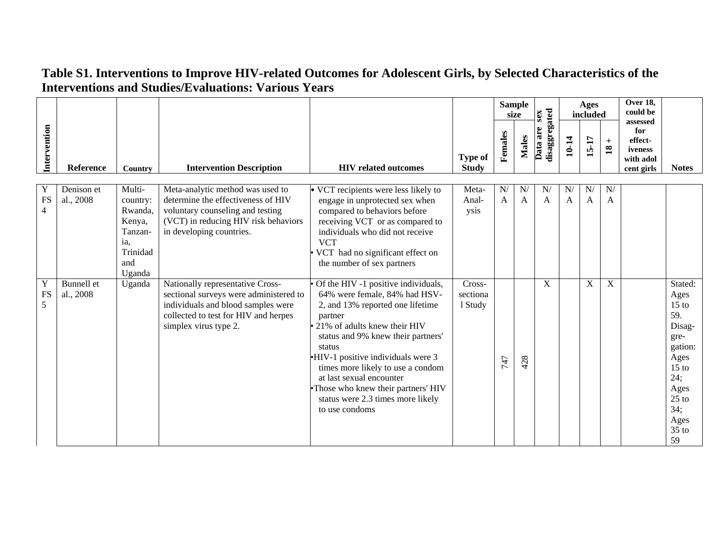|                           |                                |                                                                                        |                                                                                                                                                                                   |                                                                                                                                                                                                                                                                                                                                                                                                        |                                |                    | <b>Sample</b><br>size | sex                              |         | Ages<br>included   |                                 | Over 18,<br>could be                                             |                                                                                                                                                      |
|---------------------------|--------------------------------|----------------------------------------------------------------------------------------|-----------------------------------------------------------------------------------------------------------------------------------------------------------------------------------|--------------------------------------------------------------------------------------------------------------------------------------------------------------------------------------------------------------------------------------------------------------------------------------------------------------------------------------------------------------------------------------------------------|--------------------------------|--------------------|-----------------------|----------------------------------|---------|--------------------|---------------------------------|------------------------------------------------------------------|------------------------------------------------------------------------------------------------------------------------------------------------------|
| Intervention              | Reference                      | Country                                                                                | <b>Intervention Description</b>                                                                                                                                                   | <b>HIV</b> related outcomes                                                                                                                                                                                                                                                                                                                                                                            | <b>Type of</b><br><b>Study</b> | Females            | Males                 | <b>disaggregated</b><br>Data are | 10-14   | 15-17              | $+$<br>$\overline{\mathbf{18}}$ | assessed<br>for<br>effect-<br>iveness<br>with adol<br>cent girls | <b>Notes</b>                                                                                                                                         |
| Y<br>FS<br>$\overline{4}$ | Denison et<br>al., 2008        | Multi-<br>country:<br>Rwanda,<br>Kenya,<br>Tanzan-<br>ia,<br>Trinidad<br>and<br>Uganda | Meta-analytic method was used to<br>determine the effectiveness of HIV<br>voluntary counseling and testing<br>(VCT) in reducing HIV risk behaviors<br>in developing countries.    | $\overline{\bullet}$ VCT recipients were less likely to<br>engage in unprotected sex when<br>compared to behaviors before<br>receiving VCT or as compared to<br>individuals who did not receive<br><b>VCT</b><br>VCT had no significant effect on<br>the number of sex partners                                                                                                                        | Meta-<br>Anal-<br>ysis         | N/<br>$\mathbf{A}$ | N<br>A                | N/<br>$\mathbf{A}$               | N/<br>A | N/<br>$\mathbf{A}$ | N/<br>A                         |                                                                  |                                                                                                                                                      |
| Y<br>FS<br>5              | <b>Bunnell</b> et<br>al., 2008 | Uganda                                                                                 | Nationally representative Cross-<br>sectional surveys were administered to<br>individuals and blood samples were<br>collected to test for HIV and herpes<br>simplex virus type 2. | Of the HIV -1 positive individuals,<br>64% were female, 84% had HSV-<br>2, and 13% reported one lifetime<br>partner<br>21% of adults knew their HIV<br>status and 9% knew their partners'<br>status<br>HIV-1 positive individuals were 3<br>times more likely to use a condom<br>at last sexual encounter<br>Those who knew their partners' HIV<br>status were 2.3 times more likely<br>to use condoms | Cross-<br>sectiona<br>1 Study  | 747                | 428                   | $\boldsymbol{\mathrm{X}}$        |         | $\mathbf X$        | $\mathbf X$                     |                                                                  | Stated:<br>Ages<br>$15$ to<br>59.<br>Disag-<br>gre-<br>gation:<br>Ages<br>15 <sub>to</sub><br>24;<br>Ages<br>$25$ to<br>34;<br>Ages<br>$35$ to<br>59 |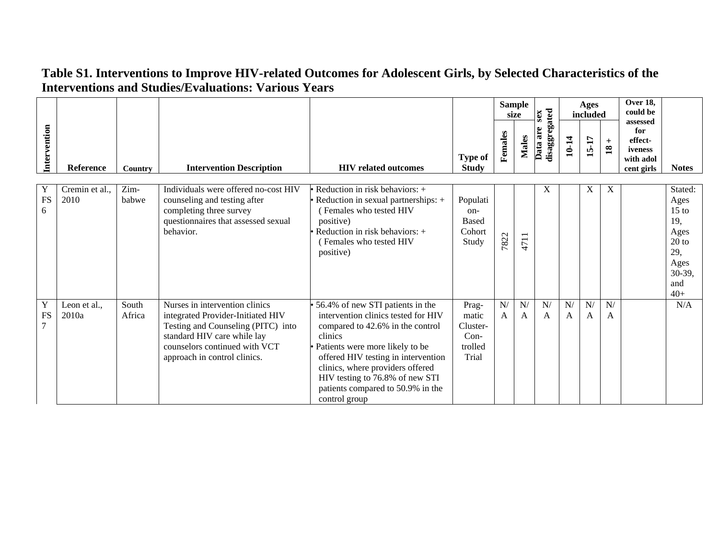|                     |                        |                 |                                                                                                                                                                                                           |                                                                                                                                                                                                                                                                                                                               |                                                          |                    | <b>Sample</b><br>size | sex                       |         | <b>Ages</b><br>included |                        | Over 18,<br>could be<br>assessed                     |                                                                                                       |
|---------------------|------------------------|-----------------|-----------------------------------------------------------------------------------------------------------------------------------------------------------------------------------------------------------|-------------------------------------------------------------------------------------------------------------------------------------------------------------------------------------------------------------------------------------------------------------------------------------------------------------------------------|----------------------------------------------------------|--------------------|-----------------------|---------------------------|---------|-------------------------|------------------------|------------------------------------------------------|-------------------------------------------------------------------------------------------------------|
| Intervention        | Reference              | Country         | <b>Intervention Description</b>                                                                                                                                                                           | <b>HIV</b> related outcomes                                                                                                                                                                                                                                                                                                   | <b>Type of</b><br><b>Study</b>                           | Females            | <b>Males</b>          | disaggregated<br>Data are | 10-14   | 15-17                   | $+$<br>$\overline{18}$ | for<br>effect-<br>iveness<br>with adol<br>cent girls | <b>Notes</b>                                                                                          |
| Y<br><b>FS</b><br>6 | Cremin et al.,<br>2010 | Zim-<br>babwe   | Individuals were offered no-cost HIV<br>counseling and testing after<br>completing three survey<br>questionnaires that assessed sexual<br>behavior.                                                       | • Reduction in risk behaviors: $+$<br>Reduction in sexual partnerships: +<br>(Females who tested HIV<br>positive)<br>Reduction in risk behaviors: +<br>(Females who tested HIV<br>positive)                                                                                                                                   | Populati<br>on-<br><b>Based</b><br>Cohort<br>Study       | 7822               | 4711                  | X                         |         | X                       | X                      |                                                      | Stated:<br>Ages<br>$15 \text{ to}$<br>19,<br>Ages<br>$20$ to<br>29,<br>Ages<br>30-39,<br>and<br>$40+$ |
| Y<br><b>FS</b><br>7 | Leon et al.,<br>2010a  | South<br>Africa | Nurses in intervention clinics<br>integrated Provider-Initiated HIV<br>Testing and Counseling (PITC) into<br>standard HIV care while lay<br>counselors continued with VCT<br>approach in control clinics. | 56.4% of new STI patients in the<br>intervention clinics tested for HIV<br>compared to 42.6% in the control<br>clinics<br>Patients were more likely to be<br>offered HIV testing in intervention<br>clinics, where providers offered<br>HIV testing to 76.8% of new STI<br>patients compared to 50.9% in the<br>control group | Prag-<br>matic<br>Cluster-<br>$Con-$<br>trolled<br>Trial | N/<br>$\mathsf{A}$ | ${\bf N} /$<br>A      | N/<br>A                   | N/<br>A | N/<br>A                 | N/<br>A                |                                                      | N/A                                                                                                   |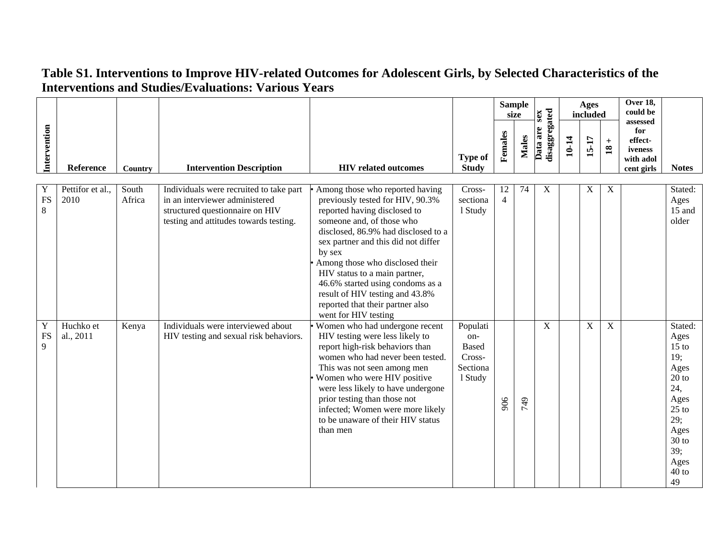|                     |                          |                 |                                                                                                                                                        |                                                                                                                                                                                                                                                                                                                                                                                                                                 |                                                                  |                      | <b>Sample</b><br>size |                                  |       | <b>Ages</b><br>included |                          | Over 18,<br>could be                                             |                                                                                                                                          |
|---------------------|--------------------------|-----------------|--------------------------------------------------------------------------------------------------------------------------------------------------------|---------------------------------------------------------------------------------------------------------------------------------------------------------------------------------------------------------------------------------------------------------------------------------------------------------------------------------------------------------------------------------------------------------------------------------|------------------------------------------------------------------|----------------------|-----------------------|----------------------------------|-------|-------------------------|--------------------------|------------------------------------------------------------------|------------------------------------------------------------------------------------------------------------------------------------------|
| Intervention        | Reference                | Country         | <b>Intervention Description</b>                                                                                                                        | <b>HIV</b> related outcomes                                                                                                                                                                                                                                                                                                                                                                                                     | <b>Type of</b><br><b>Study</b>                                   | Females              | Males                 | disaggregated<br>sex<br>Data are | 10-14 | $15 - 17$               | $\pm$<br>$\overline{18}$ | assessed<br>for<br>effect-<br>iveness<br>with adol<br>cent girls | <b>Notes</b>                                                                                                                             |
| Y<br><b>FS</b><br>8 | Pettifor et al.,<br>2010 | South<br>Africa | Individuals were recruited to take part<br>in an interviewer administered<br>structured questionnaire on HIV<br>testing and attitudes towards testing. | Among those who reported having<br>previously tested for HIV, 90.3%<br>reported having disclosed to<br>someone and, of those who<br>disclosed, 86.9% had disclosed to a<br>sex partner and this did not differ<br>by sex<br>Among those who disclosed their<br>HIV status to a main partner,<br>46.6% started using condoms as a<br>result of HIV testing and 43.8%<br>reported that their partner also<br>went for HIV testing | Cross-<br>sectiona<br>1 Study                                    | 12<br>$\overline{4}$ | 74                    | X                                |       | X                       | X                        |                                                                  | Stated:<br>Ages<br>15 and<br>older                                                                                                       |
| Y<br><b>FS</b><br>9 | Huchko et<br>al., 2011   | Kenya           | Individuals were interviewed about<br>HIV testing and sexual risk behaviors.                                                                           | Women who had undergone recent<br>HIV testing were less likely to<br>report high-risk behaviors than<br>women who had never been tested.<br>This was not seen among men<br>Women who were HIV positive<br>were less likely to have undergone<br>prior testing than those not<br>infected; Women were more likely<br>to be unaware of their HIV status<br>than men                                                               | Populati<br>on-<br><b>Based</b><br>Cross-<br>Sectiona<br>1 Study | 906                  | 949                   | $\boldsymbol{\mathrm{X}}$        |       | $\mathbf X$             | $\boldsymbol{X}$         |                                                                  | Stated:<br>Ages<br>$15$ to<br>19;<br>Ages<br>$20$ to<br>24,<br>Ages<br>$25$ to<br>29;<br>Ages<br>$30$ to<br>39;<br>Ages<br>$40$ to<br>49 |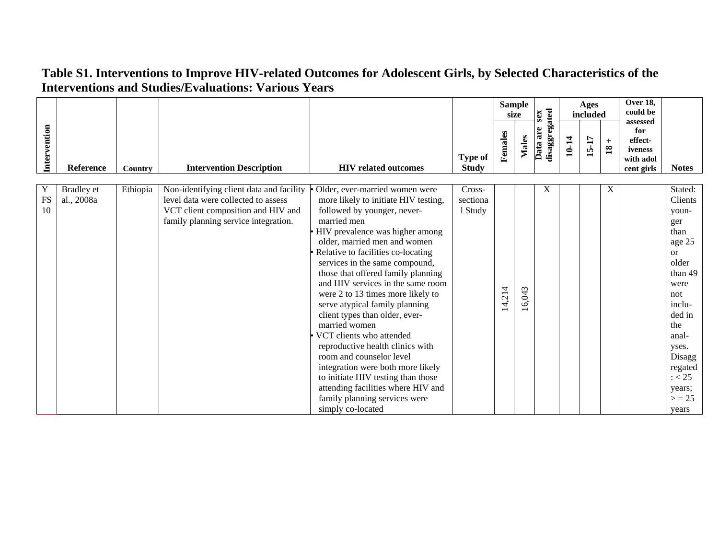| Intervention  | Reference                       | <b>Country</b> | <b>Intervention Description</b>                                                                                                                               | <b>HIV</b> related outcomes                                                                                                                                                                                                                                                                                                                                                                                                                                                                                                                                                                                                                                                                                                             | <b>Type of</b><br><b>Study</b> | Females | <b>Sample</b><br>size<br><b>Males</b> | disaggregated<br>sex<br>Data are | 10-14 | Ages<br>included<br>15-17 | $+$<br>$\overline{18}$ | Over 18,<br>could be<br>assessed<br>for<br>effect-<br>iveness<br>with adol<br>cent girls | <b>Notes</b>                                                                                                                                                                                                        |
|---------------|---------------------------------|----------------|---------------------------------------------------------------------------------------------------------------------------------------------------------------|-----------------------------------------------------------------------------------------------------------------------------------------------------------------------------------------------------------------------------------------------------------------------------------------------------------------------------------------------------------------------------------------------------------------------------------------------------------------------------------------------------------------------------------------------------------------------------------------------------------------------------------------------------------------------------------------------------------------------------------------|--------------------------------|---------|---------------------------------------|----------------------------------|-------|---------------------------|------------------------|------------------------------------------------------------------------------------------|---------------------------------------------------------------------------------------------------------------------------------------------------------------------------------------------------------------------|
| Y<br>FS<br>10 | <b>Bradley</b> et<br>al., 2008a | Ethiopia       | Non-identifying client data and facility<br>level data were collected to assess<br>VCT client composition and HIV and<br>family planning service integration. | Older, ever-married women were<br>more likely to initiate HIV testing,<br>followed by younger, never-<br>married men<br>HIV prevalence was higher among<br>older, married men and women<br>Relative to facilities co-locating<br>services in the same compound,<br>those that offered family planning<br>and HIV services in the same room<br>were 2 to 13 times more likely to<br>serve atypical family planning<br>client types than older, ever-<br>married women<br>VCT clients who attended<br>reproductive health clinics with<br>room and counselor level<br>integration were both more likely<br>to initiate HIV testing than those<br>attending facilities where HIV and<br>family planning services were<br>simply co-located | Cross-<br>sectiona<br>1 Study  | 14,214  | 16,043                                | X                                |       |                           | X                      |                                                                                          | Stated:<br>Clients<br>youn-<br>ger<br>than<br>age 25<br><sub>or</sub><br>older<br>than 49<br>were<br>not<br>inclu-<br>ded in<br>the<br>anal-<br>yses.<br>Disagg<br>regated<br>: < 25<br>years;<br>$>$ = 25<br>years |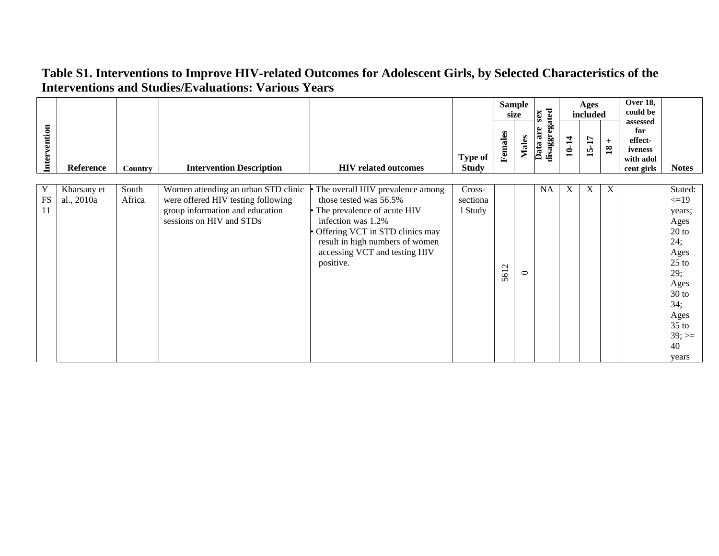|                       |                           |                 |                                                                                                                                          |                                                                                                                                                                                                                                       |                                |                          | <b>Sample</b><br>size | sex                       |       | Ages<br>included |                                 | <b>Over 18,</b><br>could be                                      |                                                                                                                                                             |
|-----------------------|---------------------------|-----------------|------------------------------------------------------------------------------------------------------------------------------------------|---------------------------------------------------------------------------------------------------------------------------------------------------------------------------------------------------------------------------------------|--------------------------------|--------------------------|-----------------------|---------------------------|-------|------------------|---------------------------------|------------------------------------------------------------------|-------------------------------------------------------------------------------------------------------------------------------------------------------------|
| Intervention          | Reference                 | Country         | <b>Intervention Description</b>                                                                                                          | <b>HIV</b> related outcomes                                                                                                                                                                                                           | <b>Type of</b><br><b>Study</b> | Females                  | Males                 | disaggregated<br>Data are | 10-14 | 15-17            | $+$<br>$\overline{\mathbf{18}}$ | assessed<br>for<br>effect-<br>iveness<br>with adol<br>cent girls | <b>Notes</b>                                                                                                                                                |
| Y<br>${\rm FS}$<br>11 | Kharsany et<br>al., 2010a | South<br>Africa | Women attending an urban STD clinic<br>were offered HIV testing following<br>group information and education<br>sessions on HIV and STDs | The overall HIV prevalence among<br>those tested was 56.5%<br>• The prevalence of acute HIV<br>infection was 1.2%<br>Offering VCT in STD clinics may<br>result in high numbers of women<br>accessing VCT and testing HIV<br>positive. | Cross-<br>sectiona<br>1 Study  | $\mathbf{\Omega}$<br>561 | $\circ$               | <b>NA</b>                 | X     | X                | X                               |                                                                  | Stated:<br>$\leq$ =19<br>years;<br>Ages<br>$20$ to<br>24;<br>Ages<br>$25$ to<br>29;<br>Ages<br>$30$ to<br>34;<br>Ages<br>$35$ to<br>$39; ==$<br>40<br>years |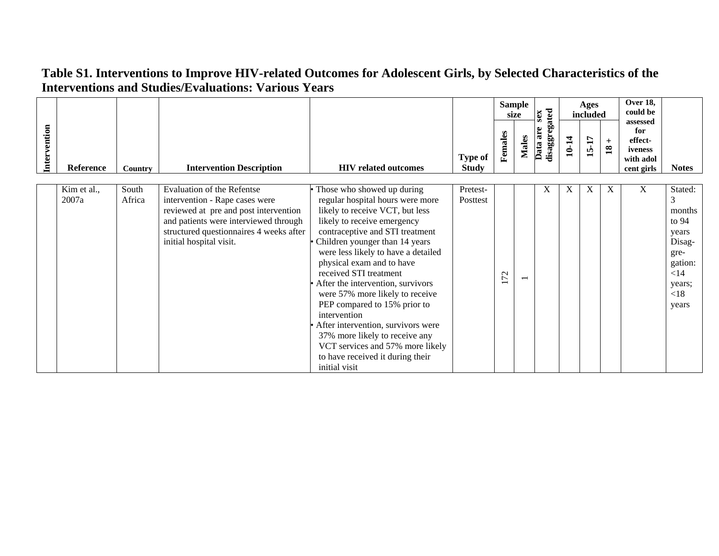|              |                      |                 |                                                                                                                                                                                                                             |                                                                                                                                                                                                                                                                                                                                                                                                                                                                                                                                                                                              |                                |                                | <b>Sample</b><br>size | sex                       |       | Ages<br>included |                        | Over 18,<br>could be                                             |                                                                                                              |
|--------------|----------------------|-----------------|-----------------------------------------------------------------------------------------------------------------------------------------------------------------------------------------------------------------------------|----------------------------------------------------------------------------------------------------------------------------------------------------------------------------------------------------------------------------------------------------------------------------------------------------------------------------------------------------------------------------------------------------------------------------------------------------------------------------------------------------------------------------------------------------------------------------------------------|--------------------------------|--------------------------------|-----------------------|---------------------------|-------|------------------|------------------------|------------------------------------------------------------------|--------------------------------------------------------------------------------------------------------------|
| Intervention | Reference            | <b>Country</b>  | <b>Intervention Description</b>                                                                                                                                                                                             | <b>HIV</b> related outcomes                                                                                                                                                                                                                                                                                                                                                                                                                                                                                                                                                                  | <b>Type of</b><br><b>Study</b> | Females                        | Males                 | disaggregated<br>Data are | 10-14 | 15-17            | $+$<br>$\overline{18}$ | assessed<br>for<br>effect-<br>iveness<br>with adol<br>cent girls | <b>Notes</b>                                                                                                 |
|              | Kim et al.,<br>2007a | South<br>Africa | <b>Evaluation of the Refentse</b><br>intervention - Rape cases were<br>reviewed at pre and post intervention<br>and patients were interviewed through<br>structured questionnaires 4 weeks after<br>initial hospital visit. | Those who showed up during<br>regular hospital hours were more<br>likely to receive VCT, but less<br>likely to receive emergency<br>contraceptive and STI treatment<br>Children younger than 14 years<br>were less likely to have a detailed<br>physical exam and to have<br>received STI treatment<br>After the intervention, survivors<br>were 57% more likely to receive<br>PEP compared to 15% prior to<br>intervention<br>After intervention, survivors were<br>37% more likely to receive any<br>VCT services and 57% more likely<br>to have received it during their<br>initial visit | Pretest-<br>Posttest           | 72<br>$\overline{\phantom{0}}$ |                       | X                         | Χ     | X                | X                      | X                                                                | Stated:<br>3<br>months<br>to $94$<br>years<br>Disag-<br>gre-<br>gation:<br>$<$ 14<br>years;<br>< 18<br>years |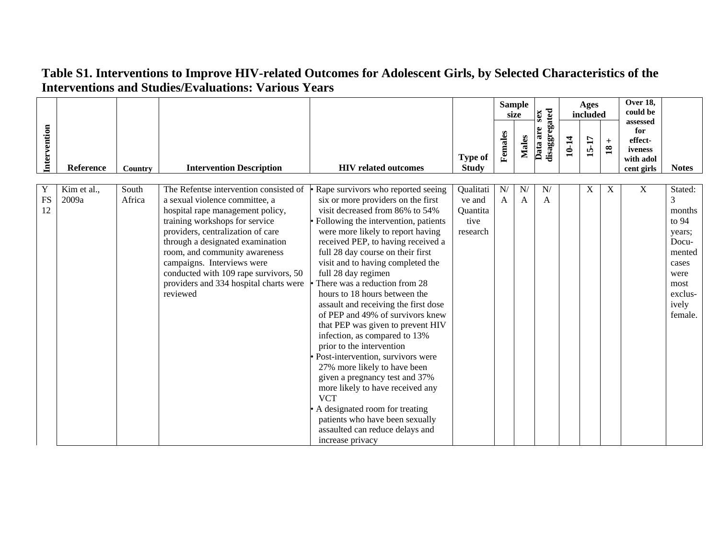|                      |                      |                 |                                                                                                                                                                                                                                                                                                                                                                                       |                                                                                                                                                                                                                                                                                                                                                                                                                                                                                                                                                                                                                                                                                                                                                                                                                                                                       |                                                     |                    | <b>Sample</b><br>size |                           |       |       |                              |                                                      |                                                                                                                      |  |  |  |  |  |  |  | sex |  |  |  |  |  |  |  | Ages<br>included |  | Over 18,<br>could be<br>assessed |  |  |
|----------------------|----------------------|-----------------|---------------------------------------------------------------------------------------------------------------------------------------------------------------------------------------------------------------------------------------------------------------------------------------------------------------------------------------------------------------------------------------|-----------------------------------------------------------------------------------------------------------------------------------------------------------------------------------------------------------------------------------------------------------------------------------------------------------------------------------------------------------------------------------------------------------------------------------------------------------------------------------------------------------------------------------------------------------------------------------------------------------------------------------------------------------------------------------------------------------------------------------------------------------------------------------------------------------------------------------------------------------------------|-----------------------------------------------------|--------------------|-----------------------|---------------------------|-------|-------|------------------------------|------------------------------------------------------|----------------------------------------------------------------------------------------------------------------------|--|--|--|--|--|--|--|-----|--|--|--|--|--|--|--|------------------|--|----------------------------------|--|--|
| Intervention         | Reference            | Country         | <b>Intervention Description</b>                                                                                                                                                                                                                                                                                                                                                       | <b>HIV</b> related outcomes                                                                                                                                                                                                                                                                                                                                                                                                                                                                                                                                                                                                                                                                                                                                                                                                                                           | <b>Type of</b><br><b>Study</b>                      | Females            | <b>Males</b>          | disaggregated<br>Data are | 10-14 | 15-17 | $\ddot{}$<br>$\overline{18}$ | for<br>effect-<br>iveness<br>with adol<br>cent girls | <b>Notes</b>                                                                                                         |  |  |  |  |  |  |  |     |  |  |  |  |  |  |  |                  |  |                                  |  |  |
| Y<br><b>FS</b><br>12 | Kim et al.,<br>2009a | South<br>Africa | The Refentse intervention consisted of<br>a sexual violence committee, a<br>hospital rape management policy,<br>training workshops for service<br>providers, centralization of care<br>through a designated examination<br>room, and community awareness<br>campaigns. Interviews were<br>conducted with 109 rape survivors, 50<br>providers and 334 hospital charts were<br>reviewed | Rape survivors who reported seeing<br>six or more providers on the first<br>visit decreased from 86% to 54%<br>Following the intervention, patients<br>were more likely to report having<br>received PEP, to having received a<br>full 28 day course on their first<br>visit and to having completed the<br>full 28 day regimen<br>There was a reduction from 28<br>hours to 18 hours between the<br>assault and receiving the first dose<br>of PEP and 49% of survivors knew<br>that PEP was given to prevent HIV<br>infection, as compared to 13%<br>prior to the intervention<br>Post-intervention, survivors were<br>27% more likely to have been<br>given a pregnancy test and 37%<br>more likely to have received any<br><b>VCT</b><br>A designated room for treating<br>patients who have been sexually<br>assaulted can reduce delays and<br>increase privacy | Qualitati<br>ve and<br>Quantita<br>tive<br>research | N/<br>$\mathsf{A}$ | N<br>A                | N/<br>A                   |       | X     | X                            | X                                                    | Stated:<br>3<br>months<br>to 94<br>years;<br>Docu-<br>mented<br>cases<br>were<br>most<br>exclus-<br>ively<br>female. |  |  |  |  |  |  |  |     |  |  |  |  |  |  |  |                  |  |                                  |  |  |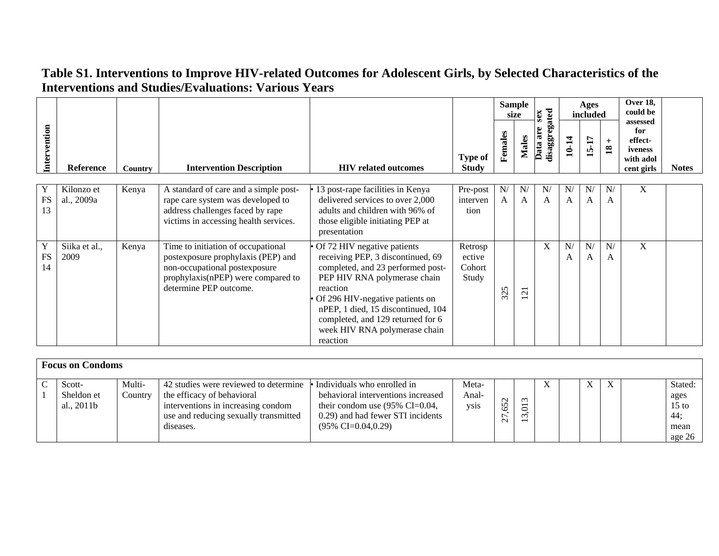|                      |                          |         |                                                                                                                                                                           |                                                                                                                                                                                                                                                                                                              |                                      |         | <b>Sample</b><br>sex<br>size |                              |         |         | Ages<br>included       |                                                                  |              | Over 18,<br>could be |  |
|----------------------|--------------------------|---------|---------------------------------------------------------------------------------------------------------------------------------------------------------------------------|--------------------------------------------------------------------------------------------------------------------------------------------------------------------------------------------------------------------------------------------------------------------------------------------------------------|--------------------------------------|---------|------------------------------|------------------------------|---------|---------|------------------------|------------------------------------------------------------------|--------------|----------------------|--|
| Intervention         | <b>Reference</b>         | Country | <b>Intervention Description</b>                                                                                                                                           | <b>HIV</b> related outcomes                                                                                                                                                                                                                                                                                  | Type of<br><b>Study</b>              | Females | <b>Males</b>                 | disaggregated<br>are<br>Data | 10-14   | 15-17   | $+$<br>$\overline{18}$ | assessed<br>for<br>effect-<br>iveness<br>with adol<br>cent girls | <b>Notes</b> |                      |  |
|                      |                          |         |                                                                                                                                                                           |                                                                                                                                                                                                                                                                                                              |                                      |         |                              |                              |         |         |                        |                                                                  |              |                      |  |
| Y<br><b>FS</b><br>13 | Kilonzo et<br>al., 2009a | Kenya   | A standard of care and a simple post-<br>rape care system was developed to<br>address challenges faced by rape<br>victims in accessing health services.                   | 13 post-rape facilities in Kenya<br>delivered services to over 2,000<br>adults and children with 96% of<br>those eligible initiating PEP at<br>presentation                                                                                                                                                  | Pre-post<br>interven<br>tion         | N/<br>A | N<br>A                       | N/<br>A                      | N/<br>A | N/<br>A | N/<br>$\mathbf{A}$     | X                                                                |              |                      |  |
| Y<br><b>FS</b><br>14 | Siika et al.,<br>2009    | Kenya   | Time to initiation of occupational<br>postexposure prophylaxis (PEP) and<br>non-occupational postexposure<br>prophylaxis(nPEP) were compared to<br>determine PEP outcome. | Of 72 HIV negative patients<br>receiving PEP, 3 discontinued, 69<br>completed, and 23 performed post-<br>PEP HIV RNA polymerase chain<br>reaction<br>Of 296 HIV-negative patients on<br>nPEP, 1 died, 15 discontinued, 104<br>completed, and 129 returned for 6<br>week HIV RNA polymerase chain<br>reaction | Retrosp<br>ective<br>Cohort<br>Study | 325     | $\sim$                       | X                            | N/<br>A | N/<br>A | N/<br>A                | X                                                                |              |                      |  |

| <b>Focus on Condoms</b>    |         |                                                                                                                        |                                                                                                                                                            |                      |                           |                  |  |  |    |   |  |                                          |  |
|----------------------------|---------|------------------------------------------------------------------------------------------------------------------------|------------------------------------------------------------------------------------------------------------------------------------------------------------|----------------------|---------------------------|------------------|--|--|----|---|--|------------------------------------------|--|
| Scott-                     | Multi-  | 42 studies were reviewed to determine                                                                                  | • Individuals who enrolled in                                                                                                                              | Meta-                |                           |                  |  |  | X. | X |  | Stated:                                  |  |
| Sheldon et<br>al., $2011b$ | Country | the efficacy of behavioral<br>interventions in increasing condom<br>use and reducing sexually transmitted<br>diseases. | behavioral interventions increased<br>their condom use $(95\% \text{ CI} = 0.04,$<br>0.29) and had fewer STI incidents<br>$(95\% \text{ CI} = 0.04, 0.29)$ | Anal-<br><b>VSIS</b> | $\sim$<br>$\sqrt{ }$<br>Ö | $\sim$<br>$\sim$ |  |  |    |   |  | ages<br>$15$ to<br>44;<br>mean<br>age 26 |  |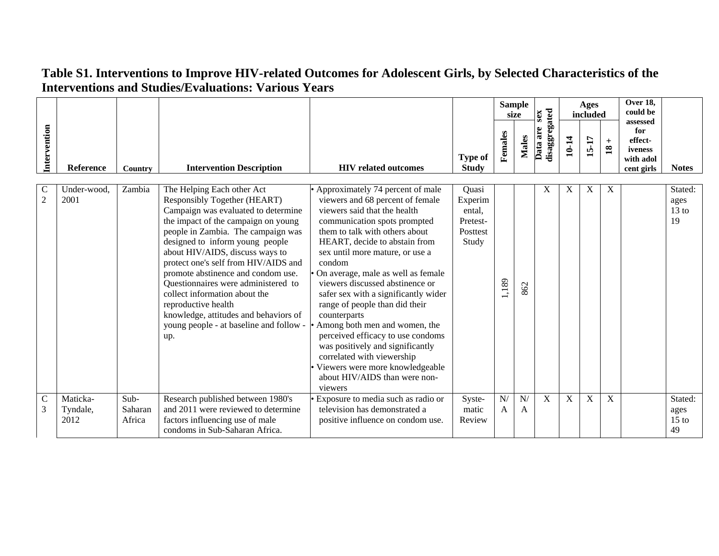|                                 |                              |                           |                                                                                                                                                                                                                                                                                                                                                                                                                                                                                                                              |                                                                                                                                                                                                                                                                                                                                                                                                                                                                                                                                                                                                                                                  |                                                             |         | <b>Sample</b><br>size | sex                       |       | Over 18,<br>Ages<br>could be<br>included |                        | assessed                                             |                                  |
|---------------------------------|------------------------------|---------------------------|------------------------------------------------------------------------------------------------------------------------------------------------------------------------------------------------------------------------------------------------------------------------------------------------------------------------------------------------------------------------------------------------------------------------------------------------------------------------------------------------------------------------------|--------------------------------------------------------------------------------------------------------------------------------------------------------------------------------------------------------------------------------------------------------------------------------------------------------------------------------------------------------------------------------------------------------------------------------------------------------------------------------------------------------------------------------------------------------------------------------------------------------------------------------------------------|-------------------------------------------------------------|---------|-----------------------|---------------------------|-------|------------------------------------------|------------------------|------------------------------------------------------|----------------------------------|
| Intervention                    | Reference                    | Country                   | <b>Intervention Description</b>                                                                                                                                                                                                                                                                                                                                                                                                                                                                                              | <b>HIV</b> related outcomes                                                                                                                                                                                                                                                                                                                                                                                                                                                                                                                                                                                                                      | <b>Type of</b><br><b>Study</b>                              | Females | <b>Males</b>          | disaggregated<br>Data are | 10-14 | 15-17                                    | $+$<br>$\overline{18}$ | for<br>effect-<br>iveness<br>with adol<br>cent girls | <b>Notes</b>                     |
| $\mathcal{C}$<br>$\overline{2}$ | Under-wood.<br>2001          | Zambia                    | The Helping Each other Act<br>Responsibly Together (HEART)<br>Campaign was evaluated to determine<br>the impact of the campaign on young<br>people in Zambia. The campaign was<br>designed to inform young people<br>about HIV/AIDS, discuss ways to<br>protect one's self from HIV/AIDS and<br>promote abstinence and condom use.<br>Questionnaires were administered to<br>collect information about the<br>reproductive health<br>knowledge, attitudes and behaviors of<br>young people - at baseline and follow -<br>up. | • Approximately 74 percent of male<br>viewers and 68 percent of female<br>viewers said that the health<br>communication spots prompted<br>them to talk with others about<br>HEART, decide to abstain from<br>sex until more mature, or use a<br>condom<br>On average, male as well as female<br>viewers discussed abstinence or<br>safer sex with a significantly wider<br>range of people than did their<br>counterparts<br>Among both men and women, the<br>perceived efficacy to use condoms<br>was positively and significantly<br>correlated with viewership<br>Viewers were more knowledgeable<br>about HIV/AIDS than were non-<br>viewers | Quasi<br>Experim<br>ental,<br>Pretest-<br>Posttest<br>Study | ,189    | 862                   | Х                         | X     | X                                        | X                      |                                                      | Stated:<br>ages<br>$13$ to<br>19 |
| $\mathcal{C}$<br>3              | Maticka-<br>Tyndale,<br>2012 | Sub-<br>Saharan<br>Africa | Research published between 1980's<br>and 2011 were reviewed to determine<br>factors influencing use of male<br>condoms in Sub-Saharan Africa.                                                                                                                                                                                                                                                                                                                                                                                | Exposure to media such as radio or<br>television has demonstrated a<br>positive influence on condom use.                                                                                                                                                                                                                                                                                                                                                                                                                                                                                                                                         | Syste-<br>matic<br>Review                                   | N/<br>A | N/<br>A               | X                         | X     | X                                        | X                      |                                                      | Stated:<br>ages<br>$15$ to<br>49 |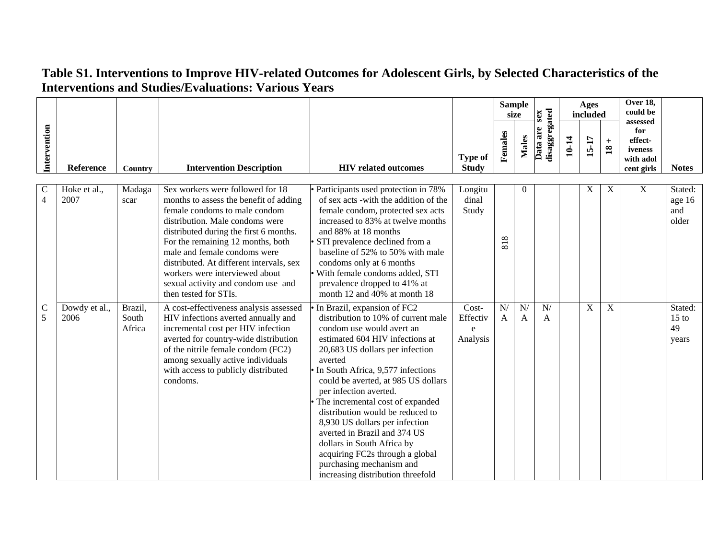|                               |                       |                            |                                                                                                                                                                                                                                                                                                                                                                                                            |                                                                                                                                                                                                                                                                                                                                                                                                                                                                                                                                                                      |                                    | <b>Sample</b><br>size          |                  | sex                       |       |                |                                 |                                                      |                                   |  |  |  | Ages<br>included |  | <b>Over 18,</b><br>could be<br>assessed |  |  |
|-------------------------------|-----------------------|----------------------------|------------------------------------------------------------------------------------------------------------------------------------------------------------------------------------------------------------------------------------------------------------------------------------------------------------------------------------------------------------------------------------------------------------|----------------------------------------------------------------------------------------------------------------------------------------------------------------------------------------------------------------------------------------------------------------------------------------------------------------------------------------------------------------------------------------------------------------------------------------------------------------------------------------------------------------------------------------------------------------------|------------------------------------|--------------------------------|------------------|---------------------------|-------|----------------|---------------------------------|------------------------------------------------------|-----------------------------------|--|--|--|------------------|--|-----------------------------------------|--|--|
| Intervention                  | Reference             | Country                    | <b>Intervention Description</b>                                                                                                                                                                                                                                                                                                                                                                            | <b>HIV</b> related outcomes                                                                                                                                                                                                                                                                                                                                                                                                                                                                                                                                          | <b>Type of</b><br><b>Study</b>     | Females                        | Males            | disaggregated<br>Data are | 10-14 | 15-17          | $+$<br>$\overline{\mathbf{18}}$ | for<br>effect-<br>iveness<br>with adol<br>cent girls | <b>Notes</b>                      |  |  |  |                  |  |                                         |  |  |
| $\mathbf C$<br>$\overline{4}$ | Hoke et al.,<br>2007  | Madaga<br>scar             | Sex workers were followed for 18<br>months to assess the benefit of adding<br>female condoms to male condom<br>distribution. Male condoms were<br>distributed during the first 6 months.<br>For the remaining 12 months, both<br>male and female condoms were<br>distributed. At different intervals, sex<br>workers were interviewed about<br>sexual activity and condom use and<br>then tested for STIs. | • Participants used protection in 78%<br>of sex acts -with the addition of the<br>female condom, protected sex acts<br>increased to 83% at twelve months<br>and 88% at 18 months<br>· STI prevalence declined from a<br>baseline of 52% to 50% with male<br>condoms only at 6 months<br>With female condoms added, STI<br>prevalence dropped to 41% at<br>month 12 and 40% at month 18                                                                                                                                                                               | Longitu<br>dinal<br>Study          | 818                            | $\boldsymbol{0}$ |                           |       | X              | $\mathbf X$                     | $\mathbf X$                                          | Stated:<br>age 16<br>and<br>older |  |  |  |                  |  |                                         |  |  |
| $\mathbf C$<br>5              | Dowdy et al.,<br>2006 | Brazil,<br>South<br>Africa | A cost-effectiveness analysis assessed<br>HIV infections averted annually and<br>incremental cost per HIV infection<br>averted for country-wide distribution<br>of the nitrile female condom (FC2)<br>among sexually active individuals<br>with access to publicly distributed<br>condoms.                                                                                                                 | • In Brazil, expansion of FC2<br>distribution to 10% of current male<br>condom use would avert an<br>estimated 604 HIV infections at<br>20,683 US dollars per infection<br>averted<br>In South Africa, 9,577 infections<br>could be averted, at 985 US dollars<br>per infection averted.<br>The incremental cost of expanded<br>distribution would be reduced to<br>8,930 US dollars per infection<br>averted in Brazil and 374 US<br>dollars in South Africa by<br>acquiring FC2s through a global<br>purchasing mechanism and<br>increasing distribution threefold | Cost-<br>Effectiv<br>e<br>Analysis | $\overline{N}$<br>$\mathsf{A}$ | N/<br>A          | N/<br>A                   |       | $\overline{X}$ | $\overline{X}$                  |                                                      | Stated:<br>$15$ to<br>49<br>years |  |  |  |                  |  |                                         |  |  |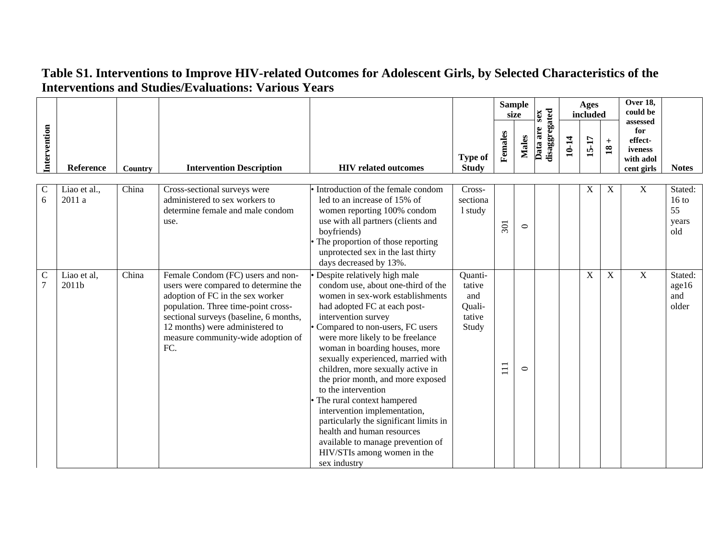|                                 |                        |         |                                                                                                                                                                                                                                                                                |                                                                                                                                                                                                                                                                                                                                                                                                                                                                                                                                                                                                                                         |                                                       | size    | <b>Sample</b> | sex                       |       | Ages<br>included |                        | <b>Over 18,</b><br>could be<br>assessed              |                                                  |
|---------------------------------|------------------------|---------|--------------------------------------------------------------------------------------------------------------------------------------------------------------------------------------------------------------------------------------------------------------------------------|-----------------------------------------------------------------------------------------------------------------------------------------------------------------------------------------------------------------------------------------------------------------------------------------------------------------------------------------------------------------------------------------------------------------------------------------------------------------------------------------------------------------------------------------------------------------------------------------------------------------------------------------|-------------------------------------------------------|---------|---------------|---------------------------|-------|------------------|------------------------|------------------------------------------------------|--------------------------------------------------|
| Intervention                    | Reference              | Country | <b>Intervention Description</b>                                                                                                                                                                                                                                                | <b>HIV</b> related outcomes                                                                                                                                                                                                                                                                                                                                                                                                                                                                                                                                                                                                             | <b>Type of</b><br><b>Study</b>                        | Females | Males         | disaggregated<br>Data are | 10-14 | 15-17            | $+$<br>$\overline{18}$ | for<br>effect-<br>iveness<br>with adol<br>cent girls | <b>Notes</b>                                     |
| $\mathcal{C}$<br>6              | Liao et al.,<br>2011 a | China   | Cross-sectional surveys were<br>administered to sex workers to<br>determine female and male condom<br>use.                                                                                                                                                                     | • Introduction of the female condom<br>led to an increase of 15% of<br>women reporting 100% condom<br>use with all partners (clients and<br>boyfriends)<br>The proportion of those reporting<br>unprotected sex in the last thirty<br>days decreased by 13%.                                                                                                                                                                                                                                                                                                                                                                            | Cross-<br>sectiona<br>1 study                         | 301     | $\circ$       |                           |       | X                | X                      | X                                                    | Stated:<br>$16 \text{ to}$<br>55<br>years<br>old |
| $\mathcal{C}$<br>$\overline{7}$ | Liao et al,<br>2011b   | China   | Female Condom (FC) users and non-<br>users were compared to determine the<br>adoption of FC in the sex worker<br>population. Three time-point cross-<br>sectional surveys (baseline, 6 months,<br>12 months) were administered to<br>measure community-wide adoption of<br>FC. | Despite relatively high male<br>condom use, about one-third of the<br>women in sex-work establishments<br>had adopted FC at each post-<br>intervention survey<br>Compared to non-users, FC users<br>were more likely to be freelance<br>woman in boarding houses, more<br>sexually experienced, married with<br>children, more sexually active in<br>the prior month, and more exposed<br>to the intervention<br>The rural context hampered<br>intervention implementation,<br>particularly the significant limits in<br>health and human resources<br>available to manage prevention of<br>HIV/STIs among women in the<br>sex industry | Quanti-<br>tative<br>and<br>Quali-<br>tative<br>Study | $\Xi$   | $\circ$       |                           |       | $\mathbf X$      | $\mathbf X$            | X                                                    | Stated:<br>age16<br>and<br>older                 |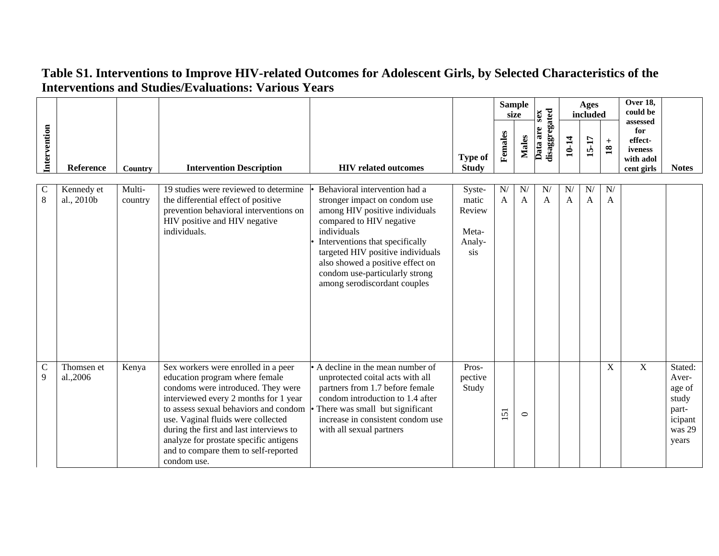|                             |                          |                   |                                                                                                                                                                                                                                                                                                                                                                                 |                                                                                                                                                                                                                                                                                                                           |                                                     |                      | <b>Sample</b><br>size | sex                       |                    | Ages<br>included   |                        | <b>Over 18,</b><br>could be<br>assessed              |                                                                            |
|-----------------------------|--------------------------|-------------------|---------------------------------------------------------------------------------------------------------------------------------------------------------------------------------------------------------------------------------------------------------------------------------------------------------------------------------------------------------------------------------|---------------------------------------------------------------------------------------------------------------------------------------------------------------------------------------------------------------------------------------------------------------------------------------------------------------------------|-----------------------------------------------------|----------------------|-----------------------|---------------------------|--------------------|--------------------|------------------------|------------------------------------------------------|----------------------------------------------------------------------------|
| Intervention                | Reference                | Country           | <b>Intervention Description</b>                                                                                                                                                                                                                                                                                                                                                 | <b>HIV</b> related outcomes                                                                                                                                                                                                                                                                                               | <b>Type of</b><br><b>Study</b>                      | Females              | Males                 | disaggregated<br>Data are | 10-14              | 15-17              | $+$<br>$\overline{18}$ | for<br>effect-<br>iveness<br>with adol<br>cent girls | <b>Notes</b>                                                               |
| $\overline{C}$<br>8         | Kennedy et<br>al., 2010b | Multi-<br>country | 19 studies were reviewed to determine<br>the differential effect of positive<br>prevention behavioral interventions on<br>HIV positive and HIV negative<br>individuals.                                                                                                                                                                                                         | Behavioral intervention had a<br>stronger impact on condom use<br>among HIV positive individuals<br>compared to HIV negative<br>individuals<br>Interventions that specifically<br>targeted HIV positive individuals<br>also showed a positive effect on<br>condom use-particularly strong<br>among serodiscordant couples | Syste-<br>matic<br>Review<br>Meta-<br>Analy-<br>sis | N/<br>$\overline{A}$ | N<br>A                | N/<br>$\mathsf{A}$        | N/<br>$\mathbf{A}$ | N/<br>$\mathbf{A}$ | N/<br>$\mathbf{A}$     |                                                      |                                                                            |
| $\mathbf C$<br>$\mathbf{Q}$ | Thomsen et<br>al.,2006   | Kenya             | Sex workers were enrolled in a peer<br>education program where female<br>condoms were introduced. They were<br>interviewed every 2 months for 1 year<br>to assess sexual behaviors and condom<br>use. Vaginal fluids were collected<br>during the first and last interviews to<br>analyze for prostate specific antigens<br>and to compare them to self-reported<br>condom use. | • A decline in the mean number of<br>unprotected coital acts with all<br>partners from 1.7 before female<br>condom introduction to 1.4 after<br>There was small but significant<br>increase in consistent condom use<br>with all sexual partners                                                                          | Pros-<br>pective<br>Study                           | 151                  | $\circ$               |                           |                    |                    | $\mathbf X$            | X                                                    | Stated:<br>Aver-<br>age of<br>study<br>part-<br>icipant<br>was 29<br>years |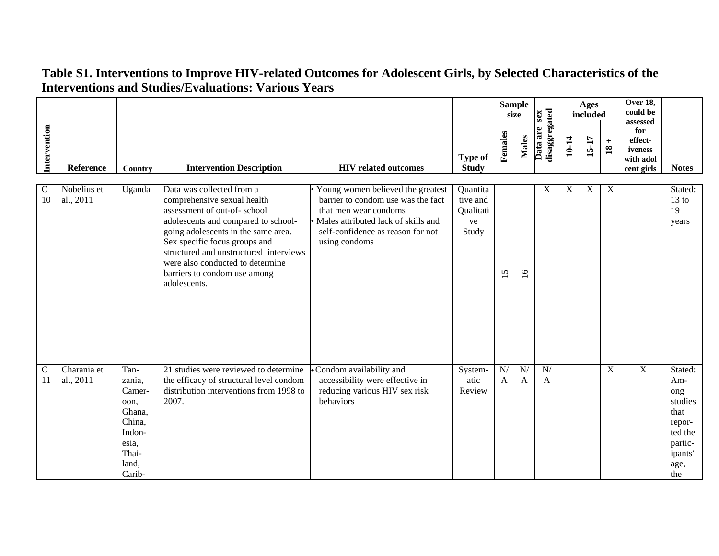|                    |                          |                                                                                                     |                                                                                                                                                                                                                                                                                                                                      |                                                                                                                                                                                                   |                                                  |                                          | <b>Sample</b><br>size          | sex                       |       | Ages<br>included |                                         | Over 18,<br>could be                                             |                                                                                                    |
|--------------------|--------------------------|-----------------------------------------------------------------------------------------------------|--------------------------------------------------------------------------------------------------------------------------------------------------------------------------------------------------------------------------------------------------------------------------------------------------------------------------------------|---------------------------------------------------------------------------------------------------------------------------------------------------------------------------------------------------|--------------------------------------------------|------------------------------------------|--------------------------------|---------------------------|-------|------------------|-----------------------------------------|------------------------------------------------------------------|----------------------------------------------------------------------------------------------------|
| Intervention       | Reference                | Country                                                                                             | <b>Intervention Description</b>                                                                                                                                                                                                                                                                                                      | <b>HIV</b> related outcomes                                                                                                                                                                       | <b>Type of</b><br><b>Study</b>                   | Females                                  | <b>Males</b>                   | disaggregated<br>Data are | 10-14 | 15-17            | $\,$ + $\,$<br>$\overline{\mathbf{18}}$ | assessed<br>for<br>effect-<br>iveness<br>with adol<br>cent girls | <b>Notes</b>                                                                                       |
| $\mathsf C$<br>10  | Nobelius et<br>al., 2011 | Uganda                                                                                              | Data was collected from a<br>comprehensive sexual health<br>assessment of out-of-school<br>adolescents and compared to school-<br>going adolescents in the same area.<br>Sex specific focus groups and<br>structured and unstructured interviews<br>were also conducted to determine<br>barriers to condom use among<br>adolescents. | • Young women believed the greatest<br>barrier to condom use was the fact<br>that men wear condoms<br>• Males attributed lack of skills and<br>self-confidence as reason for not<br>using condoms | Quantita<br>tive and<br>Qualitati<br>ve<br>Study | $\mathsf{S}$<br>$\overline{\phantom{0}}$ | $\overline{16}$                | X                         | X     | X                | X                                       |                                                                  | Stated:<br>$13 \text{ to}$<br>19<br>years                                                          |
| $\mathsf{C}$<br>11 | Charania et<br>al., 2011 | Tan-<br>zania,<br>Camer-<br>oon,<br>Ghana,<br>China,<br>Indon-<br>esia,<br>Thai-<br>land,<br>Carib- | 21 studies were reviewed to determine<br>the efficacy of structural level condom<br>distribution interventions from 1998 to<br>2007.                                                                                                                                                                                                 | Condom availability and<br>accessibility were effective in<br>reducing various HIV sex risk<br>behaviors                                                                                          | System-<br>atic<br>Review                        | $\overline{N}$<br>$\mathbf{A}$           | $\overline{N}$<br>$\mathbf{A}$ | N/<br>$\mathbf{A}$        |       |                  | $\mathbf X$                             | $\overline{X}$                                                   | Stated:<br>Am-<br>ong<br>studies<br>that<br>repor-<br>ted the<br>partic-<br>ipants'<br>age,<br>the |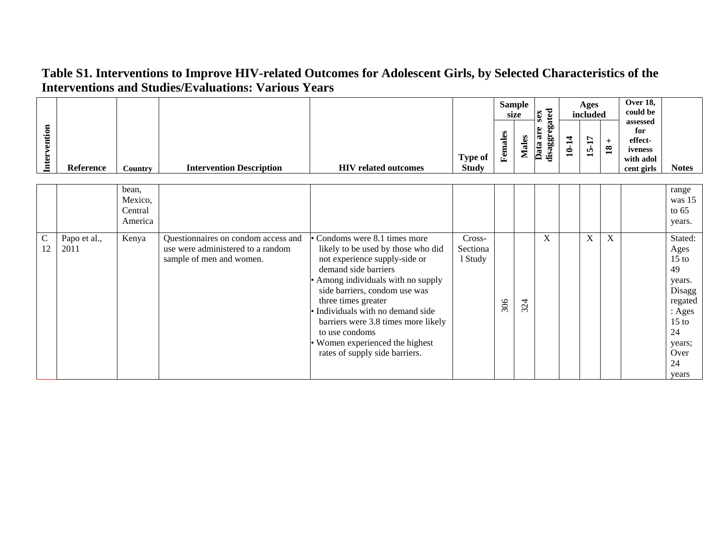|                    |                      |                                        |                                                                                                      |                                                                                                                                                                                                                                                                                                                                                                                         |                                |         | <b>Sample</b><br>size | xas                       |       | Ages<br>included |                           | Over 18,<br>could be                                             |                                                                                                                             |
|--------------------|----------------------|----------------------------------------|------------------------------------------------------------------------------------------------------|-----------------------------------------------------------------------------------------------------------------------------------------------------------------------------------------------------------------------------------------------------------------------------------------------------------------------------------------------------------------------------------------|--------------------------------|---------|-----------------------|---------------------------|-------|------------------|---------------------------|------------------------------------------------------------------|-----------------------------------------------------------------------------------------------------------------------------|
| Intervention       | Reference            | Country                                | <b>Intervention Description</b>                                                                      | <b>HIV</b> related outcomes                                                                                                                                                                                                                                                                                                                                                             | <b>Type of</b><br><b>Study</b> | Females | Males                 | disaggregated<br>Data are | 10-14 | 15-17            | $^{+}$<br>$\overline{18}$ | assessed<br>for<br>effect-<br>iveness<br>with adol<br>cent girls | <b>Notes</b>                                                                                                                |
|                    |                      | bean,<br>Mexico,<br>Central<br>America |                                                                                                      |                                                                                                                                                                                                                                                                                                                                                                                         |                                |         |                       |                           |       |                  |                           |                                                                  | range<br>was 15<br>to $65$<br>years.                                                                                        |
| $\mathsf{C}$<br>12 | Papo et al.,<br>2011 | Kenya                                  | Questionnaires on condom access and<br>use were administered to a random<br>sample of men and women. | • Condoms were 8.1 times more<br>likely to be used by those who did<br>not experience supply-side or<br>demand side barriers<br>Among individuals with no supply<br>side barriers, condom use was<br>three times greater<br>Individuals with no demand side<br>barriers were 3.8 times more likely<br>to use condoms<br>Women experienced the highest<br>rates of supply side barriers. | Cross-<br>Sectiona<br>1 Study  | 306     | 324                   | X                         |       | $\boldsymbol{X}$ | X                         |                                                                  | Stated:<br>Ages<br>$15$ to<br>49<br>years.<br>Disagg<br>regated<br>: Ages<br>$15$ to<br>24<br>years;<br>Over<br>24<br>years |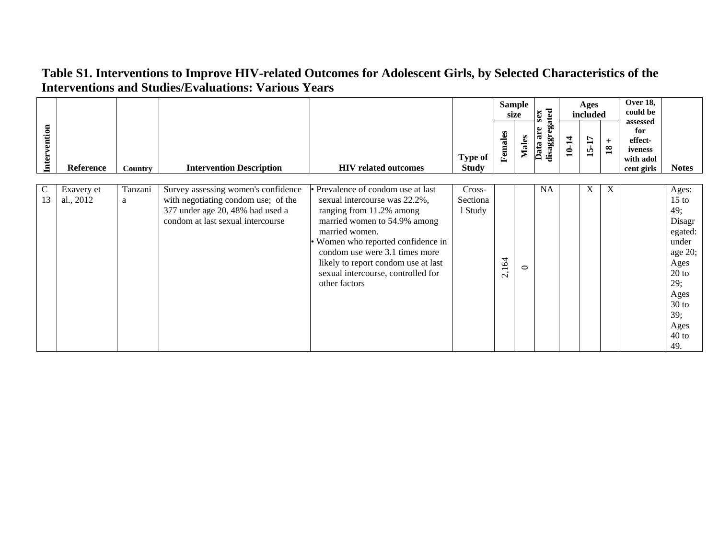|                    |                         |                |                                                                                                                                                     |                                                                                                                                                                                                                                                                                                                       |                                |                      | <b>Sample</b><br>size | xas                       |       | Ages<br>included |                      | Over 18,<br>could be                                             |                                                                                                                                                |
|--------------------|-------------------------|----------------|-----------------------------------------------------------------------------------------------------------------------------------------------------|-----------------------------------------------------------------------------------------------------------------------------------------------------------------------------------------------------------------------------------------------------------------------------------------------------------------------|--------------------------------|----------------------|-----------------------|---------------------------|-------|------------------|----------------------|------------------------------------------------------------------|------------------------------------------------------------------------------------------------------------------------------------------------|
| Intervention       | Reference               | <b>Country</b> | <b>Intervention Description</b>                                                                                                                     | <b>HIV</b> related outcomes                                                                                                                                                                                                                                                                                           | <b>Type of</b><br><b>Study</b> | Females              | <b>Males</b>          | disaggregated<br>Data are | 10-14 | <b>15-17</b>     | $+$<br>$\mathbf{18}$ | assessed<br>for<br>effect-<br>iveness<br>with adol<br>cent girls | <b>Notes</b>                                                                                                                                   |
|                    |                         |                |                                                                                                                                                     |                                                                                                                                                                                                                                                                                                                       |                                |                      |                       |                           |       |                  |                      |                                                                  |                                                                                                                                                |
| $\mathsf{C}$<br>13 | Exavery et<br>al., 2012 | Tanzani<br>a   | Survey assessing women's confidence<br>with negotiating condom use; of the<br>377 under age 20, 48% had used a<br>condom at last sexual intercourse | • Prevalence of condom use at last<br>sexual intercourse was 22.2%,<br>ranging from 11.2% among<br>married women to 54.9% among<br>married women.<br>Women who reported confidence in<br>condom use were 3.1 times more<br>likely to report condom use at last<br>sexual intercourse, controlled for<br>other factors | Cross-<br>Sectiona<br>1 Study  | .164<br>$\mathbf{C}$ | $\circ$               | <b>NA</b>                 |       | X                | X                    |                                                                  | Ages:<br>$15$ to<br>49;<br>Disagr<br>egated:<br>under<br>age 20;<br>Ages<br>$20$ to<br>29;<br>Ages<br>$30$ to<br>39;<br>Ages<br>$40$ to<br>49. |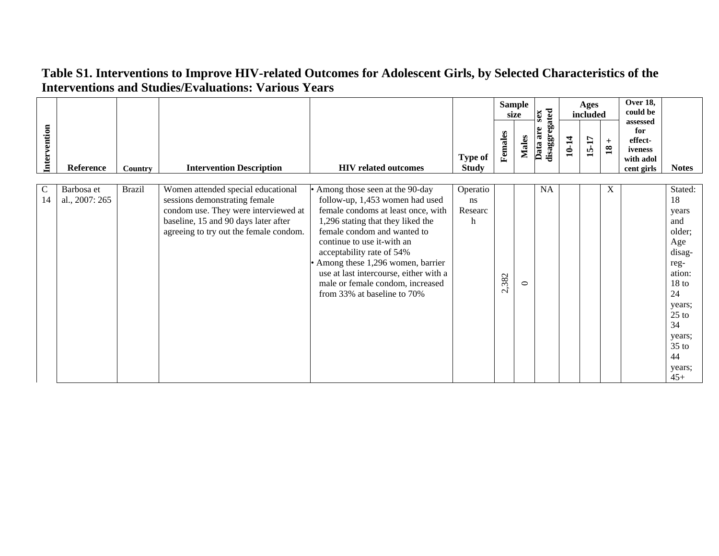|                     |                              |                |                                                                                                                                                                                               |                                                                                                                                                                                                                                                                                                                                                                                         |                                | size    | <b>Sample</b> | sex                       |       | Ages<br>included |                                     | <b>Over 18,</b><br>could be                                      |                                                                                                                                                                               |
|---------------------|------------------------------|----------------|-----------------------------------------------------------------------------------------------------------------------------------------------------------------------------------------------|-----------------------------------------------------------------------------------------------------------------------------------------------------------------------------------------------------------------------------------------------------------------------------------------------------------------------------------------------------------------------------------------|--------------------------------|---------|---------------|---------------------------|-------|------------------|-------------------------------------|------------------------------------------------------------------|-------------------------------------------------------------------------------------------------------------------------------------------------------------------------------|
| Intervention        | Reference                    | <b>Country</b> | <b>Intervention Description</b>                                                                                                                                                               | <b>HIV related outcomes</b>                                                                                                                                                                                                                                                                                                                                                             | <b>Type of</b><br><b>Study</b> | Females | <b>Males</b>  | disaggregated<br>Data are | 10-14 | 15-17            | $\boldsymbol{+}$<br>$\overline{18}$ | assessed<br>for<br>effect-<br>iveness<br>with adol<br>cent girls | <b>Notes</b>                                                                                                                                                                  |
| $\mathcal{C}$<br>14 | Barbosa et<br>al., 2007: 265 | <b>Brazil</b>  | Women attended special educational<br>sessions demonstrating female<br>condom use. They were interviewed at<br>baseline, 15 and 90 days later after<br>agreeing to try out the female condom. | Among those seen at the 90-day<br>follow-up, 1,453 women had used<br>female condoms at least once, with<br>1,296 stating that they liked the<br>female condom and wanted to<br>continue to use it-with an<br>acceptability rate of 54%<br>Among these 1,296 women, barrier<br>use at last intercourse, either with a<br>male or female condom, increased<br>from 33% at baseline to 70% | Operatio<br>ns<br>Researc<br>h | 2,382   | $\circ$       | NA                        |       |                  | X                                   |                                                                  | Stated:<br>18<br>years<br>and<br>older;<br>Age<br>disag-<br>reg-<br>ation:<br>18 <sub>to</sub><br>24<br>years;<br>$25$ to<br>34<br>years;<br>$35$ to<br>44<br>years;<br>$45+$ |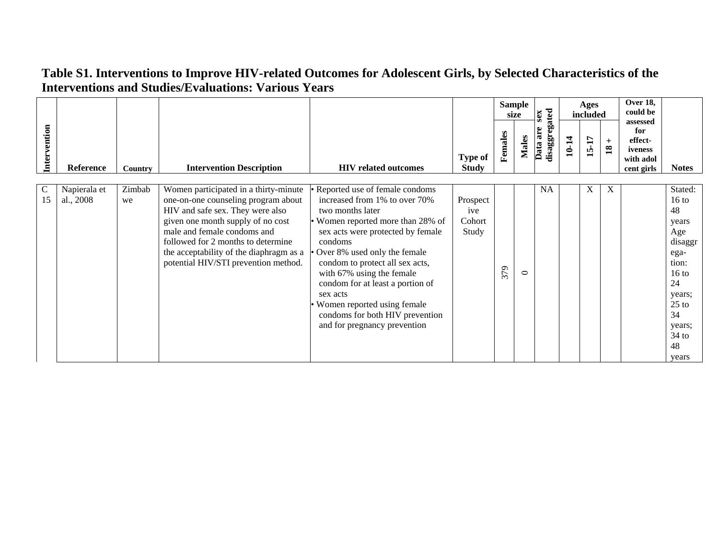|                    |                           |              |                                                                                                                                                                                                                                                                                                               |                                                                                                                                                                                                                                                                                                                                                                                                                            |                                    |         | <b>Sample</b><br>size | sex                       |       | Ages<br>included |                      | Over 18,<br>could be                                             |                                                                                                                                                               |
|--------------------|---------------------------|--------------|---------------------------------------------------------------------------------------------------------------------------------------------------------------------------------------------------------------------------------------------------------------------------------------------------------------|----------------------------------------------------------------------------------------------------------------------------------------------------------------------------------------------------------------------------------------------------------------------------------------------------------------------------------------------------------------------------------------------------------------------------|------------------------------------|---------|-----------------------|---------------------------|-------|------------------|----------------------|------------------------------------------------------------------|---------------------------------------------------------------------------------------------------------------------------------------------------------------|
| Intervention       | Reference                 | Country      | <b>Intervention Description</b>                                                                                                                                                                                                                                                                               | <b>HIV</b> related outcomes                                                                                                                                                                                                                                                                                                                                                                                                | <b>Type of</b><br><b>Study</b>     | Females | <b>Males</b>          | disaggregated<br>Data are | 10-14 | 15-17            | $+$<br>$\mathbf{18}$ | assessed<br>for<br>effect-<br>iveness<br>with adol<br>cent girls | <b>Notes</b>                                                                                                                                                  |
| $\mathsf{C}$<br>15 | Napierala et<br>al., 2008 | Zimbab<br>we | Women participated in a thirty-minute<br>one-on-one counseling program about<br>HIV and safe sex. They were also<br>given one month supply of no cost<br>male and female condoms and<br>followed for 2 months to determine<br>the acceptability of the diaphragm as a<br>potential HIV/STI prevention method. | Reported use of female condoms<br>increased from 1% to over 70%<br>two months later<br>• Women reported more than 28% of<br>sex acts were protected by female<br>condoms<br>Over 8% used only the female<br>condom to protect all sex acts,<br>with 67% using the female<br>condom for at least a portion of<br>sex acts<br>Women reported using female<br>condoms for both HIV prevention<br>and for pregnancy prevention | Prospect<br>ive<br>Cohort<br>Study | 379     | $\circ$               | <b>NA</b>                 |       | X                | X                    |                                                                  | Stated:<br>$16$ to<br>48<br>years<br>Age<br>disaggr<br>ega-<br>tion:<br>16 <sub>to</sub><br>24<br>years;<br>$25$ to<br>34<br>years;<br>$34$ to<br>48<br>years |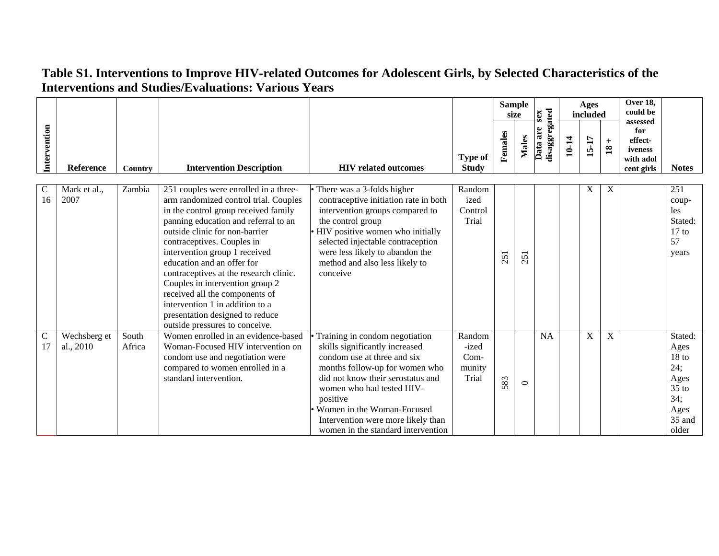|                      |                           |                 |                                                                                                                                                                                                                                                                                                                                                                                                                                                                                                                      |                                                                                                                                                                                                                                                                                                                           |                                              |         | <b>Sample</b><br>size | sex                       |       | Ages<br>included |                      | Over 18,<br>could be<br>assessed                     |                                                                                                 |
|----------------------|---------------------------|-----------------|----------------------------------------------------------------------------------------------------------------------------------------------------------------------------------------------------------------------------------------------------------------------------------------------------------------------------------------------------------------------------------------------------------------------------------------------------------------------------------------------------------------------|---------------------------------------------------------------------------------------------------------------------------------------------------------------------------------------------------------------------------------------------------------------------------------------------------------------------------|----------------------------------------------|---------|-----------------------|---------------------------|-------|------------------|----------------------|------------------------------------------------------|-------------------------------------------------------------------------------------------------|
| Intervention         | Reference                 | <b>Country</b>  | <b>Intervention Description</b>                                                                                                                                                                                                                                                                                                                                                                                                                                                                                      | <b>HIV</b> related outcomes                                                                                                                                                                                                                                                                                               | <b>Type of</b><br><b>Study</b>               | Females | <b>Males</b>          | disaggregated<br>Data are | 10-14 | 15-17            | $+$<br>$\mathbf{18}$ | for<br>effect-<br>iveness<br>with adol<br>cent girls | <b>Notes</b>                                                                                    |
| $\mathcal{C}$<br>16  | Mark et al.,<br>2007      | Zambia          | 251 couples were enrolled in a three-<br>arm randomized control trial. Couples<br>in the control group received family<br>panning education and referral to an<br>outside clinic for non-barrier<br>contraceptives. Couples in<br>intervention group 1 received<br>education and an offer for<br>contraceptives at the research clinic.<br>Couples in intervention group 2<br>received all the components of<br>intervention 1 in addition to a<br>presentation designed to reduce<br>outside pressures to conceive. | There was a 3-folds higher<br>contraceptive initiation rate in both<br>intervention groups compared to<br>the control group<br>• HIV positive women who initially<br>selected injectable contraception<br>were less likely to abandon the<br>method and also less likely to<br>conceive                                   | Random<br>ized<br>Control<br>Trial           | 251     | 25                    |                           |       | X                | X                    |                                                      | 251<br>coup-<br>les<br>Stated:<br>$17$ to<br>57<br>years                                        |
| $\overline{C}$<br>17 | Wechsberg et<br>al., 2010 | South<br>Africa | Women enrolled in an evidence-based<br>Woman-Focused HIV intervention on<br>condom use and negotiation were<br>compared to women enrolled in a<br>standard intervention.                                                                                                                                                                                                                                                                                                                                             | Training in condom negotiation<br>skills significantly increased<br>condom use at three and six<br>months follow-up for women who<br>did not know their serostatus and<br>women who had tested HIV-<br>positive<br>Women in the Woman-Focused<br>Intervention were more likely than<br>women in the standard intervention | Random<br>-ized<br>$Com-$<br>munity<br>Trial | 583     | $\circ$               | <b>NA</b>                 |       | X                | $\mathbf X$          |                                                      | Stated:<br>Ages<br>18 <sub>to</sub><br>24;<br>Ages<br>$35$ to<br>34;<br>Ages<br>35 and<br>older |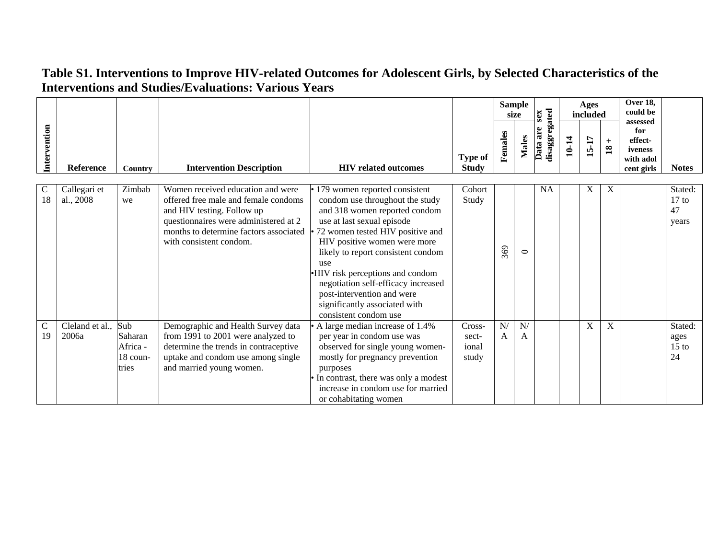|              |                           |                                                 |                                                                                                                                                                                                                       |                                                                                                                                                                                                                                                                                                                                                                                                                     |                                   |         | <b>Sample</b><br>size | sex                       |       | <b>Ages</b><br>included |                        | <b>Over 18,</b><br>could be                                      |                                   |
|--------------|---------------------------|-------------------------------------------------|-----------------------------------------------------------------------------------------------------------------------------------------------------------------------------------------------------------------------|---------------------------------------------------------------------------------------------------------------------------------------------------------------------------------------------------------------------------------------------------------------------------------------------------------------------------------------------------------------------------------------------------------------------|-----------------------------------|---------|-----------------------|---------------------------|-------|-------------------------|------------------------|------------------------------------------------------------------|-----------------------------------|
| Intervention | Reference                 | <b>Country</b>                                  | <b>Intervention Description</b>                                                                                                                                                                                       | <b>HIV</b> related outcomes                                                                                                                                                                                                                                                                                                                                                                                         | <b>Type of</b><br><b>Study</b>    | Females | Males                 | disaggregated<br>Data are | 10-14 | 15-17                   | $+$<br>$\overline{18}$ | assessed<br>for<br>effect-<br>iveness<br>with adol<br>cent girls | <b>Notes</b>                      |
| C<br>18      | Callegari et<br>al., 2008 | Zimbab<br>we                                    | Women received education and were<br>offered free male and female condoms<br>and HIV testing. Follow up<br>questionnaires were administered at 2<br>months to determine factors associated<br>with consistent condom. | 179 women reported consistent<br>condom use throughout the study<br>and 318 women reported condom<br>use at last sexual episode<br>72 women tested HIV positive and<br>HIV positive women were more<br>likely to report consistent condom<br>use<br>•HIV risk perceptions and condom<br>negotiation self-efficacy increased<br>post-intervention and were<br>significantly associated with<br>consistent condom use | Cohort<br>Study                   | 369     | $\circ$               | <b>NA</b>                 |       | X                       | X                      |                                                                  | Stated:<br>$17$ to<br>47<br>years |
| C<br>19      | Cleland et al.,<br>2006a  | Sub<br>Saharan<br>Africa -<br>18 coun-<br>tries | Demographic and Health Survey data<br>from 1991 to 2001 were analyzed to<br>determine the trends in contraceptive<br>uptake and condom use among single<br>and married young women.                                   | • A large median increase of 1.4%<br>per year in condom use was<br>observed for single young women-<br>mostly for pregnancy prevention<br>purposes<br>In contrast, there was only a modest<br>increase in condom use for married<br>or cohabitating women                                                                                                                                                           | Cross-<br>sect-<br>ional<br>study | N/<br>A | N/<br>A               |                           |       | X                       | X                      |                                                                  | Stated:<br>ages<br>$15$ to<br>24  |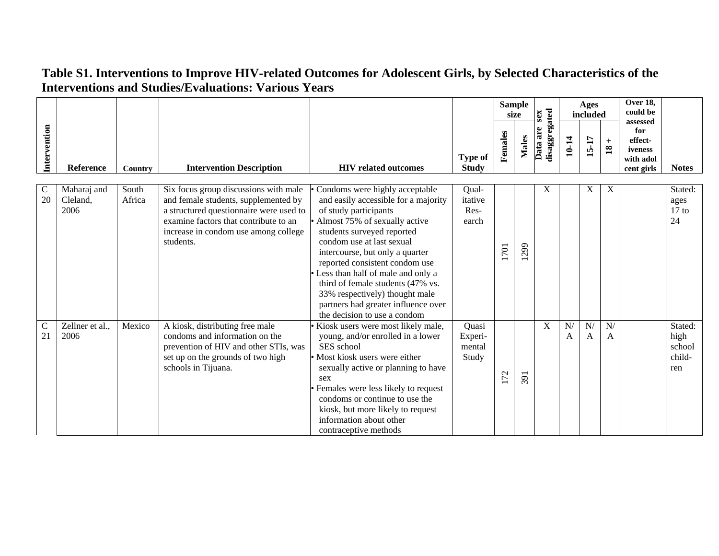|                    |                                 |                 |                                                                                                                                                                                                                        |                                                                                                                                                                                                                                                                                                                                                                                                                                                     |                                     |         | <b>Sample</b><br>size | sex                       |         | <b>Ages</b><br>included |                           | <b>Over 18,</b><br>could be<br>assessed              |                                            |
|--------------------|---------------------------------|-----------------|------------------------------------------------------------------------------------------------------------------------------------------------------------------------------------------------------------------------|-----------------------------------------------------------------------------------------------------------------------------------------------------------------------------------------------------------------------------------------------------------------------------------------------------------------------------------------------------------------------------------------------------------------------------------------------------|-------------------------------------|---------|-----------------------|---------------------------|---------|-------------------------|---------------------------|------------------------------------------------------|--------------------------------------------|
| Intervention       | Reference                       | Country         | <b>Intervention Description</b>                                                                                                                                                                                        | <b>HIV</b> related outcomes                                                                                                                                                                                                                                                                                                                                                                                                                         | <b>Type of</b><br><b>Study</b>      | Females | <b>Males</b>          | disaggregated<br>Data are | 10-14   | 15-17                   | $+$<br>$\mathbf{18}$      | for<br>effect-<br>iveness<br>with adol<br>cent girls | <b>Notes</b>                               |
| $\mathsf{C}$<br>20 | Maharaj and<br>Cleland,<br>2006 | South<br>Africa | Six focus group discussions with male<br>and female students, supplemented by<br>a structured questionnaire were used to<br>examine factors that contribute to an<br>increase in condom use among college<br>students. | Condoms were highly acceptable<br>and easily accessible for a majority<br>of study participants<br>Almost 75% of sexually active<br>students surveyed reported<br>condom use at last sexual<br>intercourse, but only a quarter<br>reported consistent condom use<br>Less than half of male and only a<br>third of female students (47% vs.<br>33% respectively) thought male<br>partners had greater influence over<br>the decision to use a condom | Qual-<br>itative<br>Res-<br>earch   | 1701    | 299                   | $\boldsymbol{\mathrm{X}}$ |         | X                       | $\boldsymbol{\mathrm{X}}$ |                                                      | Stated:<br>ages<br>$17$ to<br>24           |
| $\mathbf C$<br>21  | Zellner et al.,<br>2006         | Mexico          | A kiosk, distributing free male<br>condoms and information on the<br>prevention of HIV and other STIs, was<br>set up on the grounds of two high<br>schools in Tijuana.                                                 | Kiosk users were most likely male,<br>young, and/or enrolled in a lower<br>SES school<br>• Most kiosk users were either<br>sexually active or planning to have<br>sex<br>Females were less likely to request<br>condoms or continue to use the<br>kiosk, but more likely to request<br>information about other<br>contraceptive methods                                                                                                             | Quasi<br>Experi-<br>mental<br>Study | 172     | 391                   | X                         | N/<br>A | N/<br>A                 | N/<br>A                   |                                                      | Stated:<br>high<br>school<br>child-<br>ren |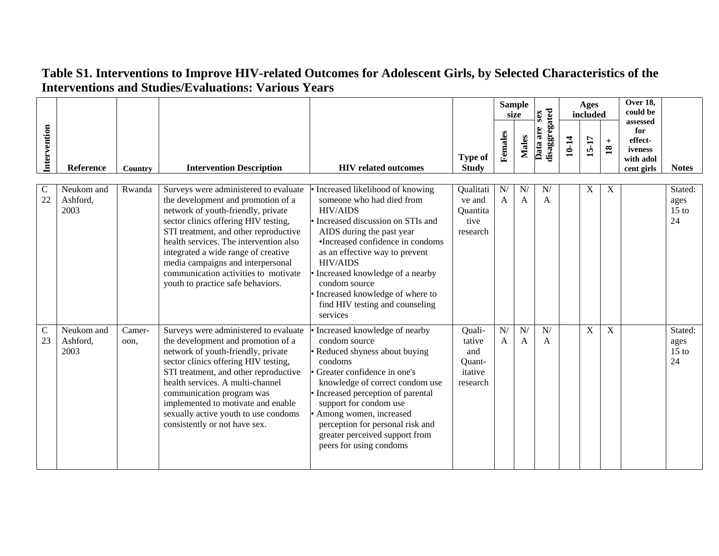|                    |                                |                |                                                                                                                                                                                                                                                                                                                                                                                                       |                                                                                                                                                                                                                                                                                                                                                                                     |                                                          | size                        | <b>Sample</b>       | sex                       |       | <b>Ages</b><br>included |                        | Over 18,<br>could be<br>assessed                     |                                  |
|--------------------|--------------------------------|----------------|-------------------------------------------------------------------------------------------------------------------------------------------------------------------------------------------------------------------------------------------------------------------------------------------------------------------------------------------------------------------------------------------------------|-------------------------------------------------------------------------------------------------------------------------------------------------------------------------------------------------------------------------------------------------------------------------------------------------------------------------------------------------------------------------------------|----------------------------------------------------------|-----------------------------|---------------------|---------------------------|-------|-------------------------|------------------------|------------------------------------------------------|----------------------------------|
| Intervention       | Reference                      | Country        | <b>Intervention Description</b>                                                                                                                                                                                                                                                                                                                                                                       | <b>HIV</b> related outcomes                                                                                                                                                                                                                                                                                                                                                         | <b>Type of</b><br><b>Study</b>                           | Females                     | <b>Males</b>        | disaggregated<br>Data are | 10-14 | 15-17                   | $+$<br>$\overline{18}$ | for<br>effect-<br>iveness<br>with adol<br>cent girls | <b>Notes</b>                     |
| $\mathbf C$<br>22  | Neukom and<br>Ashford,<br>2003 | Rwanda         | Surveys were administered to evaluate<br>the development and promotion of a<br>network of youth-friendly, private<br>sector clinics offering HIV testing,<br>STI treatment, and other reproductive<br>health services. The intervention also<br>integrated a wide range of creative<br>media campaigns and interpersonal<br>communication activities to motivate<br>youth to practice safe behaviors. | • Increased likelihood of knowing<br>someone who had died from<br><b>HIV/AIDS</b><br>• Increased discussion on STIs and<br>AIDS during the past year<br>•Increased confidence in condoms<br>as an effective way to prevent<br><b>HIV/AIDS</b><br>Increased knowledge of a nearby<br>condom source<br>Increased knowledge of where to<br>find HIV testing and counseling<br>services | Qualitati<br>ve and<br>Quantita<br>tive<br>research      | ${\bf N} /$<br>$\mathbf{A}$ | N/<br>$\mathbf{A}$  | N/<br>$\mathbf{A}$        |       | X                       | $\mathbf X$            |                                                      | Stated:<br>ages<br>$15$ to<br>24 |
| $\mathsf{C}$<br>23 | Neukom and<br>Ashford,<br>2003 | Camer-<br>oon, | Surveys were administered to evaluate<br>the development and promotion of a<br>network of youth-friendly, private<br>sector clinics offering HIV testing,<br>STI treatment, and other reproductive<br>health services. A multi-channel<br>communication program was<br>implemented to motivate and enable<br>sexually active youth to use condoms<br>consistently or not have sex.                    | • Increased knowledge of nearby<br>condom source<br>Reduced shyness about buying<br>condoms<br>Greater confidence in one's<br>knowledge of correct condom use<br>Increased perception of parental<br>support for condom use<br>Among women, increased<br>perception for personal risk and<br>greater perceived support from<br>peers for using condoms                              | Quali-<br>tative<br>and<br>Quant-<br>itative<br>research | N/<br>$\overline{A}$        | $\overline{N}$<br>A | N/<br>$\mathbf{A}$        |       | $\mathbf X$             | X                      |                                                      | Stated:<br>ages<br>$15$ to<br>24 |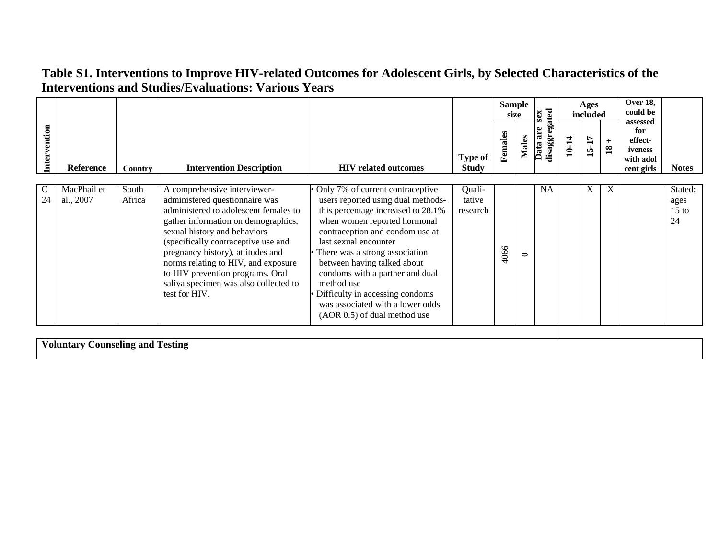|                     |                                  |                 |                                                                                                                                                                                                                                                                                                                                                                                                 |                                                                                                                                                                                                                                                                                                                                                                                                                                     |                                |         | <b>Sample</b><br>size | xas                       |       | Ages<br>included |                        | Over 18,<br>could be                                             |                                  |
|---------------------|----------------------------------|-----------------|-------------------------------------------------------------------------------------------------------------------------------------------------------------------------------------------------------------------------------------------------------------------------------------------------------------------------------------------------------------------------------------------------|-------------------------------------------------------------------------------------------------------------------------------------------------------------------------------------------------------------------------------------------------------------------------------------------------------------------------------------------------------------------------------------------------------------------------------------|--------------------------------|---------|-----------------------|---------------------------|-------|------------------|------------------------|------------------------------------------------------------------|----------------------------------|
| Intervention        | <b>Reference</b>                 | Country         | <b>Intervention Description</b>                                                                                                                                                                                                                                                                                                                                                                 | <b>HIV</b> related outcomes                                                                                                                                                                                                                                                                                                                                                                                                         | <b>Type of</b><br><b>Study</b> | Females | <b>Males</b>          | disaggregated<br>Data are | 10-14 | 15-17            | $+$<br>$\overline{18}$ | assessed<br>for<br>effect-<br>iveness<br>with adol<br>cent girls | <b>Notes</b>                     |
| $\mathcal{C}$<br>24 | MacPhail et<br>al., 2007         | South<br>Africa | A comprehensive interviewer-<br>administered questionnaire was<br>administered to adolescent females to<br>gather information on demographics,<br>sexual history and behaviors<br>(specifically contraceptive use and<br>pregnancy history), attitudes and<br>norms relating to HIV, and exposure<br>to HIV prevention programs. Oral<br>saliva specimen was also collected to<br>test for HIV. | Only 7% of current contraceptive<br>users reported using dual methods-<br>this percentage increased to 28.1%<br>when women reported hormonal<br>contraception and condom use at<br>last sexual encounter<br>• There was a strong association<br>between having talked about<br>condoms with a partner and dual<br>method use<br>Difficulty in accessing condoms<br>was associated with a lower odds<br>(AOR 0.5) of dual method use | Quali-<br>tative<br>research   | 4066    | $\circ$               | <b>NA</b>                 |       | X                | X                      |                                                                  | Stated:<br>ages<br>$15$ to<br>24 |
|                     | Voluntory Counceling and Testing |                 |                                                                                                                                                                                                                                                                                                                                                                                                 |                                                                                                                                                                                                                                                                                                                                                                                                                                     |                                |         |                       |                           |       |                  |                        |                                                                  |                                  |

**Voluntary Counseling and Testing**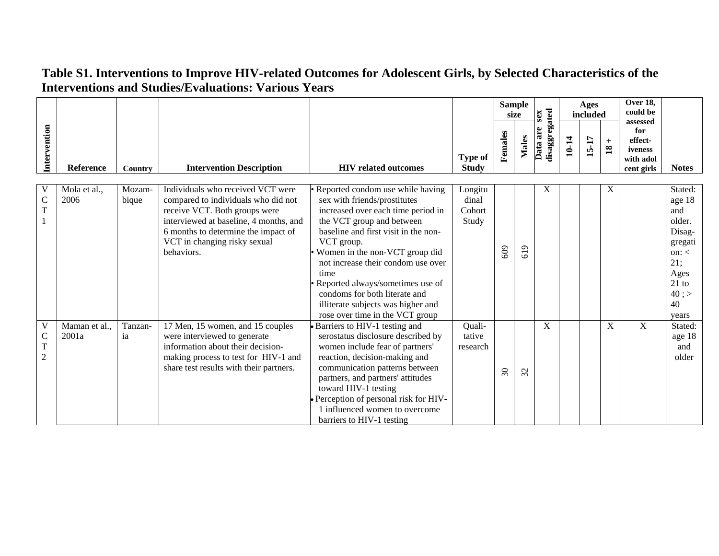|                                          |                        |                 |                                                                                                                                                                                                                                          |                                                                                                                                                                                                                                                                                                                                                                                                                         |                                     |                       | <b>Sample</b><br>size      | sex                       |       | <b>Ages</b><br>included |                        | Over 18,<br>could be<br>assessed                     |                                                                                                                         |
|------------------------------------------|------------------------|-----------------|------------------------------------------------------------------------------------------------------------------------------------------------------------------------------------------------------------------------------------------|-------------------------------------------------------------------------------------------------------------------------------------------------------------------------------------------------------------------------------------------------------------------------------------------------------------------------------------------------------------------------------------------------------------------------|-------------------------------------|-----------------------|----------------------------|---------------------------|-------|-------------------------|------------------------|------------------------------------------------------|-------------------------------------------------------------------------------------------------------------------------|
| Intervention                             | <b>Reference</b>       | Country         | <b>Intervention Description</b>                                                                                                                                                                                                          | <b>HIV</b> related outcomes                                                                                                                                                                                                                                                                                                                                                                                             | <b>Type of</b><br><b>Study</b>      | Females               | Males                      | disaggregated<br>Data are | 10-14 | 15-17                   | $+$<br>$\overline{18}$ | for<br>effect-<br>iveness<br>with adol<br>cent girls | <b>Notes</b>                                                                                                            |
| $\overline{C}$<br>T                      | Mola et al.,<br>2006   | Mozam-<br>bique | Individuals who received VCT were<br>compared to individuals who did not<br>receive VCT. Both groups were<br>interviewed at baseline, 4 months, and<br>6 months to determine the impact of<br>VCT in changing risky sexual<br>behaviors. | Reported condom use while having<br>sex with friends/prostitutes<br>increased over each time period in<br>the VCT group and between<br>baseline and first visit in the non-<br>VCT group.<br>Women in the non-VCT group did<br>not increase their condom use over<br>time<br>Reported always/sometimes use of<br>condoms for both literate and<br>illiterate subjects was higher and<br>rose over time in the VCT group | Longitu<br>dinal<br>Cohort<br>Study | 609                   | $\sigma$<br>$\overline{5}$ | X                         |       |                         | X                      |                                                      | Stated:<br>age 18<br>and<br>older.<br>Disag-<br>gregati<br>on: $\lt$<br>21;<br>Ages<br>$21$ to<br>40 ; ><br>40<br>vears |
| V<br>$\mathsf{C}$<br>T<br>$\overline{2}$ | Maman et al.,<br>2001a | Tanzan-<br>ia   | 17 Men, 15 women, and 15 couples<br>were interviewed to generate<br>information about their decision-<br>making process to test for HIV-1 and<br>share test results with their partners.                                                 | Barriers to HIV-1 testing and<br>serostatus disclosure described by<br>women include fear of partners'<br>reaction, decision-making and<br>communication patterns between<br>partners, and partners' attitudes<br>toward HIV-1 testing<br>Perception of personal risk for HIV-<br>1 influenced women to overcome<br>barriers to HIV-1 testing                                                                           | Quali-<br>tative<br>research        | $\mathcal{S}^{\circ}$ | 32                         | X                         |       |                         | $\mathbf X$            | $\mathbf X$                                          | Stated:<br>age 18<br>and<br>older                                                                                       |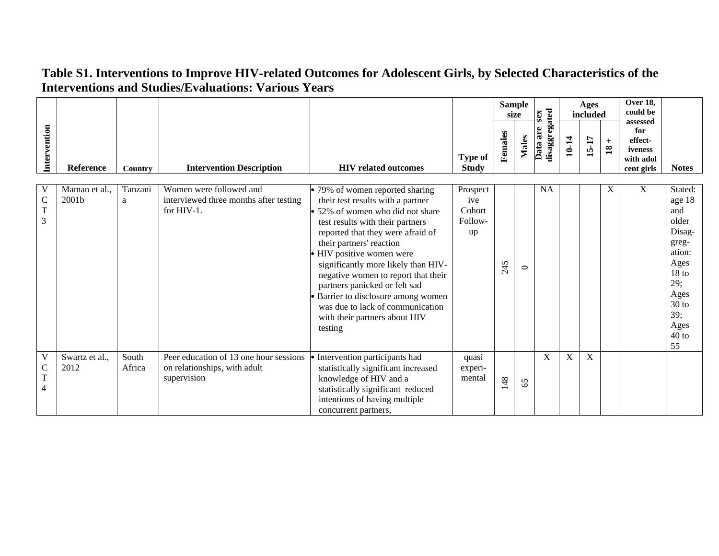|                                                                           |                        |                 |                                                                                       |                                                                                                                                                                                                                                                                                                                                                                                                                                                                                |                                            |         | <b>Sample</b><br>size | sex                       |       | Ages<br>included |                        | <b>Over 18,</b><br>could be<br>assessed              |                                                                                                                                                      |
|---------------------------------------------------------------------------|------------------------|-----------------|---------------------------------------------------------------------------------------|--------------------------------------------------------------------------------------------------------------------------------------------------------------------------------------------------------------------------------------------------------------------------------------------------------------------------------------------------------------------------------------------------------------------------------------------------------------------------------|--------------------------------------------|---------|-----------------------|---------------------------|-------|------------------|------------------------|------------------------------------------------------|------------------------------------------------------------------------------------------------------------------------------------------------------|
| Intervention                                                              | Reference              | Country         | <b>Intervention Description</b>                                                       | <b>HIV</b> related outcomes                                                                                                                                                                                                                                                                                                                                                                                                                                                    | <b>Type of</b><br><b>Study</b>             | Females | Males                 | disaggregated<br>Data are | 10-14 | 15-17            | $+$<br>$\overline{18}$ | for<br>effect-<br>iveness<br>with adol<br>cent girls | <b>Notes</b>                                                                                                                                         |
| V<br>$\mathsf{C}$<br>$\overline{T}$<br>3                                  | Maman et al.,<br>2001b | Tanzani<br>a    | Women were followed and<br>interviewed three months after testing<br>for $HIV-1$ .    | • 79% of women reported sharing<br>their test results with a partner<br>52% of women who did not share<br>test results with their partners<br>reported that they were afraid of<br>their partners' reaction<br>• HIV positive women were<br>significantly more likely than HIV-<br>negative women to report that their<br>partners panicked or felt sad<br>• Barrier to disclosure among women<br>was due to lack of communication<br>with their partners about HIV<br>testing | Prospect<br>ive<br>Cohort<br>Follow-<br>up | 245     | $\circ$               | <b>NA</b>                 |       |                  | X                      | X                                                    | Stated:<br>age 18<br>and<br>older<br>Disag-<br>greg-<br>ation:<br>Ages<br>18 <sub>to</sub><br>29;<br>Ages<br>$30$ to<br>39;<br>Ages<br>$40$ to<br>55 |
| $\ensuremath{\mathsf{V}}$<br>$\mathbf C$<br>$\mathbf T$<br>$\overline{4}$ | Swartz et al.,<br>2012 | South<br>Africa | Peer education of 13 one hour sessions<br>on relationships, with adult<br>supervision | Intervention participants had<br>statistically significant increased<br>knowledge of HIV and a<br>statistically significant reduced<br>intentions of having multiple<br>concurrent partners,                                                                                                                                                                                                                                                                                   | quasi<br>experi-<br>mental                 | 148     | 65                    | X                         | X     | $\overline{X}$   |                        |                                                      |                                                                                                                                                      |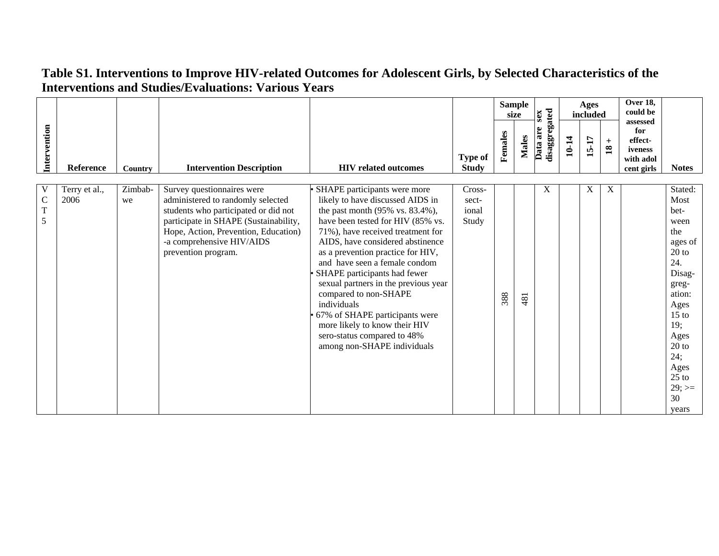|                                    |                       |                |                                                                                                                                                                                                                                              |                                                                                                                                                                                                                                                                                                                                                                                                                                                                                                                                          |                                   |         | <b>Sample</b><br>size | sex                       |       | Ages<br>included |                           | <b>Over 18,</b><br>could be<br>assessed              |                                                                                                                                                                                                       |
|------------------------------------|-----------------------|----------------|----------------------------------------------------------------------------------------------------------------------------------------------------------------------------------------------------------------------------------------------|------------------------------------------------------------------------------------------------------------------------------------------------------------------------------------------------------------------------------------------------------------------------------------------------------------------------------------------------------------------------------------------------------------------------------------------------------------------------------------------------------------------------------------------|-----------------------------------|---------|-----------------------|---------------------------|-------|------------------|---------------------------|------------------------------------------------------|-------------------------------------------------------------------------------------------------------------------------------------------------------------------------------------------------------|
| Intervention                       | Reference             | <b>Country</b> | <b>Intervention Description</b>                                                                                                                                                                                                              | <b>HIV</b> related outcomes                                                                                                                                                                                                                                                                                                                                                                                                                                                                                                              | <b>Type of</b><br><b>Study</b>    | Females | <b>Males</b>          | disaggregated<br>Data are | 10-14 | 15-17            | $+$<br>$\overline{18}$    | for<br>effect-<br>iveness<br>with adol<br>cent girls | <b>Notes</b>                                                                                                                                                                                          |
| $\mathbf C$<br>$\overline{T}$<br>5 | Terry et al.,<br>2006 | Zimbab-<br>we  | Survey questionnaires were<br>administered to randomly selected<br>students who participated or did not<br>participate in SHAPE (Sustainability,<br>Hope, Action, Prevention, Education)<br>-a comprehensive HIV/AIDS<br>prevention program. | SHAPE participants were more<br>likely to have discussed AIDS in<br>the past month (95% vs. 83.4%),<br>have been tested for HIV (85% vs.<br>71%), have received treatment for<br>AIDS, have considered abstinence<br>as a prevention practice for HIV,<br>and have seen a female condom<br>SHAPE participants had fewer<br>sexual partners in the previous year<br>compared to non-SHAPE<br>individuals<br>67% of SHAPE participants were<br>more likely to know their HIV<br>sero-status compared to 48%<br>among non-SHAPE individuals | Cross-<br>sect-<br>ional<br>Study | 388     | 481                   | X                         |       | X                | $\boldsymbol{\mathrm{X}}$ |                                                      | Stated:<br>Most<br>bet-<br>ween<br>the<br>ages of<br>$20$ to<br>24.<br>Disag-<br>greg-<br>ation:<br>Ages<br>$15$ to<br>19;<br>Ages<br>$20$ to<br>24;<br>Ages<br>$25$ to<br>$29$ ; $>=$<br>30<br>years |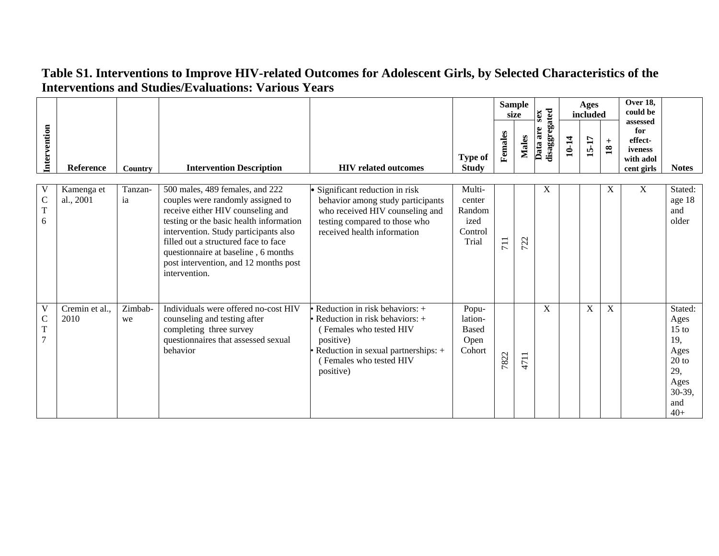|                        |                         |               |                                                                                                                                                                                                                                                                                                                                        |                                                                                                                                                                                           |                                                        |         | <b>Sample</b><br>size | sex                       |       | <b>Ages</b><br>included |                                     | Over 18,<br>could be<br>assessed                     |                                                                                               |
|------------------------|-------------------------|---------------|----------------------------------------------------------------------------------------------------------------------------------------------------------------------------------------------------------------------------------------------------------------------------------------------------------------------------------------|-------------------------------------------------------------------------------------------------------------------------------------------------------------------------------------------|--------------------------------------------------------|---------|-----------------------|---------------------------|-------|-------------------------|-------------------------------------|------------------------------------------------------|-----------------------------------------------------------------------------------------------|
| Intervention           | Reference               | Country       | <b>Intervention Description</b>                                                                                                                                                                                                                                                                                                        | <b>HIV</b> related outcomes                                                                                                                                                               | <b>Type of</b><br><b>Study</b>                         | Females | <b>Males</b>          | disaggregated<br>Data are | 10-14 | 15-17                   | $\boldsymbol{+}$<br>$\overline{18}$ | for<br>effect-<br>iveness<br>with adol<br>cent girls | <b>Notes</b>                                                                                  |
| $\mathsf{C}$<br>T<br>6 | Kamenga et<br>al., 2001 | Tanzan-<br>ia | 500 males, 489 females, and 222<br>couples were randomly assigned to<br>receive either HIV counseling and<br>testing or the basic health information<br>intervention. Study participants also<br>filled out a structured face to face<br>questionnaire at baseline, 6 months<br>post intervention, and 12 months post<br>intervention. | · Significant reduction in risk<br>behavior among study participants<br>who received HIV counseling and<br>testing compared to those who<br>received health information                   | Multi-<br>center<br>Random<br>ized<br>Control<br>Trial | 711     | 722                   | X                         |       |                         | X                                   | X                                                    | Stated:<br>age 18<br>and<br>older                                                             |
| V<br>$\mathsf C$<br>T  | Cremin et al.,<br>2010  | Zimbab-<br>we | Individuals were offered no-cost HIV<br>counseling and testing after<br>completing three survey<br>questionnaires that assessed sexual<br>behavior                                                                                                                                                                                     | Reduction in risk behaviors: +<br>Reduction in risk behaviors: $+$<br>(Females who tested HIV<br>positive)<br>Reduction in sexual partnerships: +<br>(Females who tested HIV<br>positive) | Popu-<br>lation-<br><b>Based</b><br>Open<br>Cohort     | 7822    | 4711                  | X                         |       | $\mathbf X$             | $\mathbf X$                         |                                                      | Stated:<br>Ages<br>$15$ to<br>19,<br>Ages<br>$20$ to<br>29,<br>Ages<br>30-39,<br>and<br>$40+$ |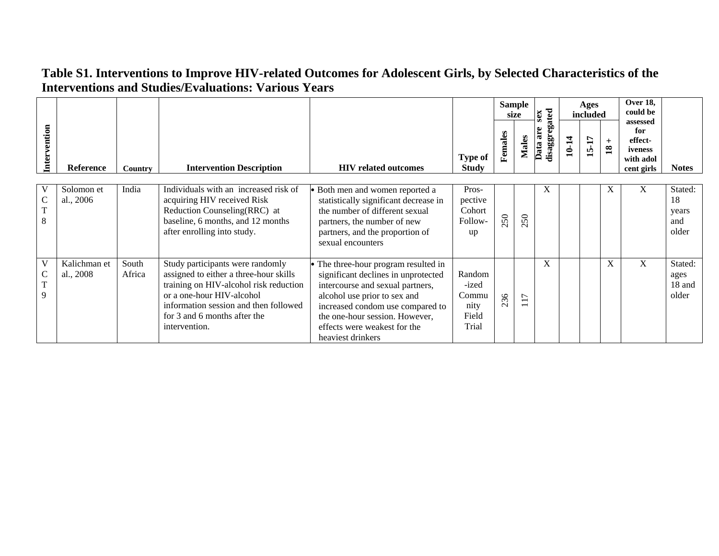|              |                           |                 |                                                                                                                                                                                                                                             |                                                                                                                                                                                                                                                                          |                                                    |         | <b>Sample</b><br>size                      | sex                       |       | Ages<br>included   |                        | Over 18,<br>could be                                             |                                        |
|--------------|---------------------------|-----------------|---------------------------------------------------------------------------------------------------------------------------------------------------------------------------------------------------------------------------------------------|--------------------------------------------------------------------------------------------------------------------------------------------------------------------------------------------------------------------------------------------------------------------------|----------------------------------------------------|---------|--------------------------------------------|---------------------------|-------|--------------------|------------------------|------------------------------------------------------------------|----------------------------------------|
| Intervention | <b>Reference</b>          | Country         | <b>Intervention Description</b>                                                                                                                                                                                                             | <b>HIV</b> related outcomes                                                                                                                                                                                                                                              | Type of<br><b>Study</b>                            | Females | <b>Males</b>                               | disaggregated<br>Data are | 10-14 | 7Ļ<br>$\mathbf{5}$ | $+$<br>$\overline{18}$ | assessed<br>for<br>effect-<br>iveness<br>with adol<br>cent girls | <b>Notes</b>                           |
| C<br>T<br>8  | Solomon et<br>al., 2006   | India           | Individuals with an increased risk of<br>acquiring HIV received Risk<br>Reduction Counseling(RRC) at<br>baseline, 6 months, and 12 months<br>after enrolling into study.                                                                    | · Both men and women reported a<br>statistically significant decrease in<br>the number of different sexual<br>partners, the number of new<br>partners, and the proportion of<br>sexual encounters                                                                        | Pros-<br>pective<br>Cohort<br>Follow-<br>up        | 250     | 250                                        | X                         |       |                    | X                      | X                                                                | Stated:<br>18<br>years<br>and<br>older |
| T<br>9       | Kalichman et<br>al., 2008 | South<br>Africa | Study participants were randomly<br>assigned to either a three-hour skills<br>training on HIV-alcohol risk reduction<br>or a one-hour HIV-alcohol<br>information session and then followed<br>for 3 and 6 months after the<br>intervention. | The three-hour program resulted in<br>significant declines in unprotected<br>intercourse and sexual partners,<br>alcohol use prior to sex and<br>increased condom use compared to<br>the one-hour session. However,<br>effects were weakest for the<br>heaviest drinkers | Random<br>-ized<br>Commu<br>nity<br>Field<br>Trial | 236     | $\overline{ }$<br>$\overline{\phantom{0}}$ | X                         |       |                    | X                      | X                                                                | Stated:<br>ages<br>18 and<br>older     |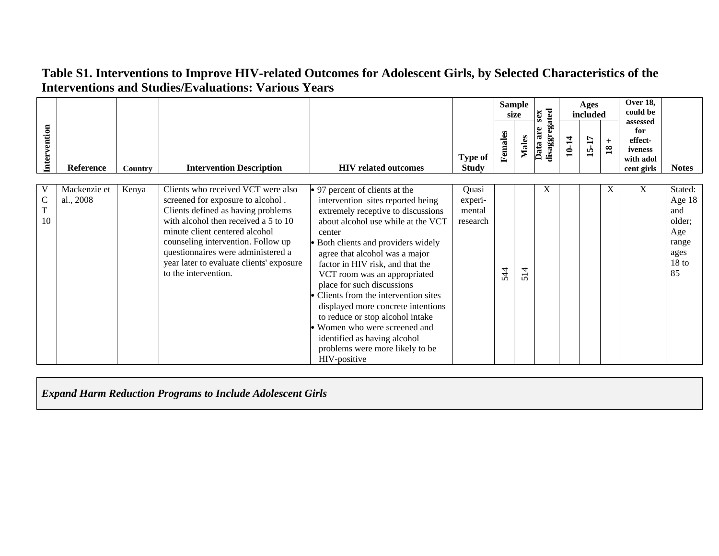|                                   |                           |         |                                                                                                                                                                                                                                                                                                                                         |                                                                                                                                                                                                                                                                                                                                                                                                                                                                                                                                                                       |                                        |         | <b>Sample</b><br>size | sex                          |       | Ages<br>included |                      | Over 18,<br>could be                                             |                                                                                      |
|-----------------------------------|---------------------------|---------|-----------------------------------------------------------------------------------------------------------------------------------------------------------------------------------------------------------------------------------------------------------------------------------------------------------------------------------------|-----------------------------------------------------------------------------------------------------------------------------------------------------------------------------------------------------------------------------------------------------------------------------------------------------------------------------------------------------------------------------------------------------------------------------------------------------------------------------------------------------------------------------------------------------------------------|----------------------------------------|---------|-----------------------|------------------------------|-------|------------------|----------------------|------------------------------------------------------------------|--------------------------------------------------------------------------------------|
| Intervention                      | <b>Reference</b>          | Country | <b>Intervention Description</b>                                                                                                                                                                                                                                                                                                         | <b>HIV</b> related outcomes                                                                                                                                                                                                                                                                                                                                                                                                                                                                                                                                           | <b>Type of</b><br><b>Study</b>         | Females | <b>Males</b>          | disaggregated<br>are<br>Data | 10-14 | <b>15-17</b>     | $+$<br>$\mathbf{18}$ | assessed<br>for<br>effect-<br>iveness<br>with adol<br>cent girls | <b>Notes</b>                                                                         |
| $\mathsf{C}$<br>$\mathbf T$<br>10 | Mackenzie et<br>al., 2008 | Kenya   | Clients who received VCT were also<br>screened for exposure to alcohol.<br>Clients defined as having problems<br>with alcohol then received a 5 to 10<br>minute client centered alcohol<br>counseling intervention. Follow up<br>questionnaires were administered a<br>year later to evaluate clients' exposure<br>to the intervention. | • 97 percent of clients at the<br>intervention sites reported being<br>extremely receptive to discussions<br>about alcohol use while at the VCT<br>center<br>Both clients and providers widely<br>agree that alcohol was a major<br>factor in HIV risk, and that the<br>VCT room was an appropriated<br>place for such discussions<br>Clients from the intervention sites<br>displayed more concrete intentions<br>to reduce or stop alcohol intake<br>Women who were screened and<br>identified as having alcohol<br>problems were more likely to be<br>HIV-positive | Quasi<br>experi-<br>mental<br>research | 544     | 4<br>$\Omega$         | X                            |       |                  | X                    | X                                                                | Stated:<br>Age 18<br>and<br>older;<br>Age<br>range<br>ages<br>18 <sub>to</sub><br>85 |

*Expand Harm Reduction Programs to Include Adolescent Girls*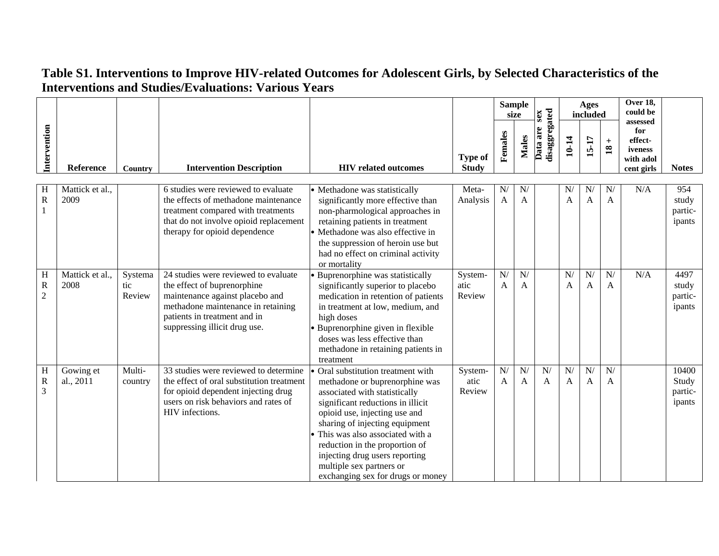|                                    |                         |                          |                                                                                                                                                                                                               |                                                                                                                                                                                                                                                                                                                                                                                     |                                |                    | <b>Sample</b><br>size | sex                       |                      | <b>Ages</b><br>included |                                              | Over 18,<br>could be<br>assessed                     |                                     |
|------------------------------------|-------------------------|--------------------------|---------------------------------------------------------------------------------------------------------------------------------------------------------------------------------------------------------------|-------------------------------------------------------------------------------------------------------------------------------------------------------------------------------------------------------------------------------------------------------------------------------------------------------------------------------------------------------------------------------------|--------------------------------|--------------------|-----------------------|---------------------------|----------------------|-------------------------|----------------------------------------------|------------------------------------------------------|-------------------------------------|
| Intervention                       | Reference               | Country                  | <b>Intervention Description</b>                                                                                                                                                                               | <b>HIV</b> related outcomes                                                                                                                                                                                                                                                                                                                                                         | <b>Type of</b><br><b>Study</b> | Females            | <b>Males</b>          | disaggregated<br>Data are | 10-14                | $15-17$                 | $\boldsymbol{+}$<br>$\overline{\mathbf{18}}$ | for<br>effect-<br>iveness<br>with adol<br>cent girls | <b>Notes</b>                        |
| Η<br>R                             | Mattick et al.,<br>2009 |                          | 6 studies were reviewed to evaluate<br>the effects of methadone maintenance<br>treatment compared with treatments<br>that do not involve opioid replacement<br>therapy for opioid dependence                  | · Methadone was statistically<br>significantly more effective than<br>non-pharmological approaches in<br>retaining patients in treatment<br>• Methadone was also effective in<br>the suppression of heroin use but<br>had no effect on criminal activity<br>or mortality                                                                                                            | Meta-<br>Analysis              | N/<br>$\mathbf{A}$ | N/<br>A               |                           | N/<br>$\overline{A}$ | N/<br>A                 | N/<br>$\mathbf{A}$                           | N/A                                                  | 954<br>study<br>partic-<br>ipants   |
| H<br>$\mathbf R$<br>$\overline{c}$ | Mattick et al.,<br>2008 | Systema<br>tic<br>Review | 24 studies were reviewed to evaluate<br>the effect of buprenorphine<br>maintenance against placebo and<br>methadone maintenance in retaining<br>patients in treatment and in<br>suppressing illicit drug use. | Buprenorphine was statistically<br>significantly superior to placebo<br>medication in retention of patients<br>in treatment at low, medium, and<br>high doses<br>• Buprenorphine given in flexible<br>doses was less effective than<br>methadone in retaining patients in<br>treatment                                                                                              | System-<br>atic<br>Review      | ${\bf N} /$<br>A   | N/<br>A               |                           | N/<br>$\mathbf{A}$   | N/<br>A                 | ${\bf N} /$<br>A                             | N/A                                                  | 4497<br>study<br>partic-<br>ipants  |
| Η<br>$\mathbf R$<br>3              | Gowing et<br>al., 2011  | Multi-<br>country        | 33 studies were reviewed to determine<br>the effect of oral substitution treatment<br>for opioid dependent injecting drug<br>users on risk behaviors and rates of<br>HIV infections.                          | Oral substitution treatment with<br>methadone or buprenorphine was<br>associated with statistically<br>significant reductions in illicit<br>opioid use, injecting use and<br>sharing of injecting equipment<br>This was also associated with a<br>reduction in the proportion of<br>injecting drug users reporting<br>multiple sex partners or<br>exchanging sex for drugs or money | System-<br>atic<br>Review      | N/<br>A            | N/<br>A               | N/<br>$\mathsf{A}$        | N/<br>$\overline{A}$ | N/<br>$\mathbf{A}$      | N/<br>A                                      |                                                      | 10400<br>Study<br>partic-<br>ipants |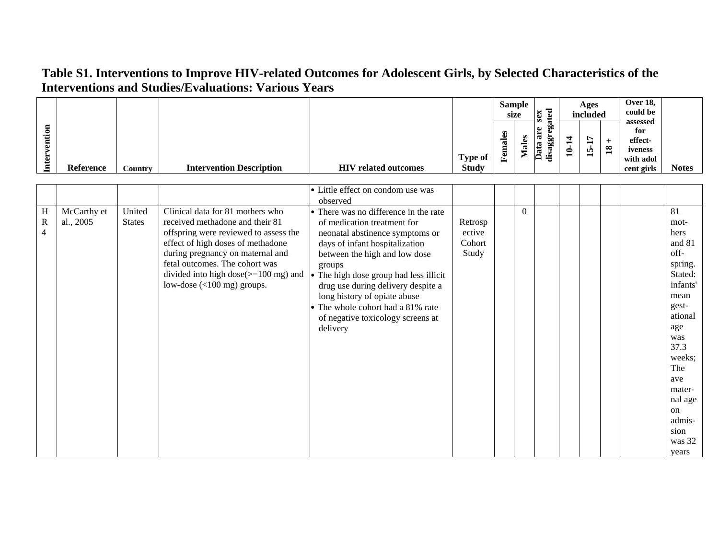| ention |           |         |                                 |                             |                | S<br>ω<br>ಡ<br>۶<br>.JJ | Sample<br>size<br>▱ | 70<br>∼<br>∽<br>S.<br>پ<br>ັ<br>ಡ<br>œ<br>ಡ<br>₩<br>ದ<br>$\cdot$ . | っ<br>− | Ages<br>included<br>►<br>−<br>IÒ.<br>$\blacksquare$ | $\mathbf{18}$ | <b>Over 18,</b><br>could be<br>assessed<br>for<br>effect-<br>iveness |              |
|--------|-----------|---------|---------------------------------|-----------------------------|----------------|-------------------------|---------------------|--------------------------------------------------------------------|--------|-----------------------------------------------------|---------------|----------------------------------------------------------------------|--------------|
| nter   |           |         |                                 |                             | <b>Type of</b> | E,                      |                     | Ð                                                                  |        |                                                     |               | with adol                                                            |              |
|        | Reference | Country | <b>Intervention Description</b> | <b>HIV</b> related outcomes | <b>Study</b>   |                         |                     |                                                                    |        |                                                     |               | cent girls                                                           | <b>Notes</b> |

|              |             |               |                                                 | • Little effect on condom use was      |         |          |  |  |          |
|--------------|-------------|---------------|-------------------------------------------------|----------------------------------------|---------|----------|--|--|----------|
|              |             |               |                                                 | observed                               |         |          |  |  |          |
| Η            | McCarthy et | United        | Clinical data for 81 mothers who                | • There was no difference in the rate  |         | $\theta$ |  |  | 81       |
| $\mathbb{R}$ | al., 2005   | <b>States</b> | received methadone and their 81                 | of medication treatment for            | Retrosp |          |  |  | mot-     |
| 4            |             |               | offspring were reviewed to assess the           | neonatal abstinence symptoms or        | ective  |          |  |  | hers     |
|              |             |               | effect of high doses of methadone               | days of infant hospitalization         | Cohort  |          |  |  | and 81   |
|              |             |               | during pregnancy on maternal and                | between the high and low dose          | Study   |          |  |  | off-     |
|              |             |               | fetal outcomes. The cohort was                  | groups                                 |         |          |  |  | spring.  |
|              |             |               | divided into high dose $(>=100 \text{ mg})$ and | • The high dose group had less illicit |         |          |  |  | Stated:  |
|              |             |               | low-dose $(<100$ mg) groups.                    | drug use during delivery despite a     |         |          |  |  | infants' |
|              |             |               |                                                 | long history of opiate abuse           |         |          |  |  | mean     |
|              |             |               |                                                 | The whole cohort had a 81% rate        |         |          |  |  | gest-    |
|              |             |               |                                                 | of negative toxicology screens at      |         |          |  |  | ational  |
|              |             |               |                                                 | delivery                               |         |          |  |  | age      |
|              |             |               |                                                 |                                        |         |          |  |  | was      |
|              |             |               |                                                 |                                        |         |          |  |  | 37.3     |
|              |             |               |                                                 |                                        |         |          |  |  | weeks;   |
|              |             |               |                                                 |                                        |         |          |  |  | The      |
|              |             |               |                                                 |                                        |         |          |  |  | ave      |
|              |             |               |                                                 |                                        |         |          |  |  | mater-   |
|              |             |               |                                                 |                                        |         |          |  |  | nal age  |
|              |             |               |                                                 |                                        |         |          |  |  | on       |
|              |             |               |                                                 |                                        |         |          |  |  | admis-   |
|              |             |               |                                                 |                                        |         |          |  |  | sion     |
|              |             |               |                                                 |                                        |         |          |  |  | was 32   |
|              |             |               |                                                 |                                        |         |          |  |  | years    |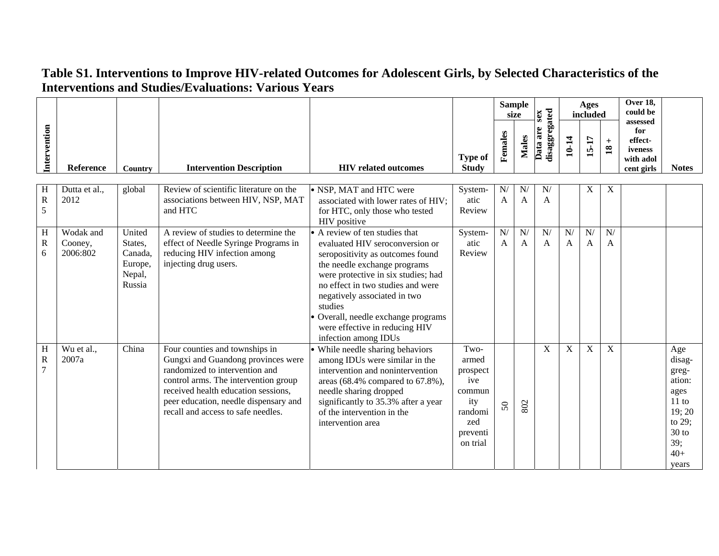|                       |                                  |                                                             |                                                                                                                                                                                                                                                                      |                                                                                                                                                                                                                                                                                                                                                             |                                                                                             |                  | <b>Sample</b><br>size | sex                       |         | Ages<br>included   |                        | Over 18,<br>could be                                             |                                                                                                           |
|-----------------------|----------------------------------|-------------------------------------------------------------|----------------------------------------------------------------------------------------------------------------------------------------------------------------------------------------------------------------------------------------------------------------------|-------------------------------------------------------------------------------------------------------------------------------------------------------------------------------------------------------------------------------------------------------------------------------------------------------------------------------------------------------------|---------------------------------------------------------------------------------------------|------------------|-----------------------|---------------------------|---------|--------------------|------------------------|------------------------------------------------------------------|-----------------------------------------------------------------------------------------------------------|
| Intervention          | Reference                        | <b>Country</b>                                              | <b>Intervention Description</b>                                                                                                                                                                                                                                      | <b>HIV</b> related outcomes                                                                                                                                                                                                                                                                                                                                 | <b>Type of</b><br><b>Study</b>                                                              | Females          | <b>Males</b>          | disaggregated<br>Data are | 10-14   | 15-17              | $+$<br>$\overline{18}$ | assessed<br>for<br>effect-<br>iveness<br>with adol<br>cent girls | <b>Notes</b>                                                                                              |
| H<br>$\mathbf R$<br>5 | Dutta et al.,<br>2012            | global                                                      | Review of scientific literature on the<br>associations between HIV, NSP, MAT<br>and HTC                                                                                                                                                                              | • NSP, MAT and HTC were<br>associated with lower rates of HIV;<br>for HTC, only those who tested<br>HIV positive                                                                                                                                                                                                                                            | System-<br>atic<br>Review                                                                   | N/<br>A          | N<br>A                | N/<br>A                   |         | $\mathbf X$        | $\mathbf X$            |                                                                  |                                                                                                           |
| H<br>$\mathbf R$<br>6 | Wodak and<br>Cooney,<br>2006:802 | United<br>States,<br>Canada.<br>Europe,<br>Nepal,<br>Russia | A review of studies to determine the<br>effect of Needle Syringe Programs in<br>reducing HIV infection among<br>injecting drug users.                                                                                                                                | • A review of ten studies that<br>evaluated HIV seroconversion or<br>seropositivity as outcomes found<br>the needle exchange programs<br>were protective in six studies; had<br>no effect in two studies and were<br>negatively associated in two<br>studies<br>Overall, needle exchange programs<br>were effective in reducing HIV<br>infection among IDUs | System-<br>atic<br>Review                                                                   | ${\bf N} /$<br>A | N/<br>A               | N/<br>A                   | N/<br>A | N/<br>$\mathbf{A}$ | N/<br>A                |                                                                  |                                                                                                           |
| H<br>$\mathbf R$<br>7 | Wu et al.,<br>2007a              | China                                                       | Four counties and townships in<br>Gungxi and Guandong provinces were<br>randomized to intervention and<br>control arms. The intervention group<br>received health education sessions,<br>peer education, needle dispensary and<br>recall and access to safe needles. | • While needle sharing behaviors<br>among IDUs were similar in the<br>intervention and nonintervention<br>areas $(68.4\%$ compared to $67.8\%$ ),<br>needle sharing dropped<br>significantly to 35.3% after a year<br>of the intervention in the<br>intervention area                                                                                       | Two-<br>armed<br>prospect<br>ive<br>commun<br>ity<br>randomi<br>zed<br>preventi<br>on trial | 50               | 802                   | X                         | X       | $\mathbf X$        | $\mathbf X$            |                                                                  | Age<br>disag-<br>greg-<br>ation:<br>ages<br>11 to<br>19; 20<br>to 29;<br>$30$ to<br>39;<br>$40+$<br>years |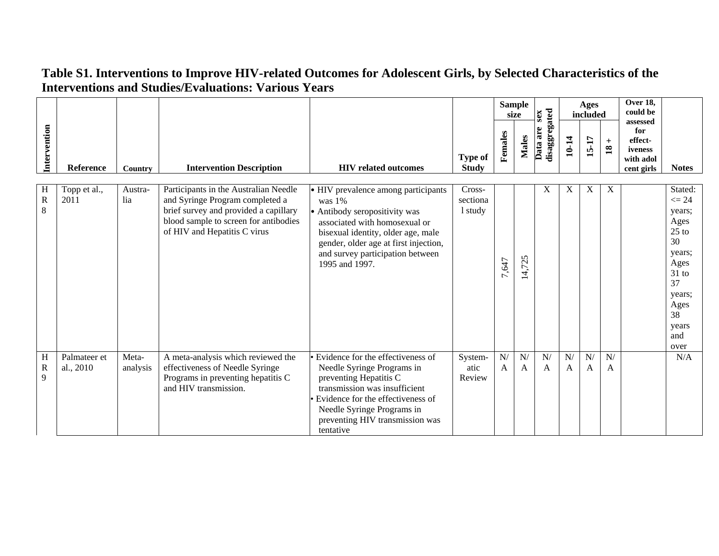|                       |                           |                   |                                                                                                                                                                                            |                                                                                                                                                                                                                                                         |                                |                        | <b>Sample</b><br>size | sex                       |         | Ages<br>included |                                      | Over 18,<br>could be<br>assessed                     |                                                                                                                                            |
|-----------------------|---------------------------|-------------------|--------------------------------------------------------------------------------------------------------------------------------------------------------------------------------------------|---------------------------------------------------------------------------------------------------------------------------------------------------------------------------------------------------------------------------------------------------------|--------------------------------|------------------------|-----------------------|---------------------------|---------|------------------|--------------------------------------|------------------------------------------------------|--------------------------------------------------------------------------------------------------------------------------------------------|
| Intervention          | <b>Reference</b>          | Country           | <b>Intervention Description</b>                                                                                                                                                            | <b>HIV</b> related outcomes                                                                                                                                                                                                                             | <b>Type of</b><br><b>Study</b> | Females                | <b>Males</b>          | disaggregated<br>Data are | 10-14   | 15-17            | $\qquad \qquad +$<br>$\overline{18}$ | for<br>effect-<br>iveness<br>with adol<br>cent girls | <b>Notes</b>                                                                                                                               |
| H<br>$\mathbf R$<br>8 | Topp et al.,<br>2011      | Austra-<br>lia    | Participants in the Australian Needle<br>and Syringe Program completed a<br>brief survey and provided a capillary<br>blood sample to screen for antibodies<br>of HIV and Hepatitis C virus | • HIV prevalence among participants<br>was $1\%$<br>• Antibody seropositivity was<br>associated with homosexual or<br>bisexual identity, older age, male<br>gender, older age at first injection,<br>and survey participation between<br>1995 and 1997. | Cross-<br>sectiona<br>1 study  | ,647<br>$\overline{ }$ | 14,725                | X                         | X       | X                | X                                    |                                                      | Stated:<br>$\leq$ 24<br>years;<br>Ages<br>$25$ to<br>30<br>years;<br>Ages<br>$31$ to<br>37<br>years;<br>Ages<br>38<br>years<br>and<br>over |
| H<br>$\mathbf R$<br>9 | Palmateer et<br>al., 2010 | Meta-<br>analysis | A meta-analysis which reviewed the<br>effectiveness of Needle Syringe<br>Programs in preventing hepatitis C<br>and HIV transmission.                                                       | · Evidence for the effectiveness of<br>Needle Syringe Programs in<br>preventing Hepatitis C<br>transmission was insufficient<br>Evidence for the effectiveness of<br>Needle Syringe Programs in<br>preventing HIV transmission was<br>tentative         | System-<br>atic<br>Review      | N/<br>A                | N/<br>A               | N/<br>A                   | N/<br>A | ${\bf N} /$<br>A | N/<br>A                              |                                                      | N/A                                                                                                                                        |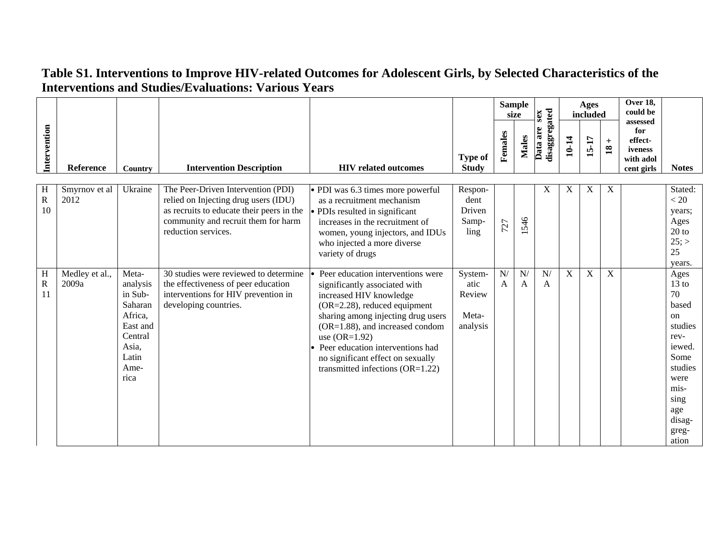|                                  |                         |                                                                                                             |                                                                                                                                                                                       |                                                                                                                                                                                                                                                                                                                                        |                                                |         | <b>Sample</b><br>size | sex                       |       | Ages<br>included |                        | Over 18,<br>could be<br>assessed                     |                                                                                                                                                 |
|----------------------------------|-------------------------|-------------------------------------------------------------------------------------------------------------|---------------------------------------------------------------------------------------------------------------------------------------------------------------------------------------|----------------------------------------------------------------------------------------------------------------------------------------------------------------------------------------------------------------------------------------------------------------------------------------------------------------------------------------|------------------------------------------------|---------|-----------------------|---------------------------|-------|------------------|------------------------|------------------------------------------------------|-------------------------------------------------------------------------------------------------------------------------------------------------|
| Intervention                     | Reference               | Country                                                                                                     | <b>Intervention Description</b>                                                                                                                                                       | <b>HIV</b> related outcomes                                                                                                                                                                                                                                                                                                            | <b>Type of</b><br><b>Study</b>                 | Females | <b>Males</b>          | disaggregated<br>Data are | 10-14 | 15-17            | $+$<br>$\overline{18}$ | for<br>effect-<br>iveness<br>with adol<br>cent girls | <b>Notes</b>                                                                                                                                    |
| H<br>$\overline{\text{R}}$<br>10 | Smyrnov et al<br>2012   | Ukraine                                                                                                     | The Peer-Driven Intervention (PDI)<br>relied on Injecting drug users (IDU)<br>as recruits to educate their peers in the<br>community and recruit them for harm<br>reduction services. | • PDI was 6.3 times more powerful<br>as a recruitment mechanism<br>• PDIs resulted in significant<br>increases in the recruitment of<br>women, young injectors, and IDUs<br>who injected a more diverse<br>variety of drugs                                                                                                            | Respon-<br>dent<br>Driven<br>Samp-<br>ling     | 727     | 546                   | X                         | X     | X                | X                      |                                                      | Stated:<br>< 20<br>years;<br>Ages<br>$20$ to<br>$25$ ; ><br>25<br>years.                                                                        |
| H<br>$\overline{\text{R}}$<br>11 | Medley et al.,<br>2009a | Meta-<br>analysis<br>in Sub-<br>Saharan<br>Africa,<br>East and<br>Central<br>Asia,<br>Latin<br>Ame-<br>rica | 30 studies were reviewed to determine<br>the effectiveness of peer education<br>interventions for HIV prevention in<br>developing countries.                                          | Peer education interventions were<br>significantly associated with<br>increased HIV knowledge<br>(OR=2.28), reduced equipment<br>sharing among injecting drug users<br>(OR=1.88), and increased condom<br>use $(OR=1.92)$<br>Peer education interventions had<br>no significant effect on sexually<br>transmitted infections (OR=1.22) | System-<br>atic<br>Review<br>Meta-<br>analysis | N/<br>A | N/<br>A               | N/<br>A                   | X     | X                | X                      |                                                      | Ages<br>$13$ to<br>70<br>based<br>on<br>studies<br>rev-<br>iewed.<br>Some<br>studies<br>were<br>mis-<br>sing<br>age<br>disag-<br>greg-<br>ation |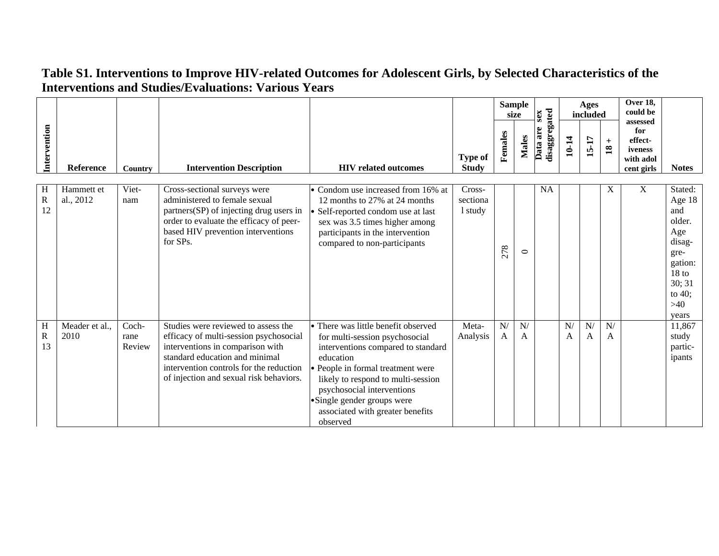|                        |                         |                         |                                                                                                                                                                                                                                           |                                                                                                                                                                                                                                                                                                                 |                                |         | <b>Sample</b><br>size | sex                       |         | Ages<br>included |                        | <b>Over 18,</b><br>could be<br>assessed              |                                                                                                                                   |
|------------------------|-------------------------|-------------------------|-------------------------------------------------------------------------------------------------------------------------------------------------------------------------------------------------------------------------------------------|-----------------------------------------------------------------------------------------------------------------------------------------------------------------------------------------------------------------------------------------------------------------------------------------------------------------|--------------------------------|---------|-----------------------|---------------------------|---------|------------------|------------------------|------------------------------------------------------|-----------------------------------------------------------------------------------------------------------------------------------|
| Intervention           | <b>Reference</b>        | Country                 | <b>Intervention Description</b>                                                                                                                                                                                                           | <b>HIV</b> related outcomes                                                                                                                                                                                                                                                                                     | <b>Type of</b><br><b>Study</b> | Females | <b>Males</b>          | disaggregated<br>Data are | 10-14   | 15-17            | $+$<br>$\overline{18}$ | for<br>effect-<br>iveness<br>with adol<br>cent girls | <b>Notes</b>                                                                                                                      |
| Н<br>$\mathbf R$<br>12 | Hammett et<br>al., 2012 | Viet-<br>nam            | Cross-sectional surveys were<br>administered to female sexual<br>partners(SP) of injecting drug users in<br>order to evaluate the efficacy of peer-<br>based HIV prevention interventions<br>for SPs.                                     | · Condom use increased from 16% at<br>12 months to 27% at 24 months<br>Self-reported condom use at last<br>sex was 3.5 times higher among<br>participants in the intervention<br>compared to non-participants                                                                                                   | Cross-<br>sectiona<br>1 study  | 278     | $\circ$               | <b>NA</b>                 |         |                  | X                      | X                                                    | Stated:<br>Age 18<br>and<br>older.<br>Age<br>disag-<br>gre-<br>gation:<br>18 <sub>to</sub><br>30; 31<br>to $40$ ;<br>>40<br>years |
| Η<br>R<br>13           | Meader et al.,<br>2010  | Coch-<br>rane<br>Review | Studies were reviewed to assess the<br>efficacy of multi-session psychosocial<br>interventions in comparison with<br>standard education and minimal<br>intervention controls for the reduction<br>of injection and sexual risk behaviors. | • There was little benefit observed<br>for multi-session psychosocial<br>interventions compared to standard<br>education<br>· People in formal treatment were<br>likely to respond to multi-session<br>psychosocial interventions<br>•Single gender groups were<br>associated with greater benefits<br>observed | Meta-<br>Analysis              | N/<br>A | N/<br>A               |                           | N/<br>А | N/<br>A          | N/<br>A                |                                                      | 11,867<br>study<br>partic-<br>ipants                                                                                              |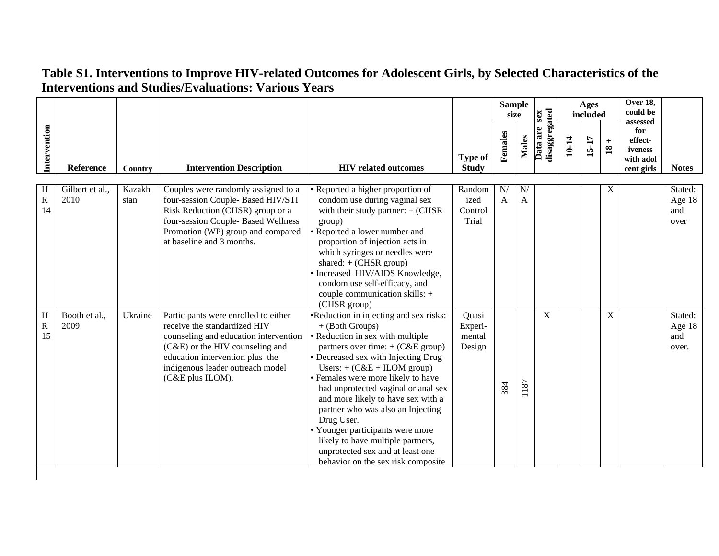|                                  |                         |                |                                                                                                                                                                                                                                             |                                                                                                                                                                                                                                                                                                                                                                                                                                                                                                                                              |                                      |         | <b>Sample</b><br>size | sex                       |       | Ages<br>included |                        | Over 18,<br>could be                                             |                                   |
|----------------------------------|-------------------------|----------------|---------------------------------------------------------------------------------------------------------------------------------------------------------------------------------------------------------------------------------------------|----------------------------------------------------------------------------------------------------------------------------------------------------------------------------------------------------------------------------------------------------------------------------------------------------------------------------------------------------------------------------------------------------------------------------------------------------------------------------------------------------------------------------------------------|--------------------------------------|---------|-----------------------|---------------------------|-------|------------------|------------------------|------------------------------------------------------------------|-----------------------------------|
| Intervention                     | Reference               | Country        | <b>Intervention Description</b>                                                                                                                                                                                                             | <b>HIV</b> related outcomes                                                                                                                                                                                                                                                                                                                                                                                                                                                                                                                  | <b>Type of</b><br><b>Study</b>       | Females | Males                 | disaggregated<br>Data are | 10-14 | 15-17            | $+$<br>$\overline{18}$ | assessed<br>for<br>effect-<br>iveness<br>with adol<br>cent girls | <b>Notes</b>                      |
| H<br>$\overline{\text{R}}$<br>14 | Gilbert et al.,<br>2010 | Kazakh<br>stan | Couples were randomly assigned to a<br>four-session Couple- Based HIV/STI<br>Risk Reduction (CHSR) group or a<br>four-session Couple- Based Wellness<br>Promotion (WP) group and compared<br>at baseline and 3 months.                      | Reported a higher proportion of<br>condom use during vaginal sex<br>with their study partner: $+$ (CHSR<br>group)<br>Reported a lower number and<br>proportion of injection acts in<br>which syringes or needles were<br>shared: $+$ (CHSR group)<br>Increased HIV/AIDS Knowledge,<br>condom use self-efficacy, and<br>couple communication skills: +<br>(CHSR group)                                                                                                                                                                        | Random<br>ized<br>Control<br>Trial   | N/<br>A | N/<br>A               |                           |       |                  | $\mathbf X$            |                                                                  | Stated:<br>Age 18<br>and<br>over  |
| $\, {\rm H}$<br>${\bf R}$<br>15  | Booth et al.,<br>2009   | Ukraine        | Participants were enrolled to either<br>receive the standardized HIV<br>counseling and education intervention<br>(C&E) or the HIV counseling and<br>education intervention plus the<br>indigenous leader outreach model<br>(C&E plus ILOM). | •Reduction in injecting and sex risks:<br>$+$ (Both Groups)<br>• Reduction in sex with multiple<br>partners over time: $+(C&E \text{ group})$<br>• Decreased sex with Injecting Drug<br>Users: $+$ (C&E + ILOM group)<br>· Females were more likely to have<br>had unprotected vaginal or anal sex<br>and more likely to have sex with a<br>partner who was also an Injecting<br>Drug User.<br>Younger participants were more<br>likely to have multiple partners,<br>unprotected sex and at least one<br>behavior on the sex risk composite | Quasi<br>Experi-<br>mental<br>Design | 384     | 1187                  | X                         |       |                  | X                      |                                                                  | Stated:<br>Age 18<br>and<br>over. |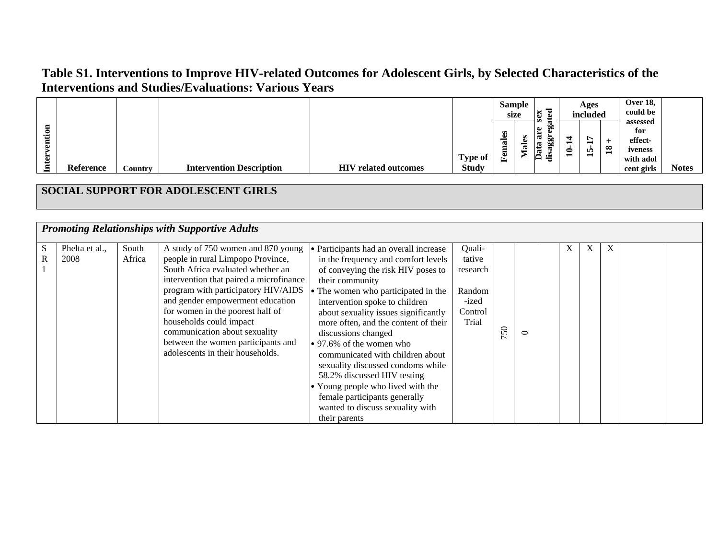|                            |                        |                 |                                                                                                                                                                                                                                                                                                                                                                                                              |                                                                                                                                                                                                                                                                                                                                                                                                                                                                                                                                                                                     |                                                                     |         | <b>Sample</b><br>size | sex                       |       | Ages<br>included |                        | Over 18,<br>could be<br>assessed                     |              |
|----------------------------|------------------------|-----------------|--------------------------------------------------------------------------------------------------------------------------------------------------------------------------------------------------------------------------------------------------------------------------------------------------------------------------------------------------------------------------------------------------------------|-------------------------------------------------------------------------------------------------------------------------------------------------------------------------------------------------------------------------------------------------------------------------------------------------------------------------------------------------------------------------------------------------------------------------------------------------------------------------------------------------------------------------------------------------------------------------------------|---------------------------------------------------------------------|---------|-----------------------|---------------------------|-------|------------------|------------------------|------------------------------------------------------|--------------|
| Intervention               | Reference              | Country         | <b>Intervention Description</b>                                                                                                                                                                                                                                                                                                                                                                              | <b>HIV</b> related outcomes                                                                                                                                                                                                                                                                                                                                                                                                                                                                                                                                                         | <b>Type of</b><br><b>Study</b>                                      | Females | <b>Males</b>          | disaggregated<br>Data are | 10-14 | 15-17            | $+$<br>$\overline{18}$ | for<br>effect-<br>iveness<br>with adol<br>cent girls | <b>Notes</b> |
|                            |                        |                 | SOCIAL SUPPORT FOR ADOLESCENT GIRLS                                                                                                                                                                                                                                                                                                                                                                          |                                                                                                                                                                                                                                                                                                                                                                                                                                                                                                                                                                                     |                                                                     |         |                       |                           |       |                  |                        |                                                      |              |
|                            |                        |                 | <b>Promoting Relationships with Supportive Adults</b>                                                                                                                                                                                                                                                                                                                                                        |                                                                                                                                                                                                                                                                                                                                                                                                                                                                                                                                                                                     |                                                                     |         |                       |                           |       |                  |                        |                                                      |              |
|                            |                        |                 |                                                                                                                                                                                                                                                                                                                                                                                                              |                                                                                                                                                                                                                                                                                                                                                                                                                                                                                                                                                                                     |                                                                     |         |                       |                           |       |                  |                        |                                                      |              |
| S<br>$\overline{\text{R}}$ | Phelta et al.,<br>2008 | South<br>Africa | A study of 750 women and 870 young<br>people in rural Limpopo Province,<br>South Africa evaluated whether an<br>intervention that paired a microfinance<br>program with participatory HIV/AIDS<br>and gender empowerment education<br>for women in the poorest half of<br>households could impact<br>communication about sexuality<br>between the women participants and<br>adolescents in their households. | • Participants had an overall increase<br>in the frequency and comfort levels<br>of conveying the risk HIV poses to<br>their community<br>• The women who participated in the<br>intervention spoke to children<br>about sexuality issues significantly<br>more often, and the content of their<br>discussions changed<br>• 97.6% of the women who<br>communicated with children about<br>sexuality discussed condoms while<br>58.2% discussed HIV testing<br>Young people who lived with the<br>female participants generally<br>wanted to discuss sexuality with<br>their parents | Quali-<br>tative<br>research<br>Random<br>-ized<br>Control<br>Trial | 750     | $\circ$               |                           | X     | X                | X                      |                                                      |              |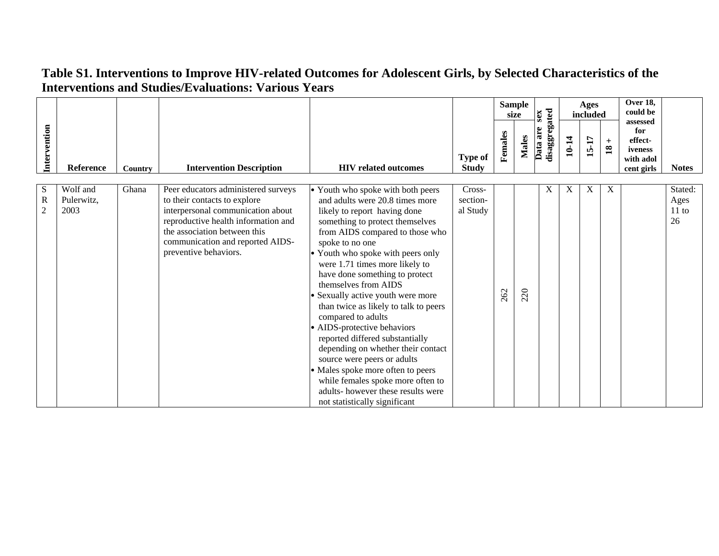|                                    |                                |         |                                                                                                                                                                                                                                              |                                                                                                                                                                                                                                                                                                                                                                                                                                                                                                                                                                                                                                                                                                                       |                                |         | <b>Sample</b><br>size | sex                       |       | Ages<br>included          |                         | Over 18,<br>could be                                             |                                |
|------------------------------------|--------------------------------|---------|----------------------------------------------------------------------------------------------------------------------------------------------------------------------------------------------------------------------------------------------|-----------------------------------------------------------------------------------------------------------------------------------------------------------------------------------------------------------------------------------------------------------------------------------------------------------------------------------------------------------------------------------------------------------------------------------------------------------------------------------------------------------------------------------------------------------------------------------------------------------------------------------------------------------------------------------------------------------------------|--------------------------------|---------|-----------------------|---------------------------|-------|---------------------------|-------------------------|------------------------------------------------------------------|--------------------------------|
| Intervention                       | <b>Reference</b>               | Country | <b>Intervention Description</b>                                                                                                                                                                                                              | <b>HIV</b> related outcomes                                                                                                                                                                                                                                                                                                                                                                                                                                                                                                                                                                                                                                                                                           | <b>Type of</b><br><b>Study</b> | Females | <b>Males</b>          | disaggregated<br>Data are | 10-14 | $15-17$                   | $^{+}$<br>$\mathbf{18}$ | assessed<br>for<br>effect-<br>iveness<br>with adol<br>cent girls | <b>Notes</b>                   |
|                                    |                                |         |                                                                                                                                                                                                                                              |                                                                                                                                                                                                                                                                                                                                                                                                                                                                                                                                                                                                                                                                                                                       |                                |         |                       |                           |       |                           |                         |                                                                  |                                |
| S<br>$\mathbf R$<br>$\overline{2}$ | Wolf and<br>Pulerwitz,<br>2003 | Ghana   | Peer educators administered surveys<br>to their contacts to explore<br>interpersonal communication about<br>reproductive health information and<br>the association between this<br>communication and reported AIDS-<br>preventive behaviors. | • Youth who spoke with both peers<br>and adults were 20.8 times more<br>likely to report having done<br>something to protect themselves<br>from AIDS compared to those who<br>spoke to no one<br>Youth who spoke with peers only<br>were 1.71 times more likely to<br>have done something to protect<br>themselves from AIDS<br>Sexually active youth were more<br>than twice as likely to talk to peers<br>compared to adults<br>• AIDS-protective behaviors<br>reported differed substantially<br>depending on whether their contact<br>source were peers or adults<br>• Males spoke more often to peers<br>while females spoke more often to<br>adults-however these results were<br>not statistically significant | Cross-<br>section-<br>al Study | 262     | 220                   | X                         | X     | $\boldsymbol{\mathrm{X}}$ | X                       |                                                                  | Stated:<br>Ages<br>11 to<br>26 |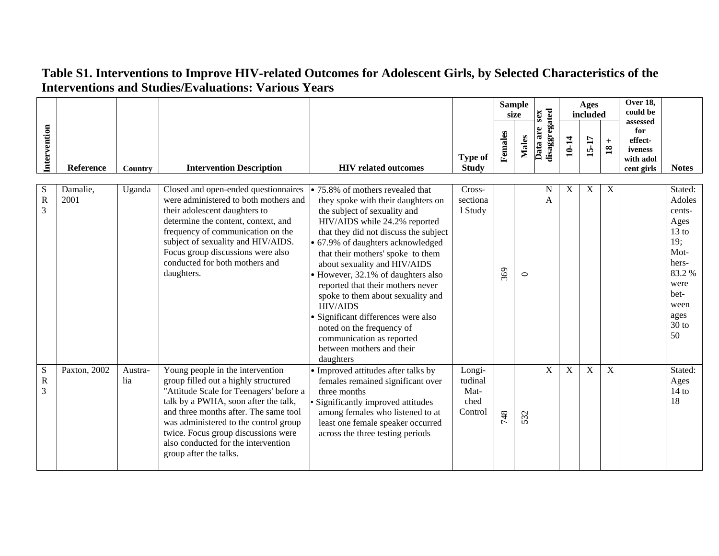|                                              |                  |                |                                                                                                                                                                                                                                                                                                                                                       |                                                                                                                                                                                                                                                                                                                                                                                                                                                                                                                                                                                |                                              |         | <b>Sample</b><br>size | sex                           |             | Ages<br>included |                                      | <b>Over 18.</b><br>could be<br>assessed              |                                                                                                                                          |
|----------------------------------------------|------------------|----------------|-------------------------------------------------------------------------------------------------------------------------------------------------------------------------------------------------------------------------------------------------------------------------------------------------------------------------------------------------------|--------------------------------------------------------------------------------------------------------------------------------------------------------------------------------------------------------------------------------------------------------------------------------------------------------------------------------------------------------------------------------------------------------------------------------------------------------------------------------------------------------------------------------------------------------------------------------|----------------------------------------------|---------|-----------------------|-------------------------------|-------------|------------------|--------------------------------------|------------------------------------------------------|------------------------------------------------------------------------------------------------------------------------------------------|
| Intervention                                 | Reference        | Country        | <b>Intervention Description</b>                                                                                                                                                                                                                                                                                                                       | <b>HIV</b> related outcomes                                                                                                                                                                                                                                                                                                                                                                                                                                                                                                                                                    | <b>Type of</b><br><b>Study</b>               | Females | <b>Males</b>          | disaggregated<br>Data are     | 10-14       | 15-17            | $\qquad \qquad +$<br>$\overline{18}$ | for<br>effect-<br>iveness<br>with adol<br>cent girls | <b>Notes</b>                                                                                                                             |
| S<br>$\overline{\text{R}}$<br>$\overline{3}$ | Damalie,<br>2001 | Uganda         | Closed and open-ended questionnaires<br>were administered to both mothers and<br>their adolescent daughters to<br>determine the content, context, and<br>frequency of communication on the<br>subject of sexuality and HIV/AIDS.<br>Focus group discussions were also<br>conducted for both mothers and<br>daughters.                                 | $\bullet$ 75.8% of mothers revealed that<br>they spoke with their daughters on<br>the subject of sexuality and<br>HIV/AIDS while 24.2% reported<br>that they did not discuss the subject<br>• 67.9% of daughters acknowledged<br>that their mothers' spoke to them<br>about sexuality and HIV/AIDS<br>• However, 32.1% of daughters also<br>reported that their mothers never<br>spoke to them about sexuality and<br><b>HIV/AIDS</b><br>Significant differences were also<br>noted on the frequency of<br>communication as reported<br>between mothers and their<br>daughters | Cross-<br>sectiona<br>1 Study                | 369     | $\circ$               | $\mathbf N$<br>$\overline{A}$ | X           | $\mathbf X$      | $\boldsymbol{\mathrm{X}}$            |                                                      | Stated:<br>Adoles<br>cents-<br>Ages<br>$13 \text{ to}$<br>19;<br>Mot-<br>hers-<br>83.2%<br>were<br>bet-<br>ween<br>ages<br>$30$ to<br>50 |
| S<br>$\overline{\mathbf{R}}$<br>3            | Paxton, 2002     | Austra-<br>lia | Young people in the intervention<br>group filled out a highly structured<br>"Attitude Scale for Teenagers' before a<br>talk by a PWHA, soon after the talk,<br>and three months after. The same tool<br>was administered to the control group<br>twice. Focus group discussions were<br>also conducted for the intervention<br>group after the talks. | • Improved attitudes after talks by<br>females remained significant over<br>three months<br>Significantly improved attitudes<br>among females who listened to at<br>least one female speaker occurred<br>across the three testing periods                                                                                                                                                                                                                                                                                                                                      | Longi-<br>tudinal<br>Mat-<br>ched<br>Control | 748     | 532                   | X                             | $\mathbf X$ | $\mathbf X$      | X                                    |                                                      | Stated:<br>Ages<br>14 to<br>18                                                                                                           |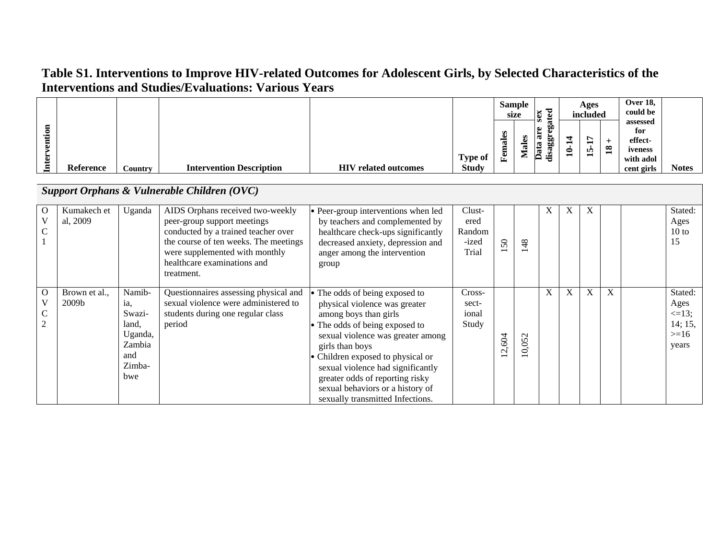|    |                  |         |                                 |                             |              |                     | Sample<br>size | ಕ<br>ex<br>$\omega$                                           |   | Ages<br>included |               | <b>Over 18,</b><br>could be                        |       |
|----|------------------|---------|---------------------------------|-----------------------------|--------------|---------------------|----------------|---------------------------------------------------------------|---|------------------|---------------|----------------------------------------------------|-------|
| .≍ |                  |         |                                 |                             | Type of      | S<br>تە<br>ನ<br>Fem |                | ٥О<br>$\bullet$<br>ದ<br>.ದ<br>O.D<br>- 99<br>$\bullet$ .<br>ಕ | 0 | ∼<br>-<br>m<br>− | $\mathbf{18}$ | assessed<br>for<br>effect-<br>iveness<br>with adol |       |
|    | <b>Reference</b> | Country | <b>Intervention Description</b> | <b>HIV</b> related outcomes | <b>Study</b> |                     |                |                                                               |   |                  |               | cent girls                                         | Notes |

|                    |                         |                                                                               | Support Orphans & Vulnerable Children (OVC)                                                                                                                                                                                    |                                                                                                                                                                                                                                                                                                                                                                       |                                            |               |                          |   |   |              |   |                                                              |
|--------------------|-------------------------|-------------------------------------------------------------------------------|--------------------------------------------------------------------------------------------------------------------------------------------------------------------------------------------------------------------------------|-----------------------------------------------------------------------------------------------------------------------------------------------------------------------------------------------------------------------------------------------------------------------------------------------------------------------------------------------------------------------|--------------------------------------------|---------------|--------------------------|---|---|--------------|---|--------------------------------------------------------------|
| $\Omega$<br>V<br>C | Kumakech et<br>al, 2009 | Uganda                                                                        | AIDS Orphans received two-weekly<br>peer-group support meetings<br>conducted by a trained teacher over<br>the course of ten weeks. The meetings<br>were supplemented with monthly<br>healthcare examinations and<br>treatment. | • Peer-group interventions when led<br>by teachers and complemented by<br>healthcare check-ups significantly<br>decreased anxiety, depression and<br>anger among the intervention<br>group                                                                                                                                                                            | Clust-<br>ered<br>Random<br>-ized<br>Trial | $50\,$        | 48                       | X | X | X            |   | Stated:<br>Ages<br>10 to<br>15                               |
| $\Omega$<br>V      | Brown et al.,<br>2009b  | Namib-<br>ia,<br>Swazi-<br>land,<br>Uganda,<br>Zambia<br>and<br>Zimba-<br>hwe | Questionnaires assessing physical and<br>sexual violence were administered to<br>students during one regular class<br>period                                                                                                   | The odds of being exposed to<br>physical violence was greater<br>among boys than girls<br>• The odds of being exposed to<br>sexual violence was greater among<br>girls than boys<br>• Children exposed to physical or<br>sexual violence had significantly<br>greater odds of reporting risky<br>sexual behaviors or a history of<br>sexually transmitted Infections. | Cross-<br>sect-<br>ional<br>Study          | 604<br>$\sim$ | $\sim$<br>$\overline{S}$ | X | X | $\mathbf{X}$ | X | Stated:<br>Ages<br>$\leq$ =13;<br>14; 15,<br>$>=16$<br>years |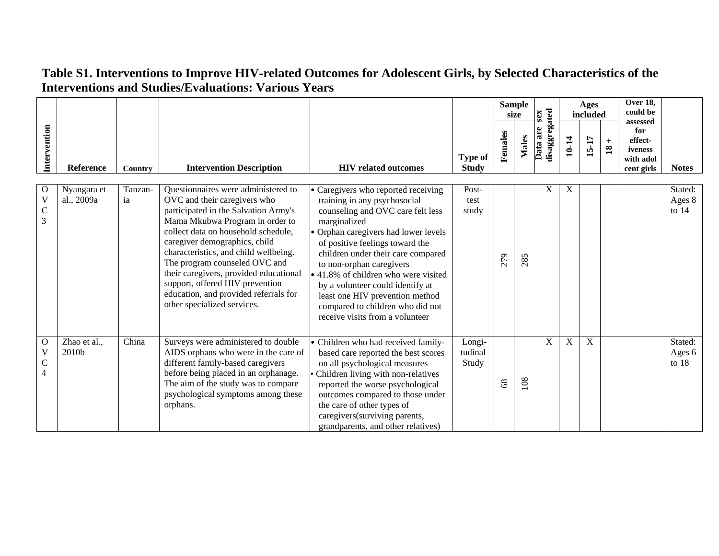| Intervention                                         |                           |                |                                                                                                                                                                                                                                                                                                                                                                                                                                                       |                                                                                                                                                                                                                                                                                                                                                                                                                                                           |                                | Females        | <b>Sample</b><br>size<br><b>Males</b> | disaggregated<br>sex<br>Data are | 10-14       | Ages<br>included<br>15-17 | $+$<br>$\mathbf{18}$ | Over 18,<br>could be<br>assessed<br>for<br>effect-<br>iveness |                              |
|------------------------------------------------------|---------------------------|----------------|-------------------------------------------------------------------------------------------------------------------------------------------------------------------------------------------------------------------------------------------------------------------------------------------------------------------------------------------------------------------------------------------------------------------------------------------------------|-----------------------------------------------------------------------------------------------------------------------------------------------------------------------------------------------------------------------------------------------------------------------------------------------------------------------------------------------------------------------------------------------------------------------------------------------------------|--------------------------------|----------------|---------------------------------------|----------------------------------|-------------|---------------------------|----------------------|---------------------------------------------------------------|------------------------------|
|                                                      | Reference                 | <b>Country</b> | <b>Intervention Description</b>                                                                                                                                                                                                                                                                                                                                                                                                                       | <b>HIV</b> related outcomes                                                                                                                                                                                                                                                                                                                                                                                                                               | <b>Type of</b><br><b>Study</b> |                |                                       |                                  |             |                           |                      | with adol<br>cent girls                                       | <b>Notes</b>                 |
| $\overline{O}$<br>$\mathbf V$<br>$\mathsf C$<br>3    | Nyangara et<br>al., 2009a | Tanzan-<br>ia  | Questionnaires were administered to<br>OVC and their caregivers who<br>participated in the Salvation Army's<br>Mama Mkubwa Program in order to<br>collect data on household schedule,<br>caregiver demographics, child<br>characteristics, and child wellbeing.<br>The program counseled OVC and<br>their caregivers, provided educational<br>support, offered HIV prevention<br>education, and provided referrals for<br>other specialized services. | Caregivers who reported receiving<br>training in any psychosocial<br>counseling and OVC care felt less<br>marginalized<br>• Orphan caregivers had lower levels<br>of positive feelings toward the<br>children under their care compared<br>to non-orphan caregivers<br>• 41.8% of children who were visited<br>by a volunteer could identify at<br>least one HIV prevention method<br>compared to children who did not<br>receive visits from a volunteer | Post-<br>test<br>study         | 279            | 285                                   | X                                | X           |                           |                      |                                                               | Stated:<br>Ages 8<br>to $14$ |
| $\overline{O}$<br>V<br>$\mathbf C$<br>$\overline{4}$ | Zhao et al.,<br>2010b     | China          | Surveys were administered to double<br>AIDS orphans who were in the care of<br>different family-based caregivers<br>before being placed in an orphanage.<br>The aim of the study was to compare<br>psychological symptoms among these<br>orphans.                                                                                                                                                                                                     | · Children who had received family-<br>based care reported the best scores<br>on all psychological measures<br>Children living with non-relatives<br>reported the worse psychological<br>outcomes compared to those under<br>the care of other types of<br>caregivers (surviving parents,<br>grandparents, and other relatives)                                                                                                                           | Longi-<br>tudinal<br>Study     | 8 <sup>o</sup> | 108                                   | X                                | $\mathbf X$ | $\overline{X}$            |                      |                                                               | Stated:<br>Ages 6<br>to $18$ |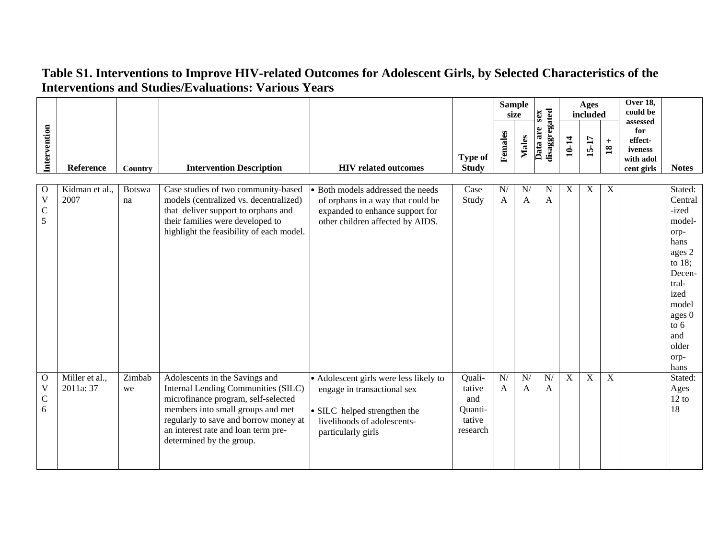|                                                   |                             |                     |                                                                                                                                                                                                                                                               |                                                                                                                                                            |                                                          |                             | <b>Sample</b><br>size | sex                       |             | Ages<br>included |                          | Over 18,<br>could be                                             |                                                                                                                                                                      |
|---------------------------------------------------|-----------------------------|---------------------|---------------------------------------------------------------------------------------------------------------------------------------------------------------------------------------------------------------------------------------------------------------|------------------------------------------------------------------------------------------------------------------------------------------------------------|----------------------------------------------------------|-----------------------------|-----------------------|---------------------------|-------------|------------------|--------------------------|------------------------------------------------------------------|----------------------------------------------------------------------------------------------------------------------------------------------------------------------|
| Intervention                                      | Reference                   | Country             | <b>Intervention Description</b>                                                                                                                                                                                                                               | <b>HIV</b> related outcomes                                                                                                                                | <b>Type of</b><br><b>Study</b>                           | Females                     | <b>Males</b>          | disaggregated<br>Data are | 10-14       | 15-17            | $\pm$<br>$\overline{18}$ | assessed<br>for<br>effect-<br>iveness<br>with adol<br>cent girls | <b>Notes</b>                                                                                                                                                         |
| $\overline{0}$<br>$\mathbf V$<br>$\mathsf C$<br>5 | Kidman et al.,<br>2007      | <b>Botswa</b><br>na | Case studies of two community-based<br>models (centralized vs. decentralized)<br>that deliver support to orphans and<br>their families were developed to<br>highlight the feasibility of each model.                                                          | • Both models addressed the needs<br>of orphans in a way that could be<br>expanded to enhance support for<br>other children affected by AIDS.              | Case<br>Study                                            | ${\bf N} /$<br>$\mathbf{A}$ | N/<br>A               | N<br>$\overline{A}$       | X           | $\mathbf X$      | $\mathbf X$              |                                                                  | Stated:<br>Central<br>-ized<br>model-<br>orp-<br>hans<br>ages 2<br>to $18$ ;<br>Decen-<br>tral-<br>ized<br>model<br>ages 0<br>to $6$<br>and<br>older<br>orp-<br>hans |
| $\overline{0}$<br>V<br>$\mathsf{C}$<br>6          | Miller et al.,<br>2011a: 37 | Zimbab<br>we        | Adolescents in the Savings and<br>Internal Lending Communities (SILC)<br>microfinance program, self-selected<br>members into small groups and met<br>regularly to save and borrow money at<br>an interest rate and loan term pre-<br>determined by the group. | • Adolescent girls were less likely to<br>engage in transactional sex<br>• SILC helped strengthen the<br>livelihoods of adolescents-<br>particularly girls | Quali-<br>tative<br>and<br>Quanti-<br>tative<br>research | N/<br>$\mathbf{A}$          | N/<br>A               | N/<br>A                   | $\mathbf X$ | $\mathbf X$      | $\mathbf X$              |                                                                  | Stated:<br>Ages<br>12 to<br>18                                                                                                                                       |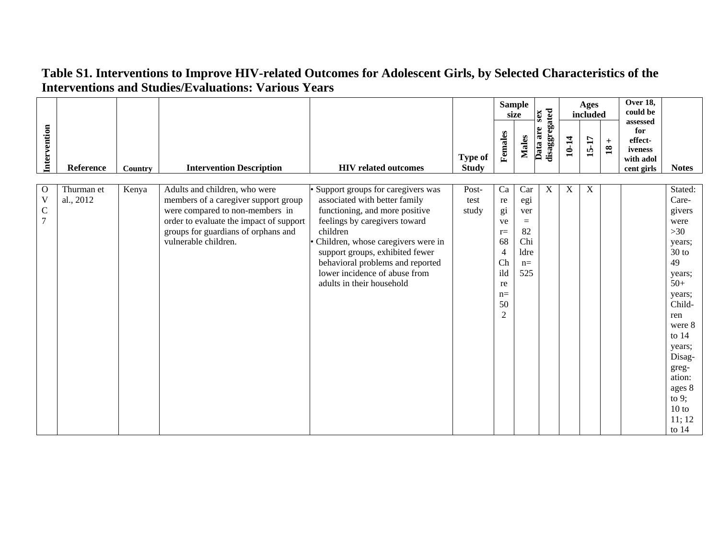|                               |                         |         |                                                                                                                   |                                                                                                |                                |                              | <b>Sample</b><br>size | sex                       |             | Ages<br>included |                                      | Over 18,<br>could be<br>assessed                     |                              |
|-------------------------------|-------------------------|---------|-------------------------------------------------------------------------------------------------------------------|------------------------------------------------------------------------------------------------|--------------------------------|------------------------------|-----------------------|---------------------------|-------------|------------------|--------------------------------------|------------------------------------------------------|------------------------------|
| Intervention                  | Reference               | Country | <b>Intervention Description</b>                                                                                   | <b>HIV</b> related outcomes                                                                    | <b>Type of</b><br><b>Study</b> | Females                      | <b>Males</b>          | disaggregated<br>Data are | 10-14       | 15-17            | $\qquad \qquad +$<br>$\overline{18}$ | for<br>effect-<br>iveness<br>with adol<br>cent girls | <b>Notes</b>                 |
| $\mathbf{O}$<br>$\mathbf V$   | Thurman et<br>al., 2012 | Kenya   | Adults and children, who were<br>members of a caregiver support group                                             | Support groups for caregivers was<br>associated with better family                             | Post-<br>test                  | Ca<br>re                     | Car<br>egi            | $\mathbf X$               | $\mathbf X$ | $\mathbf X$      |                                      |                                                      | Stated:<br>Care-             |
| $\mathbf C$<br>$\overline{7}$ |                         |         | were compared to non-members in<br>order to evaluate the impact of support<br>groups for guardians of orphans and | functioning, and more positive<br>feelings by caregivers toward<br>children                    | study                          | gi<br>ve<br>$r =$            | ver<br>$=$<br>82      |                           |             |                  |                                      |                                                      | givers<br>were<br>>30        |
|                               |                         |         | vulnerable children.                                                                                              | Children, whose caregivers were in<br>support groups, exhibited fewer                          |                                | 68<br>$\overline{4}$         | Chi<br>ldre           |                           |             |                  |                                      |                                                      | years;<br>$30$ to            |
|                               |                         |         |                                                                                                                   | behavioral problems and reported<br>lower incidence of abuse from<br>adults in their household |                                | Ch<br>ild<br>re              | $n=$<br>525           |                           |             |                  |                                      |                                                      | 49<br>years;<br>$50+$        |
|                               |                         |         |                                                                                                                   |                                                                                                |                                | $n=$<br>50<br>$\overline{2}$ |                       |                           |             |                  |                                      |                                                      | years;<br>Child-<br>ren      |
|                               |                         |         |                                                                                                                   |                                                                                                |                                |                              |                       |                           |             |                  |                                      |                                                      | were 8<br>to $14$            |
|                               |                         |         |                                                                                                                   |                                                                                                |                                |                              |                       |                           |             |                  |                                      |                                                      | years;<br>Disag-<br>greg-    |
|                               |                         |         |                                                                                                                   |                                                                                                |                                |                              |                       |                           |             |                  |                                      |                                                      | ation:<br>ages 8<br>to $9$ ; |
|                               |                         |         |                                                                                                                   |                                                                                                |                                |                              |                       |                           |             |                  |                                      |                                                      | 10 to<br>11; 12              |
|                               |                         |         |                                                                                                                   |                                                                                                |                                |                              |                       |                           |             |                  |                                      |                                                      | to $14$                      |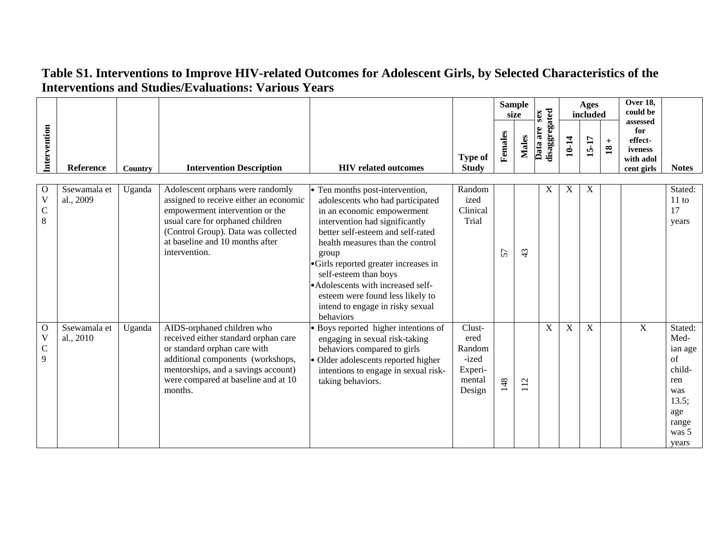|                                                  |                           |         |                                                                                                                                                                                                                                              |                                                                                                                                                                                                                                                                                                                                                                                                                   |                                                                  |         | <b>Sample</b><br>size      | sex                       |       | Ages<br>included |                          | Over $18$ ,<br>could be                                          |                                                                                                     |
|--------------------------------------------------|---------------------------|---------|----------------------------------------------------------------------------------------------------------------------------------------------------------------------------------------------------------------------------------------------|-------------------------------------------------------------------------------------------------------------------------------------------------------------------------------------------------------------------------------------------------------------------------------------------------------------------------------------------------------------------------------------------------------------------|------------------------------------------------------------------|---------|----------------------------|---------------------------|-------|------------------|--------------------------|------------------------------------------------------------------|-----------------------------------------------------------------------------------------------------|
| Intervention                                     | Reference                 | Country | <b>Intervention Description</b>                                                                                                                                                                                                              | <b>HIV</b> related outcomes                                                                                                                                                                                                                                                                                                                                                                                       | <b>Type of</b><br><b>Study</b>                                   | Females | <b>Males</b>               | disaggregated<br>Data are | 10-14 | 15-17            | $\pm$<br>$\overline{18}$ | assessed<br>for<br>effect-<br>iveness<br>with adol<br>cent girls | <b>Notes</b>                                                                                        |
| $\mathbf{O}$<br>$\mathbf V$<br>$\mathsf{C}$<br>8 | Ssewamala et<br>al., 2009 | Uganda  | Adolescent orphans were randomly<br>assigned to receive either an economic<br>empowerment intervention or the<br>usual care for orphaned children<br>(Control Group). Data was collected<br>at baseline and 10 months after<br>intervention. | • Ten months post-intervention,<br>adolescents who had participated<br>in an economic empowerment<br>intervention had significantly<br>better self-esteem and self-rated<br>health measures than the control<br>group<br>•Girls reported greater increases in<br>self-esteem than boys<br>• Adolescents with increased self-<br>esteem were found less likely to<br>intend to engage in risky sexual<br>behaviors | Random<br>ized<br>Clinical<br>Trial                              | 57      | 43                         | X                         | X     | X                |                          |                                                                  | Stated:<br>$11$ to<br>17<br>years                                                                   |
| $\mathbf{O}$<br>$\mathbf V$<br>$\mathsf{C}$<br>9 | Ssewamala et<br>al., 2010 | Uganda  | AIDS-orphaned children who<br>received either standard orphan care<br>or standard orphan care with<br>additional components (workshops,<br>mentorships, and a savings account)<br>were compared at baseline and at 10<br>months.             | • Boys reported higher intentions of<br>engaging in sexual risk-taking<br>behaviors compared to girls<br>Older adolescents reported higher<br>intentions to engage in sexual risk-<br>taking behaviors.                                                                                                                                                                                                           | Clust-<br>ered<br>Random<br>-ized<br>Experi-<br>mental<br>Design | 148     | $\mathbf{\Omega}$<br>$\Xi$ | X                         | X     | $\mathbf X$      |                          | $\mathbf X$                                                      | Stated:<br>Med-<br>ian age<br>of<br>child-<br>ren<br>was<br>13.5;<br>age<br>range<br>was 5<br>years |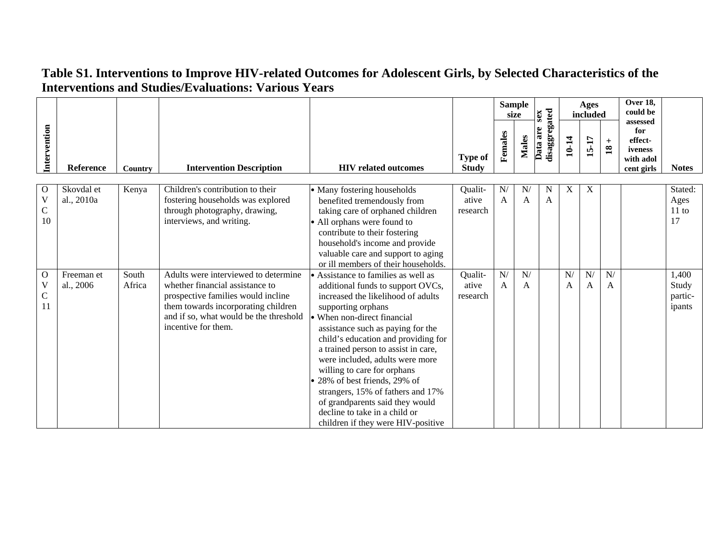|                                       |                          |                 |                                                                                                                                                                                                                       |                                                                                                                                                                                                                                                                                                                                                                                                                                                                                                                                      |                                |                             | <b>Sample</b><br>size | sex                       |         | Ages<br>included |                      | <b>Over 18,</b><br>could be<br>assessed              |                                     |
|---------------------------------------|--------------------------|-----------------|-----------------------------------------------------------------------------------------------------------------------------------------------------------------------------------------------------------------------|--------------------------------------------------------------------------------------------------------------------------------------------------------------------------------------------------------------------------------------------------------------------------------------------------------------------------------------------------------------------------------------------------------------------------------------------------------------------------------------------------------------------------------------|--------------------------------|-----------------------------|-----------------------|---------------------------|---------|------------------|----------------------|------------------------------------------------------|-------------------------------------|
| Intervention                          | <b>Reference</b>         | Country         | <b>Intervention Description</b>                                                                                                                                                                                       | <b>HIV</b> related outcomes                                                                                                                                                                                                                                                                                                                                                                                                                                                                                                          | <b>Type of</b><br><b>Study</b> | Females                     | <b>Males</b>          | disaggregated<br>Data are | 10-14   | 15-17            | $+$<br>$\mathbf{18}$ | for<br>effect-<br>iveness<br>with adol<br>cent girls | <b>Notes</b>                        |
| $\mathbf O$<br>V<br>$\mathsf C$<br>10 | Skovdal et<br>al., 2010a | Kenya           | Children's contribution to their<br>fostering households was explored<br>through photography, drawing,<br>interviews, and writing.                                                                                    | • Many fostering households<br>benefited tremendously from<br>taking care of orphaned children<br>• All orphans were found to<br>contribute to their fostering<br>household's income and provide<br>valuable care and support to aging<br>or ill members of their households.                                                                                                                                                                                                                                                        | Qualit-<br>ative<br>research   | ${\bf N} /$<br>$\mathbf{A}$ | N/<br>A               | N<br>$\mathbf{A}$         | X       | $\mathbf X$      |                      |                                                      | Stated:<br>Ages<br>11 to<br>17      |
| $\Omega$<br>V<br>$\mathsf{C}$<br>11   | Freeman et<br>al., 2006  | South<br>Africa | Adults were interviewed to determine<br>whether financial assistance to<br>prospective families would incline<br>them towards incorporating children<br>and if so, what would be the threshold<br>incentive for them. | • Assistance to families as well as<br>additional funds to support OVCs,<br>increased the likelihood of adults<br>supporting orphans<br>When non-direct financial<br>assistance such as paying for the<br>child's education and providing for<br>a trained person to assist in care,<br>were included, adults were more<br>willing to care for orphans<br>28% of best friends, 29% of<br>strangers, 15% of fathers and 17%<br>of grandparents said they would<br>decline to take in a child or<br>children if they were HIV-positive | Qualit-<br>ative<br>research   | N/<br>$\mathbf{A}$          | N/<br>A               |                           | N/<br>A | N/<br>A          | N/<br>A              |                                                      | 1,400<br>Study<br>partic-<br>ipants |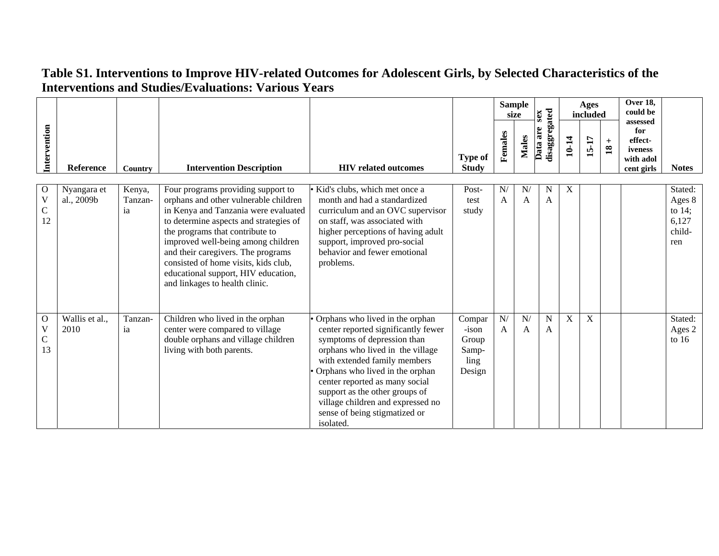|                                                  | <b>Reference</b>          | Country                 | <b>Intervention Description</b>                                                                                                                                                                                                                                                                                                                                                               | <b>HIV</b> related outcomes                                                                                                                                                                                                                                                                                                                                         | <b>Type of</b><br><b>Study</b>                        | <b>Sample</b><br>size |                    | sex                         | Ages<br>included |             |                        | Over 18,<br>could be<br>assessed                     |                                                          |
|--------------------------------------------------|---------------------------|-------------------------|-----------------------------------------------------------------------------------------------------------------------------------------------------------------------------------------------------------------------------------------------------------------------------------------------------------------------------------------------------------------------------------------------|---------------------------------------------------------------------------------------------------------------------------------------------------------------------------------------------------------------------------------------------------------------------------------------------------------------------------------------------------------------------|-------------------------------------------------------|-----------------------|--------------------|-----------------------------|------------------|-------------|------------------------|------------------------------------------------------|----------------------------------------------------------|
| Intervention                                     |                           |                         |                                                                                                                                                                                                                                                                                                                                                                                               |                                                                                                                                                                                                                                                                                                                                                                     |                                                       | Females               | <b>Males</b>       | disaggregated<br>Data are   | 10-14            | 15-17       | $+$<br>$\overline{18}$ | for<br>effect-<br>iveness<br>with adol<br>cent girls | <b>Notes</b>                                             |
| О<br>$\mathbf V$<br>C<br>12                      | Nyangara et<br>al., 2009b | Kenya,<br>Tanzan-<br>ia | Four programs providing support to<br>orphans and other vulnerable children<br>in Kenya and Tanzania were evaluated<br>to determine aspects and strategies of<br>the programs that contribute to<br>improved well-being among children<br>and their caregivers. The programs<br>consisted of home visits, kids club,<br>educational support, HIV education,<br>and linkages to health clinic. | Kid's clubs, which met once a<br>month and had a standardized<br>curriculum and an OVC supervisor<br>on staff, was associated with<br>higher perceptions of having adult<br>support, improved pro-social<br>behavior and fewer emotional<br>problems.                                                                                                               | Post-<br>test<br>study                                | N/<br>$\mathbf{A}$    | N/<br>A            | N<br>$\mathbf{A}$           | X                |             |                        |                                                      | Stated:<br>Ages 8<br>to $14$ ;<br>6,127<br>child-<br>ren |
| $\mathbf{O}$<br>$\mathbf V$<br>$\mathsf C$<br>13 | Wallis et al.,<br>2010    | Tanzan-<br>ia           | Children who lived in the orphan<br>center were compared to village<br>double orphans and village children<br>living with both parents.                                                                                                                                                                                                                                                       | Orphans who lived in the orphan<br>center reported significantly fewer<br>symptoms of depression than<br>orphans who lived in the village<br>with extended family members<br>Orphans who lived in the orphan<br>center reported as many social<br>support as the other groups of<br>village children and expressed no<br>sense of being stigmatized or<br>isolated. | Compar<br>$-ison$<br>Group<br>Samp-<br>ling<br>Design | N/<br>$\mathsf{A}$    | N/<br>$\mathsf{A}$ | $\mathbf N$<br>$\mathsf{A}$ | X                | $\mathbf X$ |                        |                                                      | Stated:<br>Ages 2<br>to $16$                             |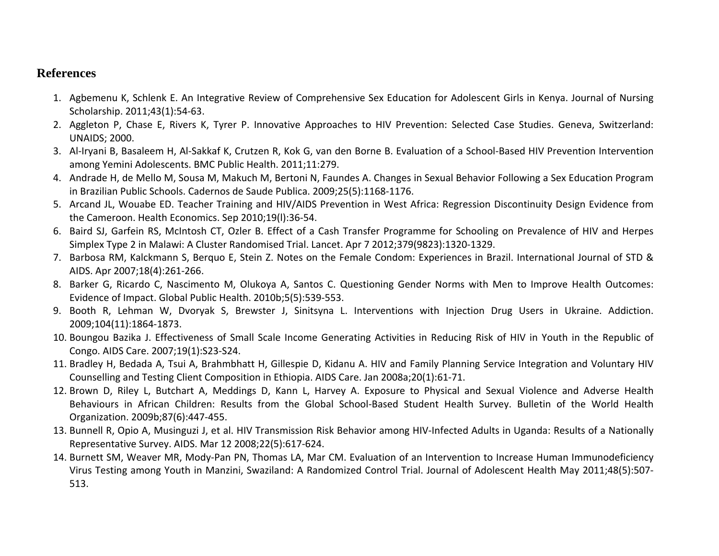#### **References**

- 1. Agbemenu K, Schlenk E. An Integrative Review of Comprehensive Sex Education for Adolescent Girls in Kenya. Journal of Nursing Scholarship. 2011;43(1):54‐63.
- 2. Aggleton P, Chase E, Rivers K, Tyrer P. Innovative Approaches to HIV Prevention: Selected Case Studies. Geneva, Switzerland: UNAIDS; 2000.
- 3. Al‐Iryani B, Basaleem H, Al‐Sakkaf K, Crutzen R, Kok G, van den Borne B. Evaluation of <sup>a</sup> School‐Based HIV Prevention Intervention among Yemini Adolescents. BMC Public Health. 2011;11:279.
- 4. Andrade H, de Mello M, Sousa M, Makuch M, Bertoni N, Faundes A. Changes in Sexual Behavior Following <sup>a</sup> Sex Education Program in Brazilian Public Schools. Cadernos de Saude Publica. 2009;25(5):1168‐1176.
- 5. Arcand JL, Wouabe ED. Teacher Training and HIV/AIDS Prevention in West Africa: Regression Discontinuity Design Evidence from the Cameroon. Health Economics. Sep 2010;19(l):36‐54.
- 6. Baird SJ, Garfein RS, McIntosh CT, Ozler B. Effect of <sup>a</sup> Cash Transfer Programme for Schooling on Prevalence of HIV and Herpes Simplex Type 2 in Malawi: A Cluster Randomised Trial. Lancet. Apr 7 2012;379(9823):1320‐1329.
- 7. Barbosa RM, Kalckmann S, Berquo E, Stein Z. Notes on the Female Condom: Experiences in Brazil. International Journal of STD & AIDS. Apr 2007;18(4):261‐266.
- 8. Barker G, Ricardo C, Nascimento M, Olukoya A, Santos C. Questioning Gender Norms with Men to Improve Health Outcomes: Evidence of Impact. Global Public Health. 2010b;5(5):539‐553.
- 9. Booth R, Lehman W, Dvoryak S, Brewster J, Sinitsyna L. Interventions with Injection Drug Users in Ukraine. Addiction. 2009;104(11):1864‐1873.
- 10. Boungou Bazika J. Effectiveness of Small Scale Income Generating Activities in Reducing Risk of HIV in Youth in the Republic of Congo. AIDS Care. 2007;19(1):S23‐S24.
- 11. Bradley H, Bedada A, Tsui A, Brahmbhatt H, Gillespie D, Kidanu A. HIV and Family Planning Service Integration and Voluntary HIV Counselling and Testing Client Composition in Ethiopia. AIDS Care. Jan 2008a;20(1):61‐71.
- 12. Brown D, Riley L, Butchart A, Meddings D, Kann L, Harvey A. Exposure to Physical and Sexual Violence and Adverse Health Behaviours in African Children: Results from the Global School‐Based Student Health Survey. Bulletin of the World Health Organization. 2009b;87(6):447‐455.
- 13. Bunnell R, Opio A, Musinguzi J, et al. HIV Transmission Risk Behavior among HIV‐Infected Adults in Uganda: Results of <sup>a</sup> Nationally Representative Survey. AIDS. Mar 12 2008;22(5):617‐624.
- 14. Burnett SM, Weaver MR, Mody‐Pan PN, Thomas LA, Mar CM. Evaluation of an Intervention to Increase Human Immunodeficiency Virus Testing among Youth in Manzini, Swaziland: A Randomized Control Trial. Journal of Adolescent Health May 2011;48(5):507‐ 513.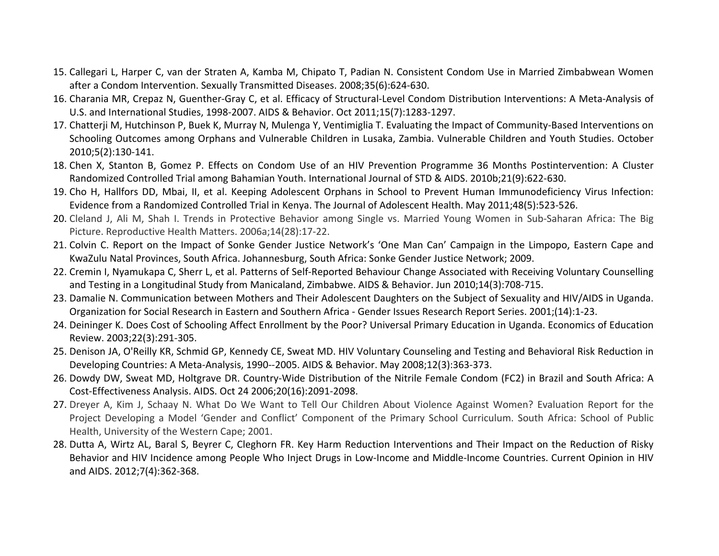- 15. Callegari L, Harper C, van der Straten A, Kamba M, Chipato T, Padian N. Consistent Condom Use in Married Zimbabwean Women after a Condom Intervention. Sexually Transmitted Diseases. 2008;35(6):624‐630.
- 16. Charania MR, Crepaz N, Guenther‐Gray C, et al. Efficacy of Structural‐Level Condom Distribution Interventions: A Meta‐Analysis of U.S. and International Studies, 1998‐2007. AIDS & Behavior. Oct 2011;15(7):1283‐1297.
- 17. Chatterji M, Hutchinson P, Buek K, Murray N, Mulenga Y, Ventimiglia T. Evaluating the Impact of Community‐Based Interventions on Schooling Outcomes among Orphans and Vulnerable Children in Lusaka, Zambia. Vulnerable Children and Youth Studies. October 2010;5(2):130‐141.
- 18. Chen X, Stanton B, Gomez P. Effects on Condom Use of an HIV Prevention Programme 36 Months Postintervention: A Cluster Randomized Controlled Trial among Bahamian Youth. International Journal of STD & AIDS. 2010b;21(9):622‐630.
- 19. Cho H, Hallfors DD, Mbai, II, et al. Keeping Adolescent Orphans in School to Prevent Human Immunodeficiency Virus Infection: Evidence from <sup>a</sup> Randomized Controlled Trial in Kenya. The Journal of Adolescent Health. May 2011;48(5):523‐526.
- 20. Cleland J, Ali M, Shah I. Trends in Protective Behavior among Single vs. Married Young Women in Sub‐Saharan Africa: The Big Picture. Reproductive Health Matters. 2006a;14(28):17‐22.
- 21. Colvin C. Report on the Impact of Sonke Gender Justice Network's 'One Man Can' Campaign in the Limpopo, Eastern Cape and KwaZulu Natal Provinces, South Africa. Johannesburg, South Africa: Sonke Gender Justice Network; 2009.
- 22. Cremin I, Nyamukapa C, Sherr L, et al. Patterns of Self‐Reported Behaviour Change Associated with Receiving Voluntary Counselling and Testing in <sup>a</sup> Longitudinal Study from Manicaland, Zimbabwe. AIDS & Behavior. Jun 2010;14(3):708‐715.
- 23. Damalie N. Communication between Mothers and Their Adolescent Daughters on the Subject of Sexuality and HIV/AIDS in Uganda. Organization for Social Research in Eastern and Southern Africa ‐ Gender Issues Research Report Series. 2001;(14):1‐23.
- 24. Deininger K. Does Cost of Schooling Affect Enrollment by the Poor? Universal Primary Education in Uganda. Economics of Education Review. 2003;22(3):291‐305.
- 25. Denison JA, O'Reilly KR, Schmid GP, Kennedy CE, Sweat MD. HIV Voluntary Counseling and Testing and Behavioral Risk Reduction in Developing Countries: A Meta‐Analysis, 1990‐‐2005. AIDS & Behavior. May 2008;12(3):363‐373.
- 26. Dowdy DW, Sweat MD, Holtgrave DR. Country‐Wide Distribution of the Nitrile Female Condom (FC2) in Brazil and South Africa: A Cost‐Effectiveness Analysis. AIDS. Oct 24 2006;20(16):2091‐2098.
- 27. Dreyer A, Kim J, Schaay N. What Do We Want to Tell Our Children About Violence Against Women? Evaluation Report for the Project Developing <sup>a</sup> Model 'Gender and Conflict' Component of the Primary School Curriculum. South Africa: School of Public Health, University of the Western Cape; 2001.
- 28. Dutta A, Wirtz AL, Baral S, Beyrer C, Cleghorn FR. Key Harm Reduction Interventions and Their Impact on the Reduction of Risky Behavior and HIV Incidence among People Who Inject Drugs in Low‐Income and Middle‐Income Countries. Current Opinion in HIV and AIDS. 2012;7(4):362‐368.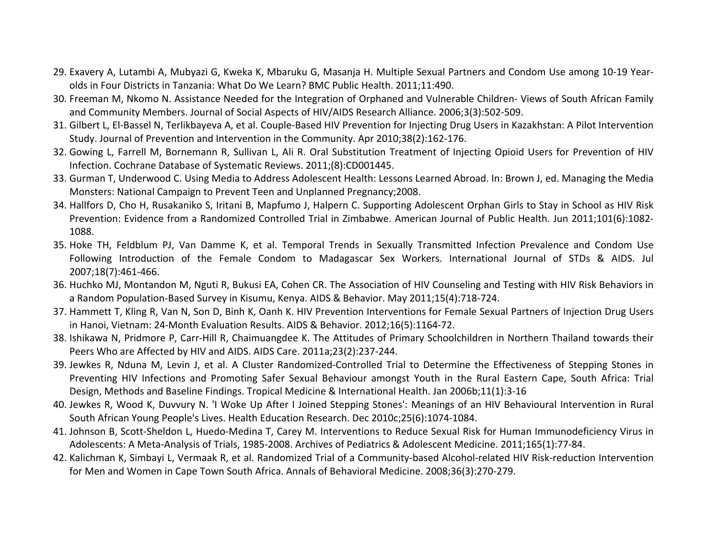- 29. Exavery A, Lutambi A, Mubyazi G, Kweka K, Mbaruku G, Masanja H. Multiple Sexual Partners and Condom Use among 10‐19 Year‐ olds in Four Districts in Tanzania: What Do We Learn? BMC Public Health. 2011;11:490.
- 30. Freeman M, Nkomo N. Assistance Needed for the Integration of Orphaned and Vulnerable Children‐ Views of South African Family and Community Members. Journal of Social Aspects of HIV/AIDS Research Alliance. 2006;3(3):502‐509.
- 31. Gilbert L, El‐Bassel N, Terlikbayeva A, et al. Couple‐Based HIV Prevention for Injecting Drug Users in Kazakhstan: A Pilot Intervention Study. Journal of Prevention and Intervention in the Community. Apr 2010;38(2):162‐176.
- 32. Gowing L, Farrell M, Bornemann R, Sullivan L, Ali R. Oral Substitution Treatment of Injecting Opioid Users for Prevention of HIV Infection. Cochrane Database of Systematic Reviews. 2011;(8):CD001445.
- 33. Gurman T, Underwood C. Using Media to Address Adolescent Health: Lessons Learned Abroad. In: Brown J, ed. Managing the Media Monsters: National Campaign to Prevent Teen and Unplanned Pregnancy;2008.
- 34. Hallfors D, Cho H, Rusakaniko S, Iritani B, Mapfumo J, Halpern C. Supporting Adolescent Orphan Girls to Stay in School as HIV Risk Prevention: Evidence from <sup>a</sup> Randomized Controlled Trial in Zimbabwe. American Journal of Public Health. Jun 2011;101(6):1082‐ 1088.
- 35. Hoke TH, Feldblum PJ, Van Damme K, et al. Temporal Trends in Sexually Transmitted Infection Prevalence and Condom Use Following Introduction of the Female Condom to Madagascar Sex Workers. International Journal of STDs & AIDS. Jul 2007;18(7):461‐466.
- 36. Huchko MJ, Montandon M, Nguti R, Bukusi EA, Cohen CR. The Association of HIV Counseling and Testing with HIV Risk Behaviors in a Random Population‐Based Survey in Kisumu, Kenya. AIDS & Behavior. May 2011;15(4):718‐724.
- 37. Hammett T, Kling R, Van N, Son D, Binh K, Oanh K. HIV Prevention Interventions for Female Sexual Partners of Injection Drug Users in Hanoi, Vietnam: 24‐Month Evaluation Results. AIDS & Behavior. 2012;16(5):1164‐72.
- 38. Ishikawa N, Pridmore P, Carr‐Hill R, Chaimuangdee K. The Attitudes of Primary Schoolchildren in Northern Thailand towards their Peers Who are Affected by HIV and AIDS. AIDS Care. 2011a;23(2):237‐244.
- 39. Jewkes R, Nduna M, Levin J, et al. A Cluster Randomized‐Controlled Trial to Determine the Effectiveness of Stepping Stones in Preventing HIV Infections and Promoting Safer Sexual Behaviour amongst Youth in the Rural Eastern Cape, South Africa: Trial Design, Methods and Baseline Findings. Tropical Medicine & International Health. Jan 2006b;11(1):3‐16
- 40. Jewkes R, Wood K, Duvvury N. 'I Woke Up After I Joined Stepping Stones': Meanings of an HIV Behavioural Intervention in Rural South African Young People's Lives. Health Education Research. Dec 2010c;25(6):1074‐1084.
- 41. Johnson B, Scott‐Sheldon L, Huedo‐Medina T, Carey M. Interventions to Reduce Sexual Risk for Human Immunodeficiency Virus in Adolescents: A Meta‐Analysis of Trials, 1985‐2008. Archives of Pediatrics & Adolescent Medicine. 2011;165(1):77‐84.
- 42. Kalichman K, Simbayi L, Vermaak R, et al. Randomized Trial of <sup>a</sup> Community‐based Alcohol‐related HIV Risk‐reduction Intervention for Men and Women in Cape Town South Africa. Annals of Behavioral Medicine. 2008;36(3):270‐279.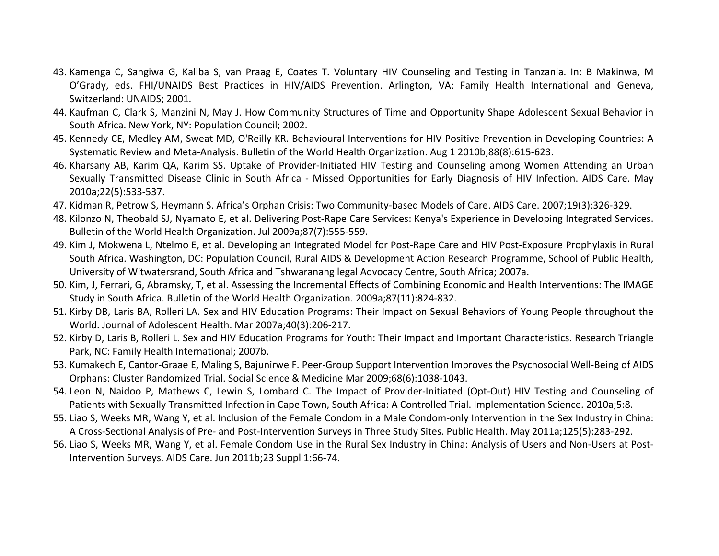- 43. Kamenga C, Sangiwa G, Kaliba S, van Praag E, Coates T. Voluntary HIV Counseling and Testing in Tanzania. In: B Makinwa, M O'Grady, eds. FHI/UNAIDS Best Practices in HIV/AIDS Prevention. Arlington, VA: Family Health International and Geneva, Switzerland: UNAIDS; 2001.
- 44. Kaufman C, Clark S, Manzini N, May J. How Community Structures of Time and Opportunity Shape Adolescent Sexual Behavior in South Africa. New York, NY: Population Council; 2002.
- 45. Kennedy CE, Medley AM, Sweat MD, O'Reilly KR. Behavioural Interventions for HIV Positive Prevention in Developing Countries: A Systematic Review and Meta‐Analysis. Bulletin of the World Health Organization. Aug 1 2010b;88(8):615‐623.
- 46. Kharsany AB, Karim QA, Karim SS. Uptake of Provider‐Initiated HIV Testing and Counseling among Women Attending an Urban Sexually Transmitted Disease Clinic in South Africa - Missed Opportunities for Early Diagnosis of HIV Infection. AIDS Care. May 2010a;22(5):533‐537.
- 47. Kidman R, Petrow S, Heymann S. Africa's Orphan Crisis: Two Community‐based Models of Care. AIDS Care. 2007;19(3):326‐329.
- 48. Kilonzo N, Theobald SJ, Nyamato E, et al. Delivering Post‐Rape Care Services: Kenya's Experience in Developing Integrated Services. Bulletin of the World Health Organization. Jul 2009a;87(7):555‐559.
- 49. Kim J, Mokwena L, Ntelmo E, et al. Developing an Integrated Model for Post‐Rape Care and HIV Post‐Exposure Prophylaxis in Rural South Africa. Washington, DC: Population Council, Rural AIDS & Development Action Research Programme, School of Public Health, University of Witwatersrand, South Africa and Tshwaranang legal Advocacy Centre, South Africa; 2007a.
- 50. Kim, J, Ferrari, G, Abramsky, T, et al. Assessing the Incremental Effects of Combining Economic and Health Interventions: The IMAGE Study in South Africa. Bulletin of the World Health Organization. 2009a;87(11):824‐832.
- 51. Kirby DB, Laris BA, Rolleri LA. Sex and HIV Education Programs: Their Impact on Sexual Behaviors of Young People throughout the World. Journal of Adolescent Health. Mar 2007a;40(3):206‐217.
- 52. Kirby D, Laris B, Rolleri L. Sex and HIV Education Programs for Youth: Their Impact and Important Characteristics. Research Triangle Park, NC: Family Health International; 2007b.
- 53. Kumakech E, Cantor‐Graae E, Maling S, Bajunirwe F. Peer‐Group Support Intervention Improves the Psychosocial Well‐Being of AIDS Orphans: Cluster Randomized Trial. Social Science & Medicine Mar 2009;68(6):1038‐1043.
- 54. Leon N, Naidoo P, Mathews C, Lewin S, Lombard C. The Impact of Provider‐Initiated (Opt‐Out) HIV Testing and Counseling of Patients with Sexually Transmitted Infection in Cape Town, South Africa: A Controlled Trial. Implementation Science. 2010a;5:8.
- 55. Liao S, Weeks MR, Wang Y, et al. Inclusion of the Female Condom in <sup>a</sup> Male Condom‐only Intervention in the Sex Industry in China: A Cross‐Sectional Analysis of Pre‐ and Post‐Intervention Surveys in Three Study Sites. Public Health. May 2011a;125(5):283‐292.
- 56. Liao S, Weeks MR, Wang Y, et al. Female Condom Use in the Rural Sex Industry in China: Analysis of Users and Non‐Users at Post‐ Intervention Surveys. AIDS Care. Jun 2011b;23 Suppl 1:66‐74.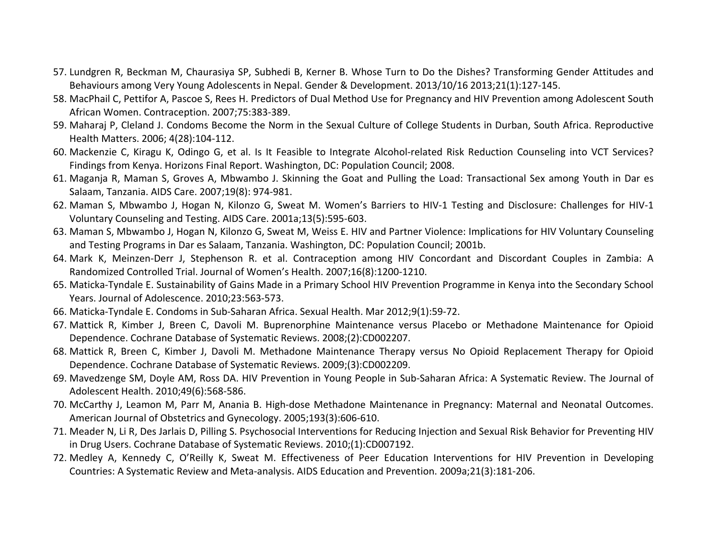- 57. Lundgren R, Beckman M, Chaurasiya SP, Subhedi B, Kerner B. Whose Turn to Do the Dishes? Transforming Gender Attitudes and Behaviours among Very Young Adolescents in Nepal. Gender & Development. 2013/10/16 2013;21(1):127‐145.
- 58. MacPhail C, Pettifor A, Pascoe S, Rees H. Predictors of Dual Method Use for Pregnancy and HIV Prevention among Adolescent South African Women. Contraception. 2007;75:383‐389.
- 59. Maharaj P, Cleland J. Condoms Become the Norm in the Sexual Culture of College Students in Durban, South Africa. Reproductive Health Matters. 2006; 4(28):104‐112.
- 60. Mackenzie C, Kiragu K, Odingo G, et al. Is It Feasible to Integrate Alcohol‐related Risk Reduction Counseling into VCT Services? Findings from Kenya. Horizons Final Report. Washington, DC: Population Council; 2008.
- 61. Maganja R, Maman S, Groves A, Mbwambo J. Skinning the Goat and Pulling the Load: Transactional Sex among Youth in Dar es Salaam, Tanzania. AIDS Care. 2007;19(8): 974‐981.
- 62. Maman S, Mbwambo J, Hogan N, Kilonzo G, Sweat M. Women's Barriers to HIV‐1 Testing and Disclosure: Challenges for HIV‐1 Voluntary Counseling and Testing. AIDS Care. 2001a;13(5):595‐603.
- 63. Maman S, Mbwambo J, Hogan N, Kilonzo G, Sweat M, Weiss E. HIV and Partner Violence: Implications for HIV Voluntary Counseling and Testing Programs in Dar es Salaam, Tanzania. Washington, DC: Population Council; 2001b.
- 64. Mark K, Meinzen‐Derr J, Stephenson R. et al. Contraception among HIV Concordant and Discordant Couples in Zambia: A Randomized Controlled Trial. Journal of Women's Health. 2007;16(8):1200‐1210.
- 65. Maticka‐Tyndale E. Sustainability of Gains Made in <sup>a</sup> Primary School HIV Prevention Programme in Kenya into the Secondary School Years. Journal of Adolescence. 2010;23:563‐573.
- 66. Maticka‐Tyndale E. Condoms in Sub‐Saharan Africa. Sexual Health. Mar 2012;9(1):59‐72.
- 67. Mattick R, Kimber J, Breen C, Davoli M. Buprenorphine Maintenance versus Placebo or Methadone Maintenance for Opioid Dependence. Cochrane Database of Systematic Reviews. 2008;(2):CD002207.
- 68. Mattick R, Breen C, Kimber J, Davoli M. Methadone Maintenance Therapy versus No Opioid Replacement Therapy for Opioid Dependence. Cochrane Database of Systematic Reviews. 2009;(3):CD002209.
- 69. Mavedzenge SM, Doyle AM, Ross DA. HIV Prevention in Young People in Sub‐Saharan Africa: A Systematic Review. The Journal of Adolescent Health. 2010;49(6):568‐586.
- 70. McCarthy J, Leamon M, Parr M, Anania B. High‐dose Methadone Maintenance in Pregnancy: Maternal and Neonatal Outcomes. American Journal of Obstetrics and Gynecology. 2005;193(3):606‐610.
- 71. Meader N, Li R, Des Jarlais D, Pilling S. Psychosocial Interventions for Reducing Injection and Sexual Risk Behavior for Preventing HIV in Drug Users. Cochrane Database of Systematic Reviews. 2010;(1):CD007192.
- 72. Medley A, Kennedy C, O'Reilly K, Sweat M. Effectiveness of Peer Education Interventions for HIV Prevention in Developing Countries: A Systematic Review and Meta‐analysis. AIDS Education and Prevention. 2009a;21(3):181‐206.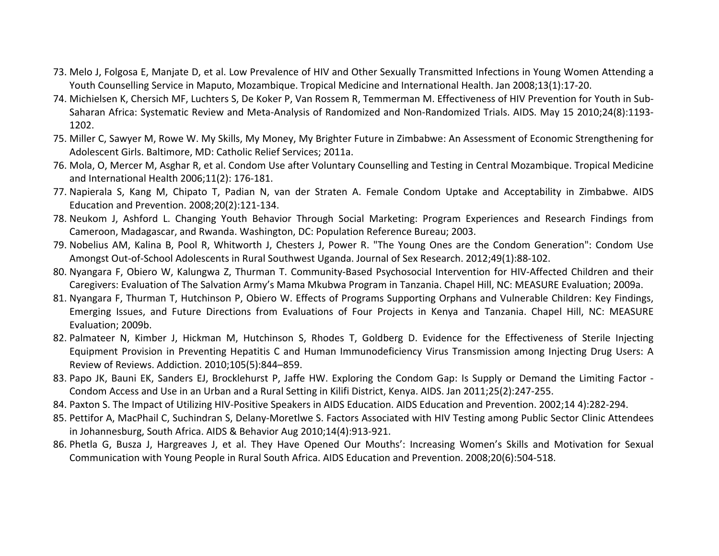- 73. Melo J, Folgosa E, Manjate D, et al. Low Prevalence of HIV and Other Sexually Transmitted Infections in Young Women Attending <sup>a</sup> Youth Counselling Service in Maputo, Mozambique. Tropical Medicine and International Health. Jan 2008;13(1):17‐20.
- 74. Michielsen K, Chersich MF, Luchters S, De Koker P, Van Rossem R, Temmerman M. Effectiveness of HIV Prevention for Youth in Sub‐ Saharan Africa: Systematic Review and Meta‐Analysis of Randomized and Non‐Randomized Trials. AIDS. May 15 2010;24(8):1193‐ 1202.
- 75. Miller C, Sawyer M, Rowe W. My Skills, My Money, My Brighter Future in Zimbabwe: An Assessment of Economic Strengthening for Adolescent Girls. Baltimore, MD: Catholic Relief Services; 2011a.
- 76. Mola, O, Mercer M, Asghar R, et al. Condom Use after Voluntary Counselling and Testing in Central Mozambique. Tropical Medicine and International Health 2006;11(2): 176‐181.
- 77. Napierala S, Kang M, Chipato T, Padian N, van der Straten A. Female Condom Uptake and Acceptability in Zimbabwe. AIDS Education and Prevention. 2008;20(2):121‐134.
- 78. Neukom J, Ashford L. Changing Youth Behavior Through Social Marketing: Program Experiences and Research Findings from Cameroon, Madagascar, and Rwanda. Washington, DC: Population Reference Bureau; 2003.
- 79. Nobelius AM, Kalina B, Pool R, Whitworth J, Chesters J, Power R. "The Young Ones are the Condom Generation": Condom Use Amongst Out‐of‐School Adolescents in Rural Southwest Uganda. Journal of Sex Research. 2012;49(1):88‐102.
- 80. Nyangara F, Obiero W, Kalungwa Z, Thurman T. Community‐Based Psychosocial Intervention for HIV‐Affected Children and their Caregivers: Evaluation of The Salvation Army's Mama Mkubwa Program in Tanzania. Chapel Hill, NC: MEASURE Evaluation; 2009a.
- 81. Nyangara F, Thurman T, Hutchinson P, Obiero W. Effects of Programs Supporting Orphans and Vulnerable Children: Key Findings, Emerging Issues, and Future Directions from Evaluations of Four Projects in Kenya and Tanzania. Chapel Hill, NC: MEASURE Evaluation; 2009b.
- 82. Palmateer N, Kimber J, Hickman M, Hutchinson S, Rhodes T, Goldberg D. Evidence for the Effectiveness of Sterile Injecting Equipment Provision in Preventing Hepatitis C and Human Immunodeficiency Virus Transmission among Injecting Drug Users: A Review of Reviews. Addiction. 2010;105(5):844–859.
- 83. Papo JK, Bauni EK, Sanders EJ, Brocklehurst P, Jaffe HW. Exploring the Condom Gap: Is Supply or Demand the Limiting Factor ‐ Condom Access and Use in an Urban and <sup>a</sup> Rural Setting in Kilifi District, Kenya. AIDS. Jan 2011;25(2):247‐255.
- 84. Paxton S. The Impact of Utilizing HIV‐Positive Speakers in AIDS Education. AIDS Education and Prevention. 2002;14 4):282‐294.
- 85. Pettifor A, MacPhail C, Suchindran S, Delany‐Moretlwe S. Factors Associated with HIV Testing among Public Sector Clinic Attendees in Johannesburg, South Africa. AIDS & Behavior Aug 2010;14(4):913‐921.
- 86. Phetla G, Busza J, Hargreaves J, et al. They Have Opened Our Mouths': Increasing Women's Skills and Motivation for Sexual Communication with Young People in Rural South Africa. AIDS Education and Prevention. 2008;20(6):504‐518.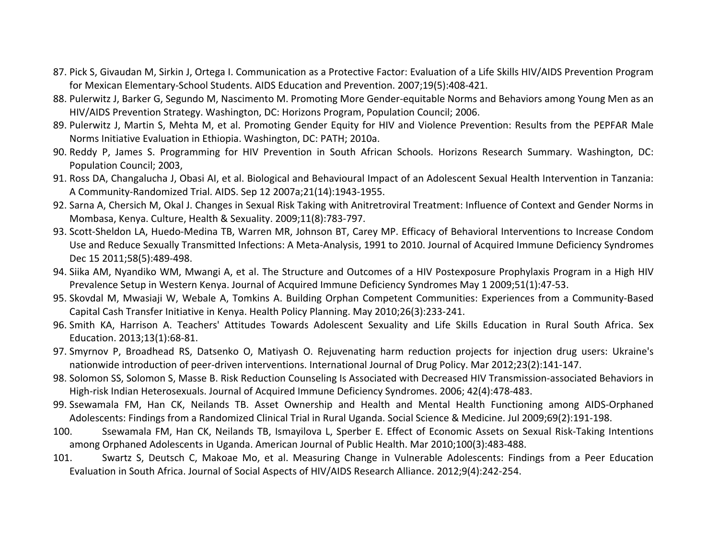- 87. Pick S, Givaudan M, Sirkin J, Ortega I. Communication as <sup>a</sup> Protective Factor: Evaluation of <sup>a</sup> Life Skills HIV/AIDS Prevention Program for Mexican Elementary‐School Students. AIDS Education and Prevention. 2007;19(5):408‐421.
- 88. Pulerwitz J, Barker G, Segundo M, Nascimento M. Promoting More Gender‐equitable Norms and Behaviors among Young Men as an HIV/AIDS Prevention Strategy. Washington, DC: Horizons Program, Population Council; 2006.
- 89. Pulerwitz J, Martin S, Mehta M, et al. Promoting Gender Equity for HIV and Violence Prevention: Results from the PEPFAR Male Norms Initiative Evaluation in Ethiopia. Washington, DC: PATH; 2010a.
- 90. Reddy P, James S. Programming for HIV Prevention in South African Schools. Horizons Research Summary. Washington, DC: Population Council; 2003,
- 91. Ross DA, Changalucha J, Obasi AI, et al. Biological and Behavioural Impact of an Adolescent Sexual Health Intervention in Tanzania: A Community‐Randomized Trial. AIDS. Sep 12 2007a;21(14):1943‐1955.
- 92. Sarna A, Chersich M, Okal J. Changes in Sexual Risk Taking with Anitretroviral Treatment: Influence of Context and Gender Norms in Mombasa, Kenya. Culture, Health & Sexuality. 2009;11(8):783‐797.
- 93. Scott‐Sheldon LA, Huedo‐Medina TB, Warren MR, Johnson BT, Carey MP. Efficacy of Behavioral Interventions to Increase Condom Use and Reduce Sexually Transmitted Infections: A Meta‐Analysis, 1991 to 2010. Journal of Acquired Immune Deficiency Syndromes Dec 15 2011;58(5):489‐498.
- 94. Siika AM, Nyandiko WM, Mwangi A, et al. The Structure and Outcomes of <sup>a</sup> HIV Postexposure Prophylaxis Program in <sup>a</sup> High HIV Prevalence Setup in Western Kenya. Journal of Acquired Immune Deficiency Syndromes May 1 2009;51(1):47‐53.
- 95. Skovdal M, Mwasiaji W, Webale A, Tomkins A. Building Orphan Competent Communities: Experiences from <sup>a</sup> Community‐Based Capital Cash Transfer Initiative in Kenya. Health Policy Planning. May 2010;26(3):233‐241.
- 96. Smith KA, Harrison A. Teachers' Attitudes Towards Adolescent Sexuality and Life Skills Education in Rural South Africa. Sex Education. 2013;13(1):68‐81.
- 97. Smyrnov P, Broadhead RS, Datsenko O, Matiyash O. Rejuvenating harm reduction projects for injection drug users: Ukraine's nationwide introduction of peer‐driven interventions. International Journal of Drug Policy. Mar 2012;23(2):141‐147.
- 98. Solomon SS, Solomon S, Masse B. Risk Reduction Counseling Is Associated with Decreased HIV Transmission‐associated Behaviors in High-risk Indian Heterosexuals. Journal of Acquired Immune Deficiency Syndromes. 2006; 42(4):478-483.
- 99. Ssewamala FM, Han CK, Neilands TB. Asset Ownership and Health and Mental Health Functioning among AIDS‐Orphaned Adolescents: Findings from <sup>a</sup> Randomized Clinical Trial in Rural Uganda. Social Science & Medicine. Jul 2009;69(2):191‐198.
- 100. Ssewamala FM, Han CK, Neilands TB, Ismayilova L, Sperber E. Effect of Economic Assets on Sexual Risk‐Taking Intentions among Orphaned Adolescents in Uganda. American Journal of Public Health. Mar 2010;100(3):483‐488.
- 101. Swartz S, Deutsch C, Makoae Mo, et al. Measuring Change in Vulnerable Adolescents: Findings from <sup>a</sup> Peer Education Evaluation in South Africa. Journal of Social Aspects of HIV/AIDS Research Alliance. 2012;9(4):242‐254.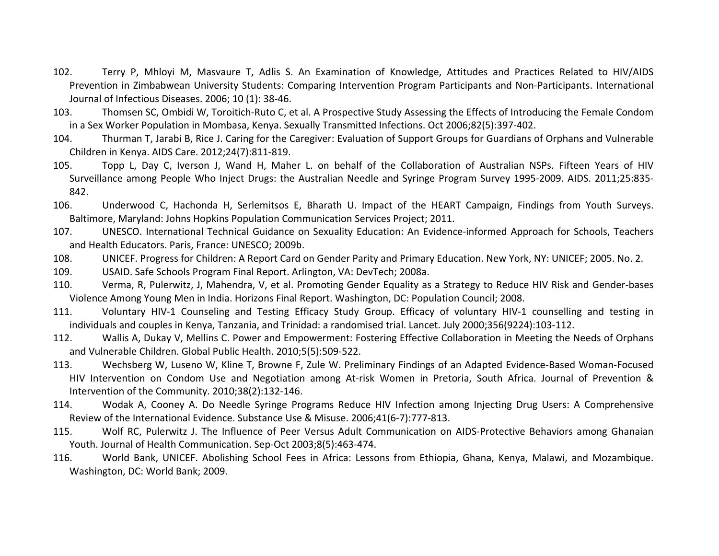- 102. Terry P, Mhloyi M, Masvaure T, Adlis S. An Examination of Knowledge, Attitudes and Practices Related to HIV/AIDS Prevention in Zimbabwean University Students: Comparing Intervention Program Participants and Non‐Participants. International Journal of Infectious Diseases. 2006; 10 (1): 38‐46.
- 103. Thomsen SC, Ombidi W, Toroitich‐Ruto C, et al. A Prospective Study Assessing the Effects of Introducing the Female Condom in <sup>a</sup> Sex Worker Population in Mombasa, Kenya. Sexually Transmitted Infections. Oct 2006;82(5):397‐402.
- 104. Thurman T, Jarabi B, Rice J. Caring for the Caregiver: Evaluation of Support Groups for Guardians of Orphans and Vulnerable Children in Kenya. AIDS Care. 2012;24(7):811‐819.
- 105. Topp L, Day C, Iverson J, Wand H, Maher L. on behalf of the Collaboration of Australian NSPs. Fifteen Years of HIV Surveillance among People Who Inject Drugs: the Australian Needle and Syringe Program Survey 1995‐2009. AIDS. 2011;25:835‐ 842.
- 106. Underwood C, Hachonda H, Serlemitsos E, Bharath U. Impact of the HEART Campaign, Findings from Youth Surveys. Baltimore, Maryland: Johns Hopkins Population Communication Services Project; 2011.
- 107. UNESCO. International Technical Guidance on Sexuality Education: An Evidence‐informed Approach for Schools, Teachers and Health Educators. Paris, France: UNESCO; 2009b.
- 108.UNICEF. Progress for Children: A Report Card on Gender Parity and Primary Education. New York, NY: UNICEF; 2005. No. 2.
- 109.USAID. Safe Schools Program Final Report. Arlington, VA: DevTech; 2008a.
- 110. Verma, R, Pulerwitz, J, Mahendra, V, et al. Promoting Gender Equality as <sup>a</sup> Strategy to Reduce HIV Risk and Gender‐bases Violence Among Young Men in India. Horizons Final Report. Washington, DC: Population Council; 2008.
- 111. Voluntary HIV‐1 Counseling and Testing Efficacy Study Group. Efficacy of voluntary HIV‐1 counselling and testing in individuals and couples in Kenya, Tanzania, and Trinidad: <sup>a</sup> randomised trial. Lancet. July 2000;356(9224):103‐112.
- 112. Wallis A, Dukay V, Mellins C. Power and Empowerment: Fostering Effective Collaboration in Meeting the Needs of Orphans and Vulnerable Children. Global Public Health. 2010;5(5):509‐522.
- 113. Wechsberg W, Luseno W, Kline T, Browne F, Zule W. Preliminary Findings of an Adapted Evidence‐Based Woman‐Focused HIV Intervention on Condom Use and Negotiation among At‐risk Women in Pretoria, South Africa. Journal of Prevention & Intervention of the Community. 2010;38(2):132‐146.
- 114. Wodak A, Cooney A. Do Needle Syringe Programs Reduce HIV Infection among Injecting Drug Users: A Comprehensive Review of the International Evidence. Substance Use & Misuse. 2006;41(6‐7):777‐813.
- 115. Wolf RC, Pulerwitz J. The Influence of Peer Versus Adult Communication on AIDS‐Protective Behaviors among Ghanaian Youth. Journal of Health Communication. Sep‐Oct 2003;8(5):463‐474.
- 116. World Bank, UNICEF. Abolishing School Fees in Africa: Lessons from Ethiopia, Ghana, Kenya, Malawi, and Mozambique. Washington, DC: World Bank; 2009.